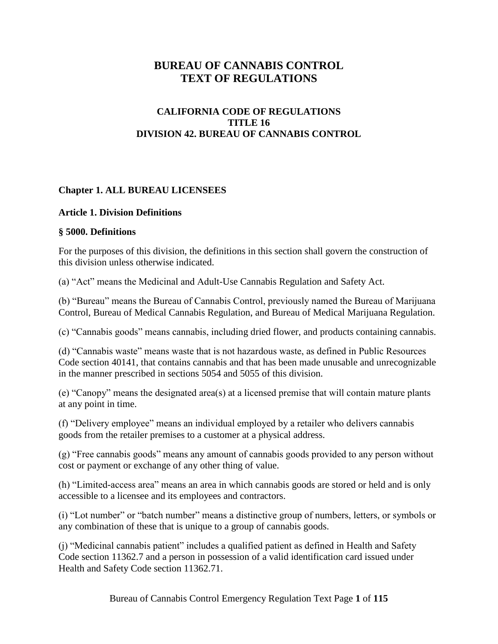# **BUREAU OF CANNABIS CONTROL TEXT OF REGULATIONS**

# **CALIFORNIA CODE OF REGULATIONS TITLE 16 DIVISION 42. BUREAU OF CANNABIS CONTROL**

### **Chapter 1. ALL BUREAU LICENSEES**

#### **Article 1. Division Definitions**

#### **§ 5000. Definitions**

For the purposes of this division, the definitions in this section shall govern the construction of this division unless otherwise indicated.

(a) "Act" means the Medicinal and Adult-Use Cannabis Regulation and Safety Act.

(b) "Bureau" means the Bureau of Cannabis Control, previously named the Bureau of Marijuana Control, Bureau of Medical Cannabis Regulation, and Bureau of Medical Marijuana Regulation.

(c) "Cannabis goods" means cannabis, including dried flower, and products containing cannabis.

(d) "Cannabis waste" means waste that is not hazardous waste, as defined in Public Resources Code section 40141, that contains cannabis and that has been made unusable and unrecognizable in the manner prescribed in sections 5054 and 5055 of this division.

(e) "Canopy" means the designated area(s) at a licensed premise that will contain mature plants at any point in time.

(f) "Delivery employee" means an individual employed by a retailer who delivers cannabis goods from the retailer premises to a customer at a physical address.

(g) "Free cannabis goods" means any amount of cannabis goods provided to any person without cost or payment or exchange of any other thing of value.

(h) "Limited-access area" means an area in which cannabis goods are stored or held and is only accessible to a licensee and its employees and contractors.

(i) "Lot number" or "batch number" means a distinctive group of numbers, letters, or symbols or any combination of these that is unique to a group of cannabis goods.

(j) "Medicinal cannabis patient" includes a qualified patient as defined in Health and Safety Code section 11362.7 and a person in possession of a valid identification card issued under Health and Safety Code section 11362.71.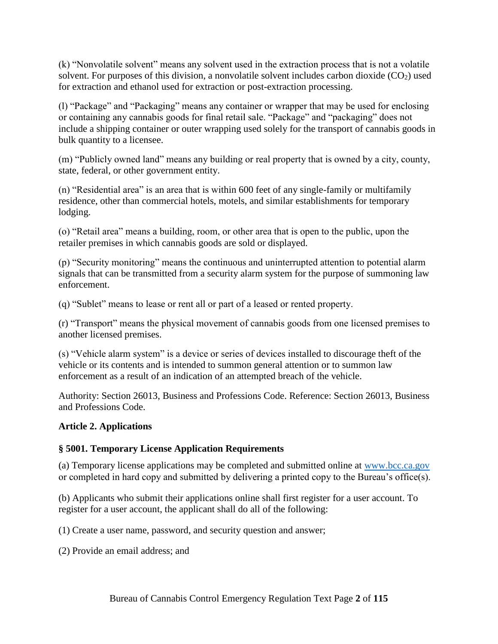(k) "Nonvolatile solvent" means any solvent used in the extraction process that is not a volatile solvent. For purposes of this division, a nonvolatile solvent includes carbon dioxide  $(CO<sub>2</sub>)$  used for extraction and ethanol used for extraction or post-extraction processing.

(l) "Package" and "Packaging" means any container or wrapper that may be used for enclosing or containing any cannabis goods for final retail sale. "Package" and "packaging" does not include a shipping container or outer wrapping used solely for the transport of cannabis goods in bulk quantity to a licensee.

(m) "Publicly owned land" means any building or real property that is owned by a city, county, state, federal, or other government entity.

(n) "Residential area" is an area that is within 600 feet of any single-family or multifamily residence, other than commercial hotels, motels, and similar establishments for temporary lodging.

(o) "Retail area" means a building, room, or other area that is open to the public, upon the retailer premises in which cannabis goods are sold or displayed.

(p) "Security monitoring" means the continuous and uninterrupted attention to potential alarm signals that can be transmitted from a security alarm system for the purpose of summoning law enforcement.

(q) "Sublet" means to lease or rent all or part of a leased or rented property.

(r) "Transport" means the physical movement of cannabis goods from one licensed premises to another licensed premises.

(s) "Vehicle alarm system" is a device or series of devices installed to discourage theft of the vehicle or its contents and is intended to summon general attention or to summon law enforcement as a result of an indication of an attempted breach of the vehicle.

Authority: Section 26013, Business and Professions Code. Reference: Section 26013, Business and Professions Code.

### **Article 2. Applications**

# **§ 5001. Temporary License Application Requirements**

(a) Temporary license applications may be completed and submitted online at [www.bcc.ca.gov](http://www.bcc.ca.gov/) or completed in hard copy and submitted by delivering a printed copy to the Bureau's office(s).

(b) Applicants who submit their applications online shall first register for a user account. To register for a user account, the applicant shall do all of the following:

(1) Create a user name, password, and security question and answer;

(2) Provide an email address; and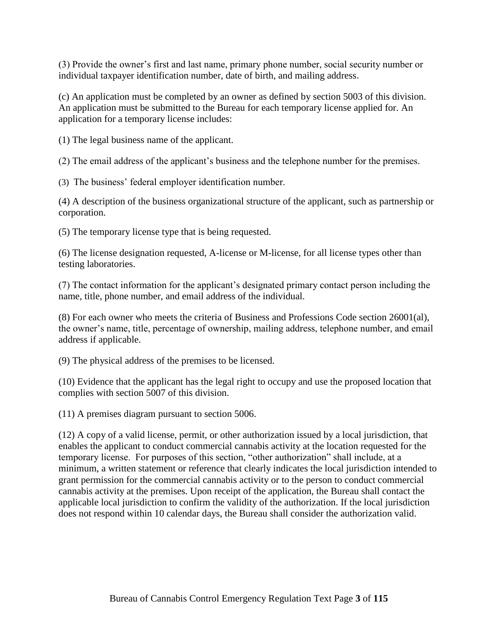(3) Provide the owner's first and last name, primary phone number, social security number or individual taxpayer identification number, date of birth, and mailing address.

(c) An application must be completed by an owner as defined by section 5003 of this division. An application must be submitted to the Bureau for each temporary license applied for. An application for a temporary license includes:

(1) The legal business name of the applicant.

(2) The email address of the applicant's business and the telephone number for the premises.

(3) The business' federal employer identification number.

(4) A description of the business organizational structure of the applicant, such as partnership or corporation.

(5) The temporary license type that is being requested.

(6) The license designation requested, A-license or M-license, for all license types other than testing laboratories.

(7) The contact information for the applicant's designated primary contact person including the name, title, phone number, and email address of the individual.

(8) For each owner who meets the criteria of Business and Professions Code section 26001(al), the owner's name, title, percentage of ownership, mailing address, telephone number, and email address if applicable.

(9) The physical address of the premises to be licensed.

(10) Evidence that the applicant has the legal right to occupy and use the proposed location that complies with section 5007 of this division.

(11) A premises diagram pursuant to section 5006.

(12) A copy of a valid license, permit, or other authorization issued by a local jurisdiction, that enables the applicant to conduct commercial cannabis activity at the location requested for the temporary license. For purposes of this section, "other authorization" shall include, at a minimum, a written statement or reference that clearly indicates the local jurisdiction intended to grant permission for the commercial cannabis activity or to the person to conduct commercial cannabis activity at the premises. Upon receipt of the application, the Bureau shall contact the applicable local jurisdiction to confirm the validity of the authorization. If the local jurisdiction does not respond within 10 calendar days, the Bureau shall consider the authorization valid.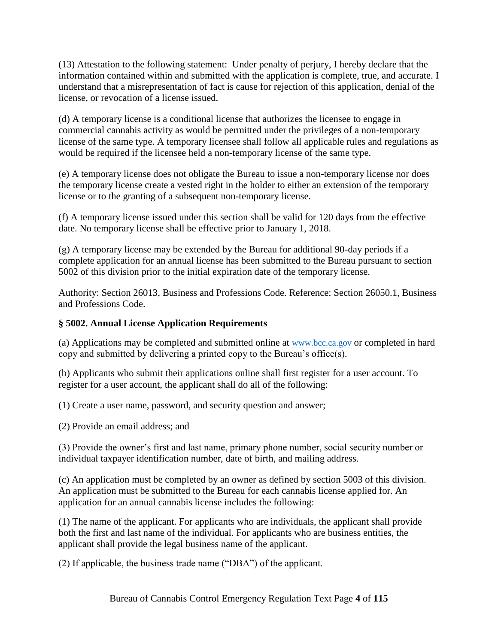(13) Attestation to the following statement: Under penalty of perjury, I hereby declare that the information contained within and submitted with the application is complete, true, and accurate. I understand that a misrepresentation of fact is cause for rejection of this application, denial of the license, or revocation of a license issued.

(d) A temporary license is a conditional license that authorizes the licensee to engage in commercial cannabis activity as would be permitted under the privileges of a non-temporary license of the same type. A temporary licensee shall follow all applicable rules and regulations as would be required if the licensee held a non-temporary license of the same type.

(e) A temporary license does not obligate the Bureau to issue a non-temporary license nor does the temporary license create a vested right in the holder to either an extension of the temporary license or to the granting of a subsequent non-temporary license.

(f) A temporary license issued under this section shall be valid for 120 days from the effective date. No temporary license shall be effective prior to January 1, 2018.

(g) A temporary license may be extended by the Bureau for additional 90-day periods if a complete application for an annual license has been submitted to the Bureau pursuant to section 5002 of this division prior to the initial expiration date of the temporary license.

Authority: Section 26013, Business and Professions Code. Reference: Section 26050.1, Business and Professions Code.

## **§ 5002. Annual License Application Requirements**

(a) Applications may be completed and submitted online at [www.bcc.ca.gov](http://www.bcc.ca.gov/) or completed in hard copy and submitted by delivering a printed copy to the Bureau's office(s).

(b) Applicants who submit their applications online shall first register for a user account. To register for a user account, the applicant shall do all of the following:

(1) Create a user name, password, and security question and answer;

(2) Provide an email address; and

(3) Provide the owner's first and last name, primary phone number, social security number or individual taxpayer identification number, date of birth, and mailing address.

(c) An application must be completed by an owner as defined by section 5003 of this division. An application must be submitted to the Bureau for each cannabis license applied for. An application for an annual cannabis license includes the following:

(1) The name of the applicant. For applicants who are individuals, the applicant shall provide both the first and last name of the individual. For applicants who are business entities, the applicant shall provide the legal business name of the applicant.

(2) If applicable, the business trade name ("DBA") of the applicant.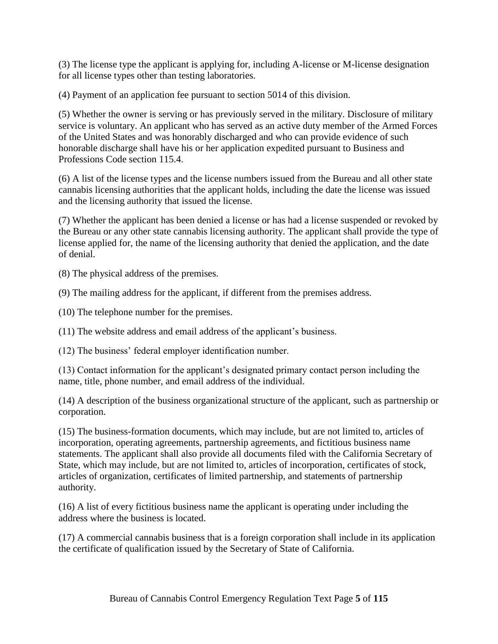(3) The license type the applicant is applying for, including A-license or M-license designation for all license types other than testing laboratories.

(4) Payment of an application fee pursuant to section 5014 of this division.

(5) Whether the owner is serving or has previously served in the military. Disclosure of military service is voluntary. An applicant who has served as an active duty member of the Armed Forces of the United States and was honorably discharged and who can provide evidence of such honorable discharge shall have his or her application expedited pursuant to Business and Professions Code section 115.4.

(6) A list of the license types and the license numbers issued from the Bureau and all other state cannabis licensing authorities that the applicant holds, including the date the license was issued and the licensing authority that issued the license.

(7) Whether the applicant has been denied a license or has had a license suspended or revoked by the Bureau or any other state cannabis licensing authority. The applicant shall provide the type of license applied for, the name of the licensing authority that denied the application, and the date of denial.

(8) The physical address of the premises.

(9) The mailing address for the applicant, if different from the premises address.

(10) The telephone number for the premises.

(11) The website address and email address of the applicant's business.

(12) The business' federal employer identification number.

(13) Contact information for the applicant's designated primary contact person including the name, title, phone number, and email address of the individual.

(14) A description of the business organizational structure of the applicant, such as partnership or corporation.

(15) The business-formation documents, which may include, but are not limited to, articles of incorporation, operating agreements, partnership agreements, and fictitious business name statements. The applicant shall also provide all documents filed with the California Secretary of State, which may include, but are not limited to, articles of incorporation, certificates of stock, articles of organization, certificates of limited partnership, and statements of partnership authority.

(16) A list of every fictitious business name the applicant is operating under including the address where the business is located.

(17) A commercial cannabis business that is a foreign corporation shall include in its application the certificate of qualification issued by the Secretary of State of California.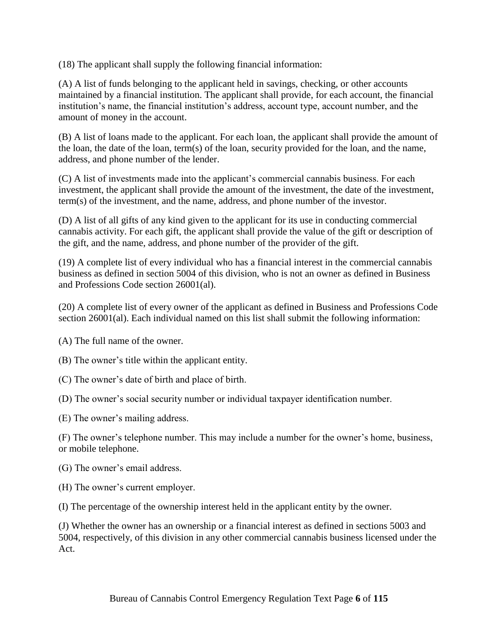(18) The applicant shall supply the following financial information:

(A) A list of funds belonging to the applicant held in savings, checking, or other accounts maintained by a financial institution. The applicant shall provide, for each account, the financial institution's name, the financial institution's address, account type, account number, and the amount of money in the account.

(B) A list of loans made to the applicant. For each loan, the applicant shall provide the amount of the loan, the date of the loan, term(s) of the loan, security provided for the loan, and the name, address, and phone number of the lender.

(C) A list of investments made into the applicant's commercial cannabis business. For each investment, the applicant shall provide the amount of the investment, the date of the investment, term(s) of the investment, and the name, address, and phone number of the investor.

(D) A list of all gifts of any kind given to the applicant for its use in conducting commercial cannabis activity. For each gift, the applicant shall provide the value of the gift or description of the gift, and the name, address, and phone number of the provider of the gift.

(19) A complete list of every individual who has a financial interest in the commercial cannabis business as defined in section 5004 of this division, who is not an owner as defined in Business and Professions Code section 26001(al).

(20) A complete list of every owner of the applicant as defined in Business and Professions Code section 26001(al). Each individual named on this list shall submit the following information:

(A) The full name of the owner.

(B) The owner's title within the applicant entity.

(C) The owner's date of birth and place of birth.

(D) The owner's social security number or individual taxpayer identification number.

(E) The owner's mailing address.

(F) The owner's telephone number. This may include a number for the owner's home, business, or mobile telephone.

- (G) The owner's email address.
- (H) The owner's current employer.

(I) The percentage of the ownership interest held in the applicant entity by the owner.

(J) Whether the owner has an ownership or a financial interest as defined in sections 5003 and 5004, respectively, of this division in any other commercial cannabis business licensed under the Act.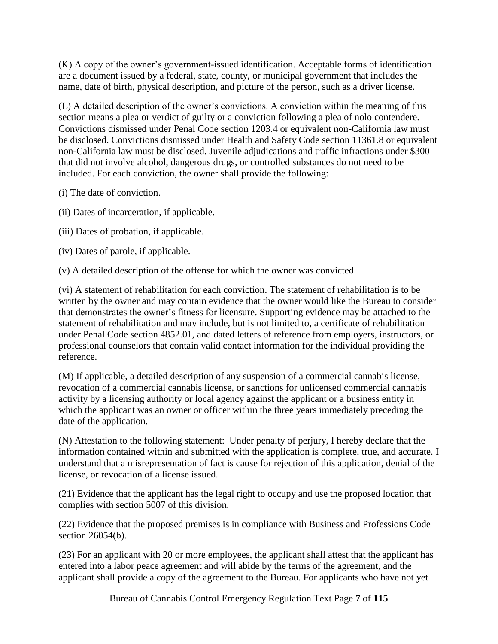(K) A copy of the owner's government-issued identification. Acceptable forms of identification are a document issued by a federal, state, county, or municipal government that includes the name, date of birth, physical description, and picture of the person, such as a driver license.

(L) A detailed description of the owner's convictions. A conviction within the meaning of this section means a plea or verdict of guilty or a conviction following a plea of nolo contendere. Convictions dismissed under Penal Code section 1203.4 or equivalent non-California law must be disclosed. Convictions dismissed under Health and Safety Code section 11361.8 or equivalent non-California law must be disclosed. Juvenile adjudications and traffic infractions under \$300 that did not involve alcohol, dangerous drugs, or controlled substances do not need to be included. For each conviction, the owner shall provide the following:

(i) The date of conviction.

(ii) Dates of incarceration, if applicable.

(iii) Dates of probation, if applicable.

(iv) Dates of parole, if applicable.

(v) A detailed description of the offense for which the owner was convicted.

(vi) A statement of rehabilitation for each conviction. The statement of rehabilitation is to be written by the owner and may contain evidence that the owner would like the Bureau to consider that demonstrates the owner's fitness for licensure. Supporting evidence may be attached to the statement of rehabilitation and may include, but is not limited to, a certificate of rehabilitation under Penal Code section 4852.01, and dated letters of reference from employers, instructors, or professional counselors that contain valid contact information for the individual providing the reference.

(M) If applicable, a detailed description of any suspension of a commercial cannabis license, revocation of a commercial cannabis license, or sanctions for unlicensed commercial cannabis activity by a licensing authority or local agency against the applicant or a business entity in which the applicant was an owner or officer within the three years immediately preceding the date of the application.

(N) Attestation to the following statement: Under penalty of perjury, I hereby declare that the information contained within and submitted with the application is complete, true, and accurate. I understand that a misrepresentation of fact is cause for rejection of this application, denial of the license, or revocation of a license issued.

(21) Evidence that the applicant has the legal right to occupy and use the proposed location that complies with section 5007 of this division.

(22) Evidence that the proposed premises is in compliance with Business and Professions Code section 26054(b).

(23) For an applicant with 20 or more employees, the applicant shall attest that the applicant has entered into a labor peace agreement and will abide by the terms of the agreement, and the applicant shall provide a copy of the agreement to the Bureau. For applicants who have not yet

Bureau of Cannabis Control Emergency Regulation Text Page **7** of **115**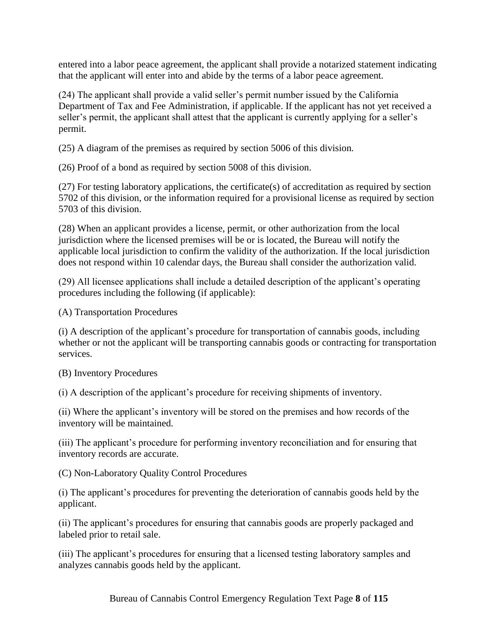entered into a labor peace agreement, the applicant shall provide a notarized statement indicating that the applicant will enter into and abide by the terms of a labor peace agreement.

(24) The applicant shall provide a valid seller's permit number issued by the California Department of Tax and Fee Administration, if applicable. If the applicant has not yet received a seller's permit, the applicant shall attest that the applicant is currently applying for a seller's permit.

(25) A diagram of the premises as required by section 5006 of this division.

(26) Proof of a bond as required by section 5008 of this division.

(27) For testing laboratory applications, the certificate(s) of accreditation as required by section 5702 of this division, or the information required for a provisional license as required by section 5703 of this division.

(28) When an applicant provides a license, permit, or other authorization from the local jurisdiction where the licensed premises will be or is located, the Bureau will notify the applicable local jurisdiction to confirm the validity of the authorization. If the local jurisdiction does not respond within 10 calendar days, the Bureau shall consider the authorization valid.

(29) All licensee applications shall include a detailed description of the applicant's operating procedures including the following (if applicable):

(A) Transportation Procedures

(i) A description of the applicant's procedure for transportation of cannabis goods, including whether or not the applicant will be transporting cannabis goods or contracting for transportation services.

(B) Inventory Procedures

(i) A description of the applicant's procedure for receiving shipments of inventory.

(ii) Where the applicant's inventory will be stored on the premises and how records of the inventory will be maintained.

(iii) The applicant's procedure for performing inventory reconciliation and for ensuring that inventory records are accurate.

(C) Non-Laboratory Quality Control Procedures

(i) The applicant's procedures for preventing the deterioration of cannabis goods held by the applicant.

(ii) The applicant's procedures for ensuring that cannabis goods are properly packaged and labeled prior to retail sale.

(iii) The applicant's procedures for ensuring that a licensed testing laboratory samples and analyzes cannabis goods held by the applicant.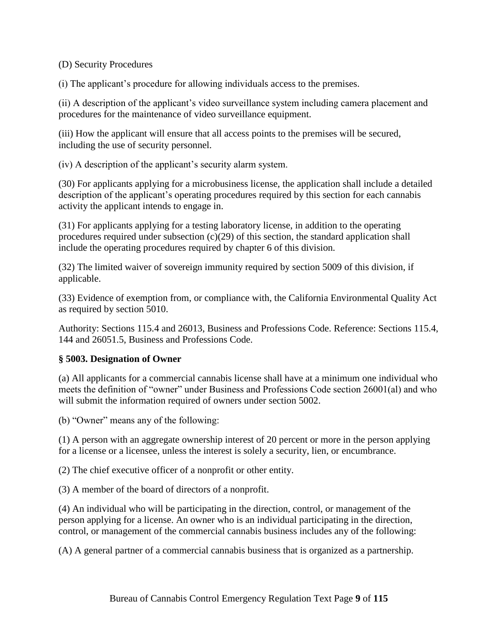(D) Security Procedures

(i) The applicant's procedure for allowing individuals access to the premises.

(ii) A description of the applicant's video surveillance system including camera placement and procedures for the maintenance of video surveillance equipment.

(iii) How the applicant will ensure that all access points to the premises will be secured, including the use of security personnel.

(iv) A description of the applicant's security alarm system.

(30) For applicants applying for a microbusiness license, the application shall include a detailed description of the applicant's operating procedures required by this section for each cannabis activity the applicant intends to engage in.

(31) For applicants applying for a testing laboratory license, in addition to the operating procedures required under subsection  $(c)(29)$  of this section, the standard application shall include the operating procedures required by chapter 6 of this division.

(32) The limited waiver of sovereign immunity required by section 5009 of this division, if applicable.

(33) Evidence of exemption from, or compliance with, the California Environmental Quality Act as required by section 5010.

Authority: Sections 115.4 and 26013, Business and Professions Code. Reference: Sections 115.4, 144 and 26051.5, Business and Professions Code.

#### **§ 5003. Designation of Owner**

(a) All applicants for a commercial cannabis license shall have at a minimum one individual who meets the definition of "owner" under Business and Professions Code section 26001(al) and who will submit the information required of owners under section 5002.

(b) "Owner" means any of the following:

(1) A person with an aggregate ownership interest of 20 percent or more in the person applying for a license or a licensee, unless the interest is solely a security, lien, or encumbrance.

(2) The chief executive officer of a nonprofit or other entity.

(3) A member of the board of directors of a nonprofit.

(4) An individual who will be participating in the direction, control, or management of the person applying for a license. An owner who is an individual participating in the direction, control, or management of the commercial cannabis business includes any of the following:

(A) A general partner of a commercial cannabis business that is organized as a partnership.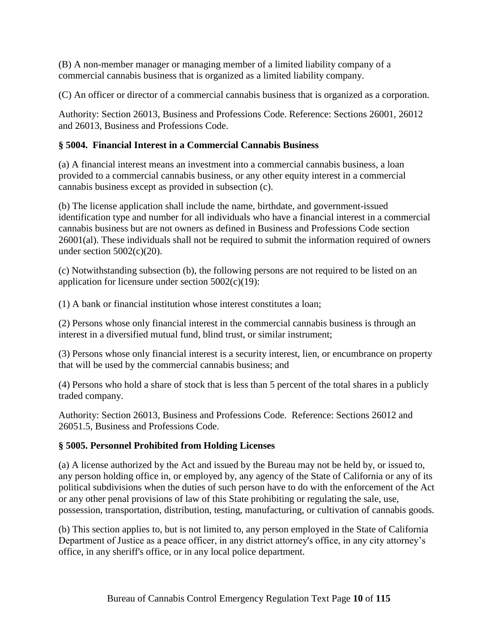(B) A non-member manager or managing member of a limited liability company of a commercial cannabis business that is organized as a limited liability company.

(C) An officer or director of a commercial cannabis business that is organized as a corporation.

Authority: Section 26013, Business and Professions Code. Reference: Sections 26001, 26012 and 26013, Business and Professions Code.

# **§ 5004. Financial Interest in a Commercial Cannabis Business**

(a) A financial interest means an investment into a commercial cannabis business, a loan provided to a commercial cannabis business, or any other equity interest in a commercial cannabis business except as provided in subsection (c).

(b) The license application shall include the name, birthdate, and government-issued identification type and number for all individuals who have a financial interest in a commercial cannabis business but are not owners as defined in Business and Professions Code section 26001(al). These individuals shall not be required to submit the information required of owners under section  $5002(c)(20)$ .

(c) Notwithstanding subsection (b), the following persons are not required to be listed on an application for licensure under section  $5002(c)(19)$ :

(1) A bank or financial institution whose interest constitutes a loan;

(2) Persons whose only financial interest in the commercial cannabis business is through an interest in a diversified mutual fund, blind trust, or similar instrument;

(3) Persons whose only financial interest is a security interest, lien, or encumbrance on property that will be used by the commercial cannabis business; and

(4) Persons who hold a share of stock that is less than 5 percent of the total shares in a publicly traded company.

Authority: Section 26013, Business and Professions Code. Reference: Sections 26012 and 26051.5, Business and Professions Code.

# **§ 5005. Personnel Prohibited from Holding Licenses**

(a) A license authorized by the Act and issued by the Bureau may not be held by, or issued to, any person holding office in, or employed by, any agency of the State of California or any of its political subdivisions when the duties of such person have to do with the enforcement of the Act or any other penal provisions of law of this State prohibiting or regulating the sale, use, possession, transportation, distribution, testing, manufacturing, or cultivation of cannabis goods.

(b) This section applies to, but is not limited to, any person employed in the State of California Department of Justice as a peace officer, in any district attorney's office, in any city attorney's office, in any sheriff's office, or in any local police department.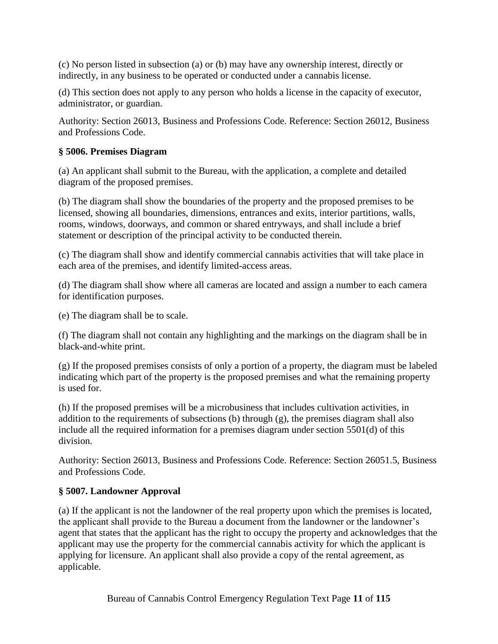(c) No person listed in subsection (a) or (b) may have any ownership interest, directly or indirectly, in any business to be operated or conducted under a cannabis license.

(d) This section does not apply to any person who holds a license in the capacity of executor, administrator, or guardian.

Authority: Section 26013, Business and Professions Code. Reference: Section 26012, Business and Professions Code.

### **§ 5006. Premises Diagram**

(a) An applicant shall submit to the Bureau, with the application, a complete and detailed diagram of the proposed premises.

(b) The diagram shall show the boundaries of the property and the proposed premises to be licensed, showing all boundaries, dimensions, entrances and exits, interior partitions, walls, rooms, windows, doorways, and common or shared entryways, and shall include a brief statement or description of the principal activity to be conducted therein.

(c) The diagram shall show and identify commercial cannabis activities that will take place in each area of the premises, and identify limited-access areas.

(d) The diagram shall show where all cameras are located and assign a number to each camera for identification purposes.

(e) The diagram shall be to scale.

(f) The diagram shall not contain any highlighting and the markings on the diagram shall be in black-and-white print.

(g) If the proposed premises consists of only a portion of a property, the diagram must be labeled indicating which part of the property is the proposed premises and what the remaining property is used for.

(h) If the proposed premises will be a microbusiness that includes cultivation activities, in addition to the requirements of subsections (b) through (g), the premises diagram shall also include all the required information for a premises diagram under section 5501(d) of this division.

Authority: Section 26013, Business and Professions Code. Reference: Section 26051.5, Business and Professions Code.

### **§ 5007. Landowner Approval**

(a) If the applicant is not the landowner of the real property upon which the premises is located, the applicant shall provide to the Bureau a document from the landowner or the landowner's agent that states that the applicant has the right to occupy the property and acknowledges that the applicant may use the property for the commercial cannabis activity for which the applicant is applying for licensure. An applicant shall also provide a copy of the rental agreement, as applicable.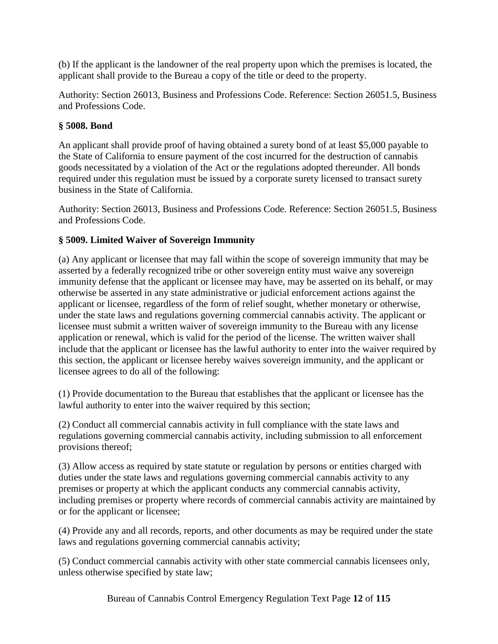(b) If the applicant is the landowner of the real property upon which the premises is located, the applicant shall provide to the Bureau a copy of the title or deed to the property.

Authority: Section 26013, Business and Professions Code. Reference: Section 26051.5, Business and Professions Code.

### **§ 5008. Bond**

An applicant shall provide proof of having obtained a surety bond of at least \$5,000 payable to the State of California to ensure payment of the cost incurred for the destruction of cannabis goods necessitated by a violation of the Act or the regulations adopted thereunder. All bonds required under this regulation must be issued by a corporate surety licensed to transact surety business in the State of California.

Authority: Section 26013, Business and Professions Code. Reference: Section 26051.5, Business and Professions Code.

## **§ 5009. Limited Waiver of Sovereign Immunity**

(a) Any applicant or licensee that may fall within the scope of sovereign immunity that may be asserted by a federally recognized tribe or other sovereign entity must waive any sovereign immunity defense that the applicant or licensee may have, may be asserted on its behalf, or may otherwise be asserted in any state administrative or judicial enforcement actions against the applicant or licensee, regardless of the form of relief sought, whether monetary or otherwise, under the state laws and regulations governing commercial cannabis activity. The applicant or licensee must submit a written waiver of sovereign immunity to the Bureau with any license application or renewal, which is valid for the period of the license. The written waiver shall include that the applicant or licensee has the lawful authority to enter into the waiver required by this section, the applicant or licensee hereby waives sovereign immunity, and the applicant or licensee agrees to do all of the following:

(1) Provide documentation to the Bureau that establishes that the applicant or licensee has the lawful authority to enter into the waiver required by this section;

(2) Conduct all commercial cannabis activity in full compliance with the state laws and regulations governing commercial cannabis activity, including submission to all enforcement provisions thereof;

(3) Allow access as required by state statute or regulation by persons or entities charged with duties under the state laws and regulations governing commercial cannabis activity to any premises or property at which the applicant conducts any commercial cannabis activity, including premises or property where records of commercial cannabis activity are maintained by or for the applicant or licensee;

(4) Provide any and all records, reports, and other documents as may be required under the state laws and regulations governing commercial cannabis activity;

(5) Conduct commercial cannabis activity with other state commercial cannabis licensees only, unless otherwise specified by state law;

Bureau of Cannabis Control Emergency Regulation Text Page **12** of **115**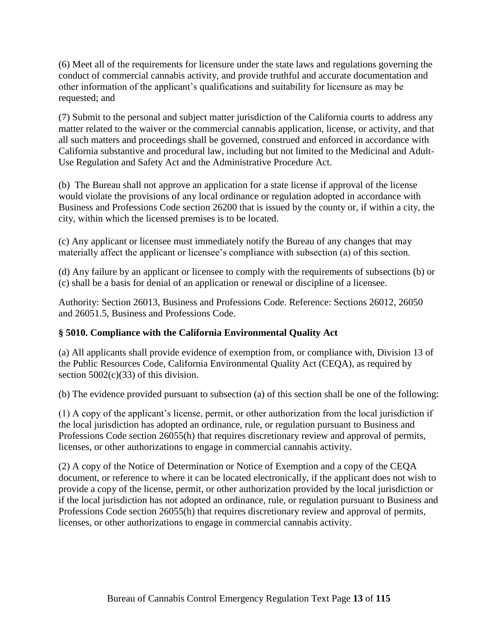(6) Meet all of the requirements for licensure under the state laws and regulations governing the conduct of commercial cannabis activity, and provide truthful and accurate documentation and other information of the applicant's qualifications and suitability for licensure as may be requested; and

(7) Submit to the personal and subject matter jurisdiction of the California courts to address any matter related to the waiver or the commercial cannabis application, license, or activity, and that all such matters and proceedings shall be governed, construed and enforced in accordance with California substantive and procedural law, including but not limited to the Medicinal and Adult-Use Regulation and Safety Act and the Administrative Procedure Act.

(b) The Bureau shall not approve an application for a state license if approval of the license would violate the provisions of any local ordinance or regulation adopted in accordance with Business and Professions Code section 26200 that is issued by the county or, if within a city, the city, within which the licensed premises is to be located.

(c) Any applicant or licensee must immediately notify the Bureau of any changes that may materially affect the applicant or licensee's compliance with subsection (a) of this section.

(d) Any failure by an applicant or licensee to comply with the requirements of subsections (b) or (c) shall be a basis for denial of an application or renewal or discipline of a licensee.

Authority: Section 26013, Business and Professions Code. Reference: Sections 26012, 26050 and 26051.5, Business and Professions Code.

# **§ 5010. Compliance with the California Environmental Quality Act**

(a) All applicants shall provide evidence of exemption from, or compliance with, Division 13 of the Public Resources Code, California Environmental Quality Act (CEQA), as required by section  $5002(c)(33)$  of this division.

(b) The evidence provided pursuant to subsection (a) of this section shall be one of the following:

(1) A copy of the applicant's license, permit, or other authorization from the local jurisdiction if the local jurisdiction has adopted an ordinance, rule, or regulation pursuant to Business and Professions Code section 26055(h) that requires discretionary review and approval of permits, licenses, or other authorizations to engage in commercial cannabis activity.

(2) A copy of the Notice of Determination or Notice of Exemption and a copy of the CEQA document, or reference to where it can be located electronically, if the applicant does not wish to provide a copy of the license, permit, or other authorization provided by the local jurisdiction or if the local jurisdiction has not adopted an ordinance, rule, or regulation pursuant to Business and Professions Code section 26055(h) that requires discretionary review and approval of permits, licenses, or other authorizations to engage in commercial cannabis activity.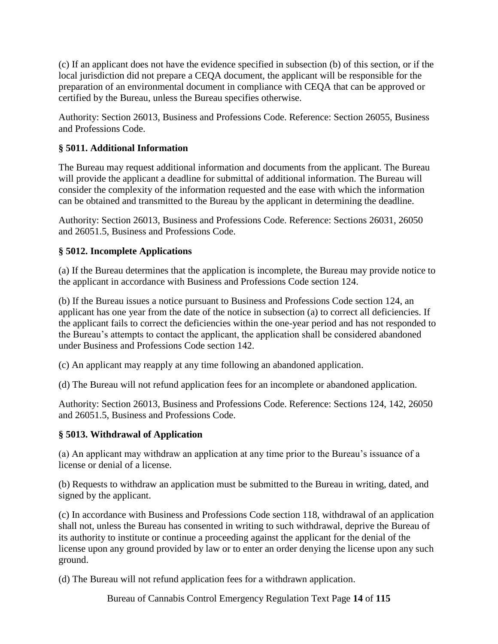(c) If an applicant does not have the evidence specified in subsection (b) of this section, or if the local jurisdiction did not prepare a CEQA document, the applicant will be responsible for the preparation of an environmental document in compliance with CEQA that can be approved or certified by the Bureau, unless the Bureau specifies otherwise.

Authority: Section 26013, Business and Professions Code. Reference: Section 26055, Business and Professions Code.

### **§ 5011. Additional Information**

The Bureau may request additional information and documents from the applicant. The Bureau will provide the applicant a deadline for submittal of additional information. The Bureau will consider the complexity of the information requested and the ease with which the information can be obtained and transmitted to the Bureau by the applicant in determining the deadline.

Authority: Section 26013, Business and Professions Code. Reference: Sections 26031, 26050 and 26051.5, Business and Professions Code.

## **§ 5012. Incomplete Applications**

(a) If the Bureau determines that the application is incomplete, the Bureau may provide notice to the applicant in accordance with Business and Professions Code section 124.

(b) If the Bureau issues a notice pursuant to Business and Professions Code section 124, an applicant has one year from the date of the notice in subsection (a) to correct all deficiencies. If the applicant fails to correct the deficiencies within the one-year period and has not responded to the Bureau's attempts to contact the applicant, the application shall be considered abandoned under Business and Professions Code section 142.

(c) An applicant may reapply at any time following an abandoned application.

(d) The Bureau will not refund application fees for an incomplete or abandoned application.

Authority: Section 26013, Business and Professions Code. Reference: Sections 124, 142, 26050 and 26051.5, Business and Professions Code.

# **§ 5013. Withdrawal of Application**

(a) An applicant may withdraw an application at any time prior to the Bureau's issuance of a license or denial of a license.

(b) Requests to withdraw an application must be submitted to the Bureau in writing, dated, and signed by the applicant.

(c) In accordance with Business and Professions Code section 118, withdrawal of an application shall not, unless the Bureau has consented in writing to such withdrawal, deprive the Bureau of its authority to institute or continue a proceeding against the applicant for the denial of the license upon any ground provided by law or to enter an order denying the license upon any such ground.

(d) The Bureau will not refund application fees for a withdrawn application.

Bureau of Cannabis Control Emergency Regulation Text Page **14** of **115**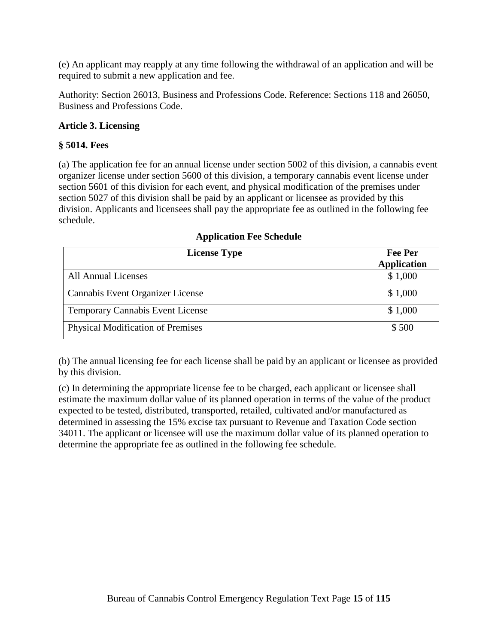(e) An applicant may reapply at any time following the withdrawal of an application and will be required to submit a new application and fee.

Authority: Section 26013, Business and Professions Code. Reference: Sections 118 and 26050, Business and Professions Code.

#### **Article 3. Licensing**

#### **§ 5014. Fees**

(a) The application fee for an annual license under section 5002 of this division, a cannabis event organizer license under section 5600 of this division, a temporary cannabis event license under section 5601 of this division for each event, and physical modification of the premises under section 5027 of this division shall be paid by an applicant or licensee as provided by this division. Applicants and licensees shall pay the appropriate fee as outlined in the following fee schedule.

| <b>License Type</b>                      | <b>Fee Per</b>     |
|------------------------------------------|--------------------|
|                                          | <b>Application</b> |
| <b>All Annual Licenses</b>               | \$1,000            |
| Cannabis Event Organizer License         | \$1,000            |
| <b>Temporary Cannabis Event License</b>  | \$1,000            |
| <b>Physical Modification of Premises</b> | \$500              |

#### **Application Fee Schedule**

(b) The annual licensing fee for each license shall be paid by an applicant or licensee as provided by this division.

(c) In determining the appropriate license fee to be charged, each applicant or licensee shall estimate the maximum dollar value of its planned operation in terms of the value of the product expected to be tested, distributed, transported, retailed, cultivated and/or manufactured as determined in assessing the 15% excise tax pursuant to Revenue and Taxation Code section 34011. The applicant or licensee will use the maximum dollar value of its planned operation to determine the appropriate fee as outlined in the following fee schedule.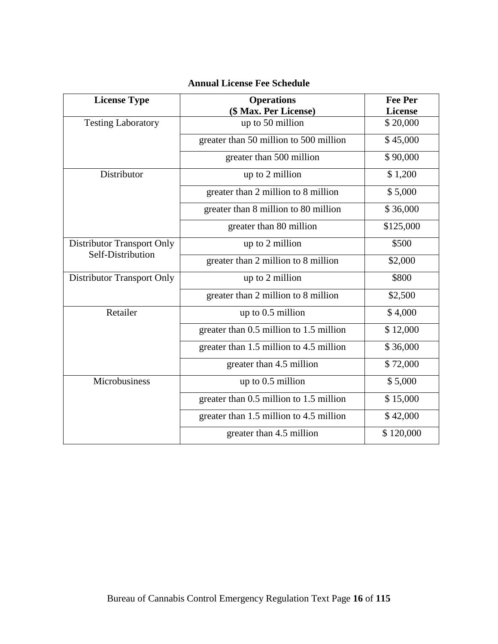| <b>License Type</b>                                    | <b>Operations</b>                       | <b>Fee Per</b> |
|--------------------------------------------------------|-----------------------------------------|----------------|
|                                                        | (\$ Max. Per License)                   | <b>License</b> |
| <b>Testing Laboratory</b>                              | up to 50 million                        | \$20,000       |
|                                                        | greater than 50 million to 500 million  | \$45,000       |
|                                                        | greater than 500 million                | \$90,000       |
| Distributor                                            | up to 2 million                         | \$1,200        |
|                                                        | greater than 2 million to 8 million     | \$5,000        |
|                                                        | greater than 8 million to 80 million    | \$36,000       |
|                                                        | greater than 80 million                 | \$125,000      |
| <b>Distributor Transport Only</b><br>Self-Distribution | up to 2 million                         | \$500          |
|                                                        | greater than 2 million to 8 million     | \$2,000        |
| <b>Distributor Transport Only</b>                      | up to 2 million                         | \$800          |
|                                                        | greater than 2 million to 8 million     | \$2,500        |
| Retailer                                               | up to 0.5 million                       | \$4,000        |
|                                                        | greater than 0.5 million to 1.5 million | \$12,000       |
|                                                        | greater than 1.5 million to 4.5 million | \$36,000       |
|                                                        | greater than 4.5 million                | \$72,000       |
| Microbusiness                                          | up to 0.5 million                       | \$5,000        |
|                                                        | greater than 0.5 million to 1.5 million | \$15,000       |
|                                                        | greater than 1.5 million to 4.5 million | \$42,000       |
|                                                        | greater than 4.5 million                | \$120,000      |

# **Annual License Fee Schedule**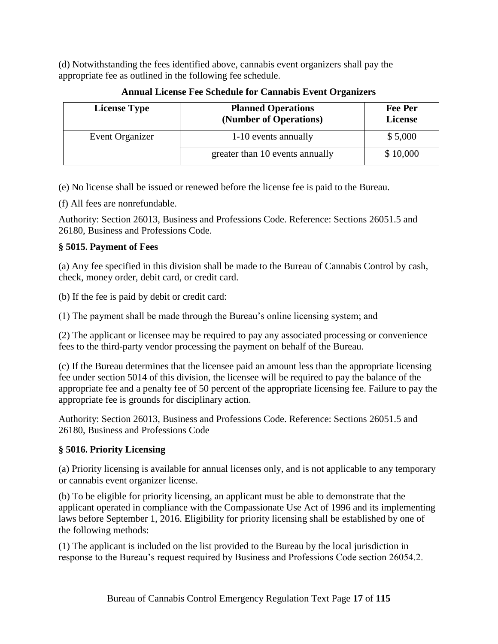(d) Notwithstanding the fees identified above, cannabis event organizers shall pay the appropriate fee as outlined in the following fee schedule.

| <b>License Type</b> | <b>Planned Operations</b><br>(Number of Operations) | <b>Fee Per</b><br><b>License</b> |
|---------------------|-----------------------------------------------------|----------------------------------|
| Event Organizer     | 1-10 events annually                                | \$5,000                          |
|                     | greater than 10 events annually                     | \$10,000                         |

### **Annual License Fee Schedule for Cannabis Event Organizers**

(e) No license shall be issued or renewed before the license fee is paid to the Bureau.

(f) All fees are nonrefundable.

Authority: Section 26013, Business and Professions Code. Reference: Sections 26051.5 and 26180, Business and Professions Code.

# **§ 5015. Payment of Fees**

(a) Any fee specified in this division shall be made to the Bureau of Cannabis Control by cash, check, money order, debit card, or credit card.

(b) If the fee is paid by debit or credit card:

(1) The payment shall be made through the Bureau's online licensing system; and

(2) The applicant or licensee may be required to pay any associated processing or convenience fees to the third-party vendor processing the payment on behalf of the Bureau.

(c) If the Bureau determines that the licensee paid an amount less than the appropriate licensing fee under section 5014 of this division, the licensee will be required to pay the balance of the appropriate fee and a penalty fee of 50 percent of the appropriate licensing fee. Failure to pay the appropriate fee is grounds for disciplinary action.

Authority: Section 26013, Business and Professions Code. Reference: Sections 26051.5 and 26180, Business and Professions Code

# **§ 5016. Priority Licensing**

(a) Priority licensing is available for annual licenses only, and is not applicable to any temporary or cannabis event organizer license.

(b) To be eligible for priority licensing, an applicant must be able to demonstrate that the applicant operated in compliance with the Compassionate Use Act of 1996 and its implementing laws before September 1, 2016. Eligibility for priority licensing shall be established by one of the following methods:

(1) The applicant is included on the list provided to the Bureau by the local jurisdiction in response to the Bureau's request required by Business and Professions Code section 26054.2.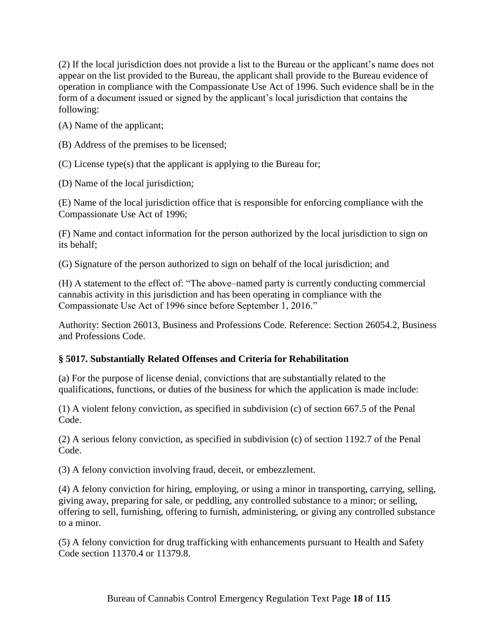(2) If the local jurisdiction does not provide a list to the Bureau or the applicant's name does not appear on the list provided to the Bureau, the applicant shall provide to the Bureau evidence of operation in compliance with the Compassionate Use Act of 1996. Such evidence shall be in the form of a document issued or signed by the applicant's local jurisdiction that contains the following:

(A) Name of the applicant;

(B) Address of the premises to be licensed;

(C) License type(s) that the applicant is applying to the Bureau for;

(D) Name of the local jurisdiction;

(E) Name of the local jurisdiction office that is responsible for enforcing compliance with the Compassionate Use Act of 1996;

(F) Name and contact information for the person authorized by the local jurisdiction to sign on its behalf;

(G) Signature of the person authorized to sign on behalf of the local jurisdiction; and

(H) A statement to the effect of: "The above–named party is currently conducting commercial cannabis activity in this jurisdiction and has been operating in compliance with the Compassionate Use Act of 1996 since before September 1, 2016."

Authority: Section 26013, Business and Professions Code. Reference: Section 26054.2, Business and Professions Code.

# **§ 5017. Substantially Related Offenses and Criteria for Rehabilitation**

(a) For the purpose of license denial, convictions that are substantially related to the qualifications, functions, or duties of the business for which the application is made include:

(1) A violent felony conviction, as specified in subdivision (c) of section 667.5 of the Penal Code.

(2) A serious felony conviction, as specified in subdivision (c) of section 1192.7 of the Penal Code.

(3) A felony conviction involving fraud, deceit, or embezzlement.

(4) A felony conviction for hiring, employing, or using a minor in transporting, carrying, selling, giving away, preparing for sale, or peddling, any controlled substance to a minor; or selling, offering to sell, furnishing, offering to furnish, administering, or giving any controlled substance to a minor.

(5) A felony conviction for drug trafficking with enhancements pursuant to Health and Safety Code section 11370.4 or 11379.8.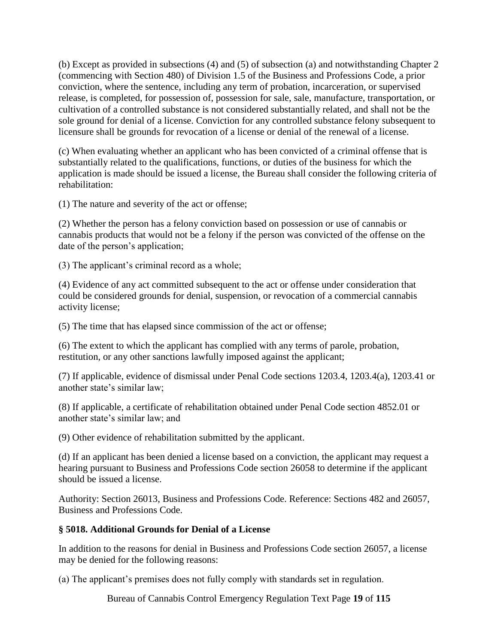(b) Except as provided in subsections (4) and (5) of subsection (a) and notwithstanding Chapter 2 (commencing with Section 480) of Division 1.5 of the Business and Professions Code, a prior conviction, where the sentence, including any term of probation, incarceration, or supervised release, is completed, for possession of, possession for sale, sale, manufacture, transportation, or cultivation of a controlled substance is not considered substantially related, and shall not be the sole ground for denial of a license. Conviction for any controlled substance felony subsequent to licensure shall be grounds for revocation of a license or denial of the renewal of a license.

(c) When evaluating whether an applicant who has been convicted of a criminal offense that is substantially related to the qualifications, functions, or duties of the business for which the application is made should be issued a license, the Bureau shall consider the following criteria of rehabilitation:

(1) The nature and severity of the act or offense;

(2) Whether the person has a felony conviction based on possession or use of cannabis or cannabis products that would not be a felony if the person was convicted of the offense on the date of the person's application;

(3) The applicant's criminal record as a whole;

(4) Evidence of any act committed subsequent to the act or offense under consideration that could be considered grounds for denial, suspension, or revocation of a commercial cannabis activity license;

(5) The time that has elapsed since commission of the act or offense;

(6) The extent to which the applicant has complied with any terms of parole, probation, restitution, or any other sanctions lawfully imposed against the applicant;

(7) If applicable, evidence of dismissal under Penal Code sections 1203.4, 1203.4(a), 1203.41 or another state's similar law;

(8) If applicable, a certificate of rehabilitation obtained under Penal Code section 4852.01 or another state's similar law; and

(9) Other evidence of rehabilitation submitted by the applicant.

(d) If an applicant has been denied a license based on a conviction, the applicant may request a hearing pursuant to Business and Professions Code section 26058 to determine if the applicant should be issued a license.

Authority: Section 26013, Business and Professions Code. Reference: Sections 482 and 26057, Business and Professions Code.

# **§ 5018. Additional Grounds for Denial of a License**

In addition to the reasons for denial in Business and Professions Code section 26057, a license may be denied for the following reasons:

(a) The applicant's premises does not fully comply with standards set in regulation.

Bureau of Cannabis Control Emergency Regulation Text Page **19** of **115**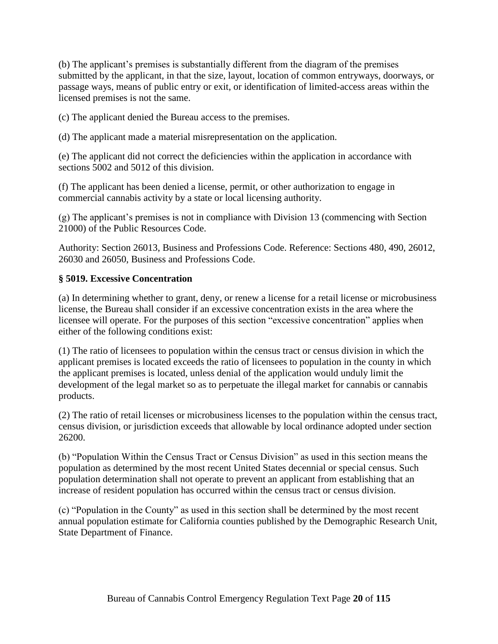(b) The applicant's premises is substantially different from the diagram of the premises submitted by the applicant, in that the size, layout, location of common entryways, doorways, or passage ways, means of public entry or exit, or identification of limited-access areas within the licensed premises is not the same.

(c) The applicant denied the Bureau access to the premises.

(d) The applicant made a material misrepresentation on the application.

(e) The applicant did not correct the deficiencies within the application in accordance with sections 5002 and 5012 of this division.

(f) The applicant has been denied a license, permit, or other authorization to engage in commercial cannabis activity by a state or local licensing authority.

(g) The applicant's premises is not in compliance with Division 13 (commencing with Section 21000) of the Public Resources Code.

Authority: Section 26013, Business and Professions Code. Reference: Sections 480, 490, 26012, 26030 and 26050, Business and Professions Code.

#### **§ 5019. Excessive Concentration**

(a) In determining whether to grant, deny, or renew a license for a retail license or microbusiness license, the Bureau shall consider if an excessive concentration exists in the area where the licensee will operate. For the purposes of this section "excessive concentration" applies when either of the following conditions exist:

(1) The ratio of licensees to population within the census tract or census division in which the applicant premises is located exceeds the ratio of licensees to population in the county in which the applicant premises is located, unless denial of the application would unduly limit the development of the legal market so as to perpetuate the illegal market for cannabis or cannabis products.

(2) The ratio of retail licenses or microbusiness licenses to the population within the census tract, census division, or jurisdiction exceeds that allowable by local ordinance adopted under section 26200.

(b) "Population Within the Census Tract or Census Division" as used in this section means the population as determined by the most recent United States decennial or special census. Such population determination shall not operate to prevent an applicant from establishing that an increase of resident population has occurred within the census tract or census division.

(c) "Population in the County" as used in this section shall be determined by the most recent annual population estimate for California counties published by the Demographic Research Unit, State Department of Finance.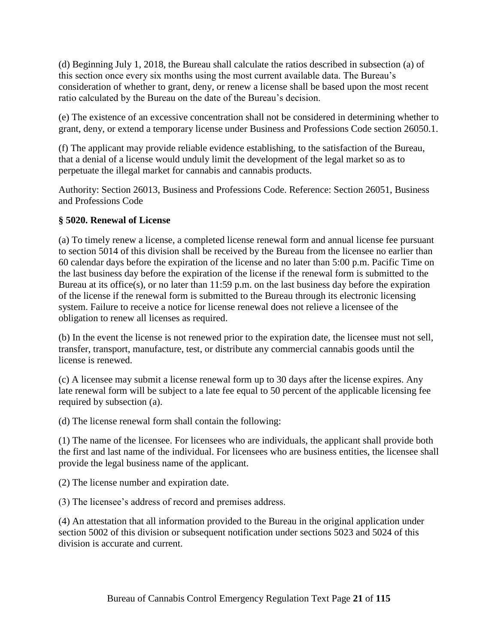(d) Beginning July 1, 2018, the Bureau shall calculate the ratios described in subsection (a) of this section once every six months using the most current available data. The Bureau's consideration of whether to grant, deny, or renew a license shall be based upon the most recent ratio calculated by the Bureau on the date of the Bureau's decision.

(e) The existence of an excessive concentration shall not be considered in determining whether to grant, deny, or extend a temporary license under Business and Professions Code section 26050.1.

(f) The applicant may provide reliable evidence establishing, to the satisfaction of the Bureau, that a denial of a license would unduly limit the development of the legal market so as to perpetuate the illegal market for cannabis and cannabis products.

Authority: Section 26013, Business and Professions Code. Reference: Section 26051, Business and Professions Code

### **§ 5020. Renewal of License**

(a) To timely renew a license, a completed license renewal form and annual license fee pursuant to section 5014 of this division shall be received by the Bureau from the licensee no earlier than 60 calendar days before the expiration of the license and no later than 5:00 p.m. Pacific Time on the last business day before the expiration of the license if the renewal form is submitted to the Bureau at its office(s), or no later than  $11:59$  p.m. on the last business day before the expiration of the license if the renewal form is submitted to the Bureau through its electronic licensing system. Failure to receive a notice for license renewal does not relieve a licensee of the obligation to renew all licenses as required.

(b) In the event the license is not renewed prior to the expiration date, the licensee must not sell, transfer, transport, manufacture, test, or distribute any commercial cannabis goods until the license is renewed.

(c) A licensee may submit a license renewal form up to 30 days after the license expires. Any late renewal form will be subject to a late fee equal to 50 percent of the applicable licensing fee required by subsection (a).

(d) The license renewal form shall contain the following:

(1) The name of the licensee. For licensees who are individuals, the applicant shall provide both the first and last name of the individual. For licensees who are business entities, the licensee shall provide the legal business name of the applicant.

(2) The license number and expiration date.

(3) The licensee's address of record and premises address.

(4) An attestation that all information provided to the Bureau in the original application under section 5002 of this division or subsequent notification under sections 5023 and 5024 of this division is accurate and current.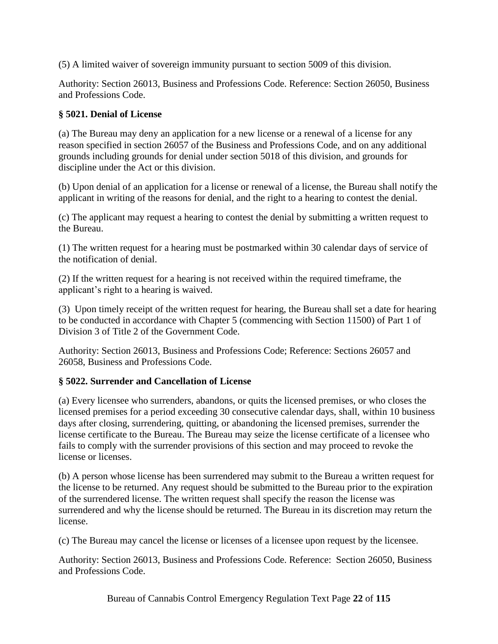(5) A limited waiver of sovereign immunity pursuant to section 5009 of this division.

Authority: Section 26013, Business and Professions Code. Reference: Section 26050, Business and Professions Code.

## **§ 5021. Denial of License**

(a) The Bureau may deny an application for a new license or a renewal of a license for any reason specified in section 26057 of the Business and Professions Code, and on any additional grounds including grounds for denial under section 5018 of this division, and grounds for discipline under the Act or this division.

(b) Upon denial of an application for a license or renewal of a license, the Bureau shall notify the applicant in writing of the reasons for denial, and the right to a hearing to contest the denial.

(c) The applicant may request a hearing to contest the denial by submitting a written request to the Bureau.

(1) The written request for a hearing must be postmarked within 30 calendar days of service of the notification of denial.

(2) If the written request for a hearing is not received within the required timeframe, the applicant's right to a hearing is waived.

(3) Upon timely receipt of the written request for hearing, the Bureau shall set a date for hearing to be conducted in accordance with Chapter 5 (commencing with Section 11500) of Part 1 of Division 3 of Title 2 of the Government Code.

Authority: Section 26013, Business and Professions Code; Reference: Sections 26057 and 26058, Business and Professions Code.

# **§ 5022. Surrender and Cancellation of License**

(a) Every licensee who surrenders, abandons, or quits the licensed premises, or who closes the licensed premises for a period exceeding 30 consecutive calendar days, shall, within 10 business days after closing, surrendering, quitting, or abandoning the licensed premises, surrender the license certificate to the Bureau. The Bureau may seize the license certificate of a licensee who fails to comply with the surrender provisions of this section and may proceed to revoke the license or licenses.

(b) A person whose license has been surrendered may submit to the Bureau a written request for the license to be returned. Any request should be submitted to the Bureau prior to the expiration of the surrendered license. The written request shall specify the reason the license was surrendered and why the license should be returned. The Bureau in its discretion may return the license.

(c) The Bureau may cancel the license or licenses of a licensee upon request by the licensee.

Authority: Section 26013, Business and Professions Code. Reference: Section 26050, Business and Professions Code.

Bureau of Cannabis Control Emergency Regulation Text Page **22** of **115**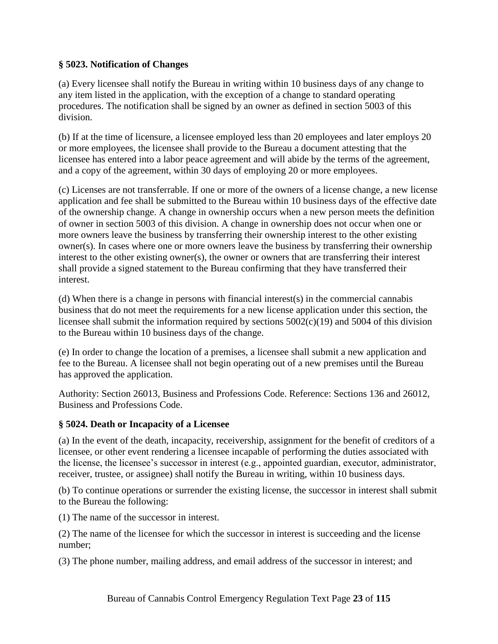### **§ 5023. Notification of Changes**

(a) Every licensee shall notify the Bureau in writing within 10 business days of any change to any item listed in the application, with the exception of a change to standard operating procedures. The notification shall be signed by an owner as defined in section 5003 of this division.

(b) If at the time of licensure, a licensee employed less than 20 employees and later employs 20 or more employees, the licensee shall provide to the Bureau a document attesting that the licensee has entered into a labor peace agreement and will abide by the terms of the agreement, and a copy of the agreement, within 30 days of employing 20 or more employees.

(c) Licenses are not transferrable. If one or more of the owners of a license change, a new license application and fee shall be submitted to the Bureau within 10 business days of the effective date of the ownership change. A change in ownership occurs when a new person meets the definition of owner in section 5003 of this division. A change in ownership does not occur when one or more owners leave the business by transferring their ownership interest to the other existing owner(s). In cases where one or more owners leave the business by transferring their ownership interest to the other existing owner(s), the owner or owners that are transferring their interest shall provide a signed statement to the Bureau confirming that they have transferred their interest.

(d) When there is a change in persons with financial interest(s) in the commercial cannabis business that do not meet the requirements for a new license application under this section, the licensee shall submit the information required by sections  $5002(c)(19)$  and  $5004$  of this division to the Bureau within 10 business days of the change.

(e) In order to change the location of a premises, a licensee shall submit a new application and fee to the Bureau. A licensee shall not begin operating out of a new premises until the Bureau has approved the application.

Authority: Section 26013, Business and Professions Code. Reference: Sections 136 and 26012, Business and Professions Code.

### **§ 5024. Death or Incapacity of a Licensee**

(a) In the event of the death, incapacity, receivership, assignment for the benefit of creditors of a licensee, or other event rendering a licensee incapable of performing the duties associated with the license, the licensee's successor in interest (e.g., appointed guardian, executor, administrator, receiver, trustee, or assignee) shall notify the Bureau in writing, within 10 business days.

(b) To continue operations or surrender the existing license, the successor in interest shall submit to the Bureau the following:

(1) The name of the successor in interest.

(2) The name of the licensee for which the successor in interest is succeeding and the license number;

(3) The phone number, mailing address, and email address of the successor in interest; and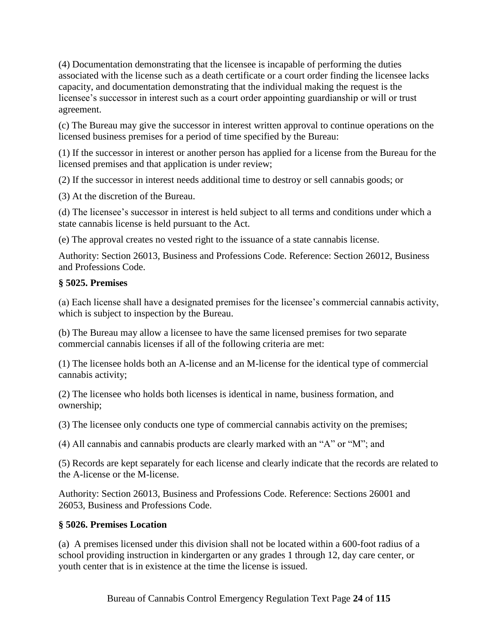(4) Documentation demonstrating that the licensee is incapable of performing the duties associated with the license such as a death certificate or a court order finding the licensee lacks capacity, and documentation demonstrating that the individual making the request is the licensee's successor in interest such as a court order appointing guardianship or will or trust agreement.

(c) The Bureau may give the successor in interest written approval to continue operations on the licensed business premises for a period of time specified by the Bureau:

(1) If the successor in interest or another person has applied for a license from the Bureau for the licensed premises and that application is under review;

(2) If the successor in interest needs additional time to destroy or sell cannabis goods; or

(3) At the discretion of the Bureau.

(d) The licensee's successor in interest is held subject to all terms and conditions under which a state cannabis license is held pursuant to the Act.

(e) The approval creates no vested right to the issuance of a state cannabis license.

Authority: Section 26013, Business and Professions Code. Reference: Section 26012, Business and Professions Code.

### **§ 5025. Premises**

(a) Each license shall have a designated premises for the licensee's commercial cannabis activity, which is subject to inspection by the Bureau.

(b) The Bureau may allow a licensee to have the same licensed premises for two separate commercial cannabis licenses if all of the following criteria are met:

(1) The licensee holds both an A-license and an M-license for the identical type of commercial cannabis activity;

(2) The licensee who holds both licenses is identical in name, business formation, and ownership;

(3) The licensee only conducts one type of commercial cannabis activity on the premises;

(4) All cannabis and cannabis products are clearly marked with an "A" or "M"; and

(5) Records are kept separately for each license and clearly indicate that the records are related to the A-license or the M-license.

Authority: Section 26013, Business and Professions Code. Reference: Sections 26001 and 26053, Business and Professions Code.

### **§ 5026. Premises Location**

(a) A premises licensed under this division shall not be located within a 600-foot radius of a school providing instruction in kindergarten or any grades 1 through 12, day care center, or youth center that is in existence at the time the license is issued.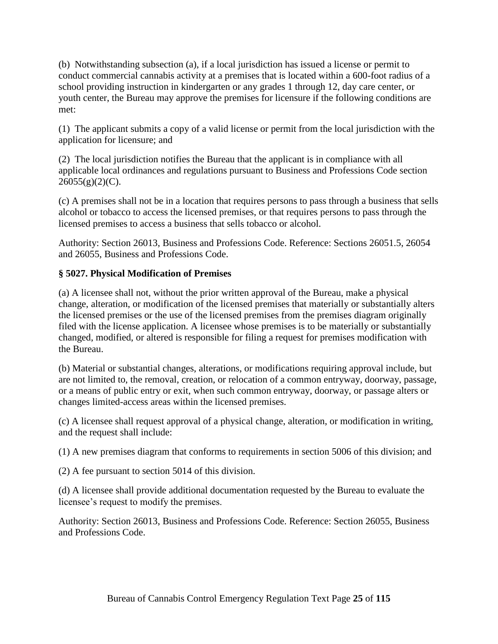(b) Notwithstanding subsection (a), if a local jurisdiction has issued a license or permit to conduct commercial cannabis activity at a premises that is located within a 600-foot radius of a school providing instruction in kindergarten or any grades 1 through 12, day care center, or youth center, the Bureau may approve the premises for licensure if the following conditions are met:

(1) The applicant submits a copy of a valid license or permit from the local jurisdiction with the application for licensure; and

(2) The local jurisdiction notifies the Bureau that the applicant is in compliance with all applicable local ordinances and regulations pursuant to Business and Professions Code section  $26055(g)(2)(C)$ .

(c) A premises shall not be in a location that requires persons to pass through a business that sells alcohol or tobacco to access the licensed premises, or that requires persons to pass through the licensed premises to access a business that sells tobacco or alcohol.

Authority: Section 26013, Business and Professions Code. Reference: Sections 26051.5, 26054 and 26055, Business and Professions Code.

# **§ 5027. Physical Modification of Premises**

(a) A licensee shall not, without the prior written approval of the Bureau, make a physical change, alteration, or modification of the licensed premises that materially or substantially alters the licensed premises or the use of the licensed premises from the premises diagram originally filed with the license application. A licensee whose premises is to be materially or substantially changed, modified, or altered is responsible for filing a request for premises modification with the Bureau.

(b) Material or substantial changes, alterations, or modifications requiring approval include, but are not limited to, the removal, creation, or relocation of a common entryway, doorway, passage, or a means of public entry or exit, when such common entryway, doorway, or passage alters or changes limited-access areas within the licensed premises.

(c) A licensee shall request approval of a physical change, alteration, or modification in writing, and the request shall include:

(1) A new premises diagram that conforms to requirements in section 5006 of this division; and

(2) A fee pursuant to section 5014 of this division.

(d) A licensee shall provide additional documentation requested by the Bureau to evaluate the licensee's request to modify the premises.

Authority: Section 26013, Business and Professions Code. Reference: Section 26055, Business and Professions Code.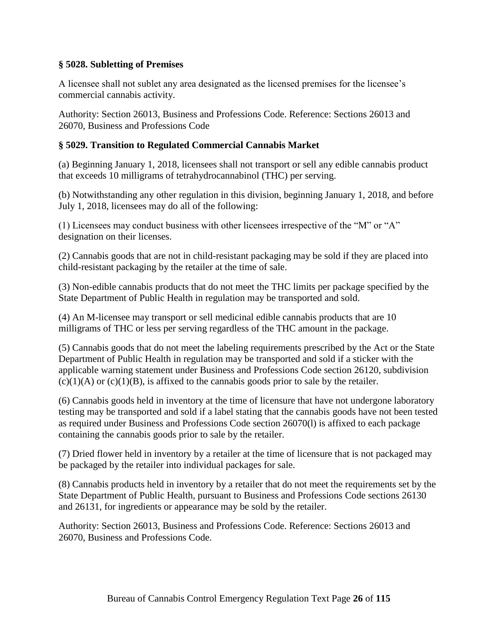#### **§ 5028. Subletting of Premises**

A licensee shall not sublet any area designated as the licensed premises for the licensee's commercial cannabis activity.

Authority: Section 26013, Business and Professions Code. Reference: Sections 26013 and 26070, Business and Professions Code

#### **§ 5029. Transition to Regulated Commercial Cannabis Market**

(a) Beginning January 1, 2018, licensees shall not transport or sell any edible cannabis product that exceeds 10 milligrams of tetrahydrocannabinol (THC) per serving.

(b) Notwithstanding any other regulation in this division, beginning January 1, 2018, and before July 1, 2018, licensees may do all of the following:

(1) Licensees may conduct business with other licensees irrespective of the "M" or "A" designation on their licenses.

(2) Cannabis goods that are not in child-resistant packaging may be sold if they are placed into child-resistant packaging by the retailer at the time of sale.

(3) Non-edible cannabis products that do not meet the THC limits per package specified by the State Department of Public Health in regulation may be transported and sold.

(4) An M-licensee may transport or sell medicinal edible cannabis products that are 10 milligrams of THC or less per serving regardless of the THC amount in the package.

(5) Cannabis goods that do not meet the labeling requirements prescribed by the Act or the State Department of Public Health in regulation may be transported and sold if a sticker with the applicable warning statement under Business and Professions Code section 26120, subdivision  $(c)(1)(A)$  or  $(c)(1)(B)$ , is affixed to the cannabis goods prior to sale by the retailer.

(6) Cannabis goods held in inventory at the time of licensure that have not undergone laboratory testing may be transported and sold if a label stating that the cannabis goods have not been tested as required under Business and Professions Code section 26070(l) is affixed to each package containing the cannabis goods prior to sale by the retailer.

(7) Dried flower held in inventory by a retailer at the time of licensure that is not packaged may be packaged by the retailer into individual packages for sale.

(8) Cannabis products held in inventory by a retailer that do not meet the requirements set by the State Department of Public Health, pursuant to Business and Professions Code sections 26130 and 26131, for ingredients or appearance may be sold by the retailer.

Authority: Section 26013, Business and Professions Code. Reference: Sections 26013 and 26070, Business and Professions Code.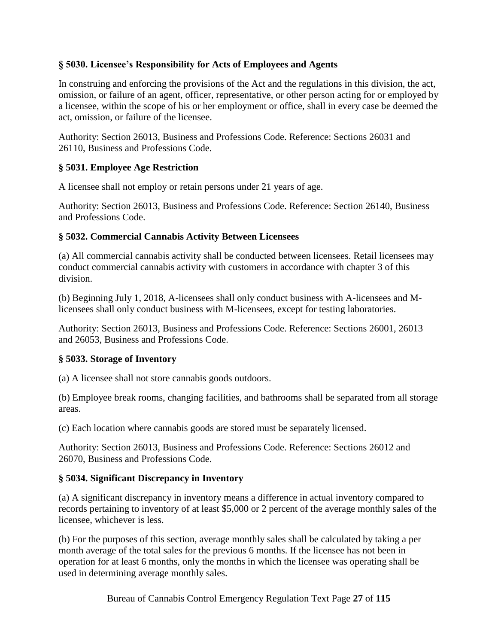### **§ 5030. Licensee's Responsibility for Acts of Employees and Agents**

In construing and enforcing the provisions of the Act and the regulations in this division, the act, omission, or failure of an agent, officer, representative, or other person acting for or employed by a licensee, within the scope of his or her employment or office, shall in every case be deemed the act, omission, or failure of the licensee.

Authority: Section 26013, Business and Professions Code. Reference: Sections 26031 and 26110, Business and Professions Code.

## **§ 5031. Employee Age Restriction**

A licensee shall not employ or retain persons under 21 years of age.

Authority: Section 26013, Business and Professions Code. Reference: Section 26140, Business and Professions Code.

## **§ 5032. Commercial Cannabis Activity Between Licensees**

(a) All commercial cannabis activity shall be conducted between licensees. Retail licensees may conduct commercial cannabis activity with customers in accordance with chapter 3 of this division.

(b) Beginning July 1, 2018, A-licensees shall only conduct business with A-licensees and Mlicensees shall only conduct business with M-licensees, except for testing laboratories.

Authority: Section 26013, Business and Professions Code. Reference: Sections 26001, 26013 and 26053, Business and Professions Code.

### **§ 5033. Storage of Inventory**

(a) A licensee shall not store cannabis goods outdoors.

(b) Employee break rooms, changing facilities, and bathrooms shall be separated from all storage areas.

(c) Each location where cannabis goods are stored must be separately licensed.

Authority: Section 26013, Business and Professions Code. Reference: Sections 26012 and 26070, Business and Professions Code.

### **§ 5034. Significant Discrepancy in Inventory**

(a) A significant discrepancy in inventory means a difference in actual inventory compared to records pertaining to inventory of at least \$5,000 or 2 percent of the average monthly sales of the licensee, whichever is less.

(b) For the purposes of this section, average monthly sales shall be calculated by taking a per month average of the total sales for the previous 6 months. If the licensee has not been in operation for at least 6 months, only the months in which the licensee was operating shall be used in determining average monthly sales.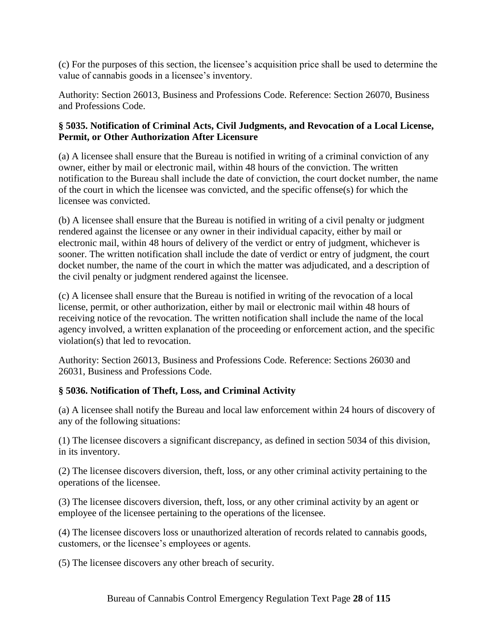(c) For the purposes of this section, the licensee's acquisition price shall be used to determine the value of cannabis goods in a licensee's inventory.

Authority: Section 26013, Business and Professions Code. Reference: Section 26070, Business and Professions Code.

### **§ 5035. Notification of Criminal Acts, Civil Judgments, and Revocation of a Local License, Permit, or Other Authorization After Licensure**

(a) A licensee shall ensure that the Bureau is notified in writing of a criminal conviction of any owner, either by mail or electronic mail, within 48 hours of the conviction. The written notification to the Bureau shall include the date of conviction, the court docket number, the name of the court in which the licensee was convicted, and the specific offense(s) for which the licensee was convicted.

(b) A licensee shall ensure that the Bureau is notified in writing of a civil penalty or judgment rendered against the licensee or any owner in their individual capacity, either by mail or electronic mail, within 48 hours of delivery of the verdict or entry of judgment, whichever is sooner. The written notification shall include the date of verdict or entry of judgment, the court docket number, the name of the court in which the matter was adjudicated, and a description of the civil penalty or judgment rendered against the licensee.

(c) A licensee shall ensure that the Bureau is notified in writing of the revocation of a local license, permit, or other authorization, either by mail or electronic mail within 48 hours of receiving notice of the revocation. The written notification shall include the name of the local agency involved, a written explanation of the proceeding or enforcement action, and the specific violation(s) that led to revocation.

Authority: Section 26013, Business and Professions Code. Reference: Sections 26030 and 26031, Business and Professions Code.

# **§ 5036. Notification of Theft, Loss, and Criminal Activity**

(a) A licensee shall notify the Bureau and local law enforcement within 24 hours of discovery of any of the following situations:

(1) The licensee discovers a significant discrepancy, as defined in section 5034 of this division, in its inventory.

(2) The licensee discovers diversion, theft, loss, or any other criminal activity pertaining to the operations of the licensee.

(3) The licensee discovers diversion, theft, loss, or any other criminal activity by an agent or employee of the licensee pertaining to the operations of the licensee.

(4) The licensee discovers loss or unauthorized alteration of records related to cannabis goods, customers, or the licensee's employees or agents.

(5) The licensee discovers any other breach of security.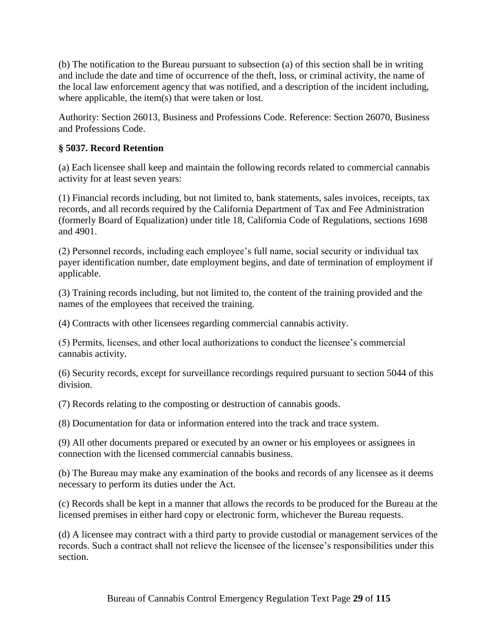(b) The notification to the Bureau pursuant to subsection (a) of this section shall be in writing and include the date and time of occurrence of the theft, loss, or criminal activity, the name of the local law enforcement agency that was notified, and a description of the incident including, where applicable, the item(s) that were taken or lost.

Authority: Section 26013, Business and Professions Code. Reference: Section 26070, Business and Professions Code.

#### **§ 5037. Record Retention**

(a) Each licensee shall keep and maintain the following records related to commercial cannabis activity for at least seven years:

(1) Financial records including, but not limited to, bank statements, sales invoices, receipts, tax records, and all records required by the California Department of Tax and Fee Administration (formerly Board of Equalization) under title 18, California Code of Regulations, sections 1698 and 4901.

(2) Personnel records, including each employee's full name, social security or individual tax payer identification number, date employment begins, and date of termination of employment if applicable.

(3) Training records including, but not limited to, the content of the training provided and the names of the employees that received the training.

(4) Contracts with other licensees regarding commercial cannabis activity.

(5) Permits, licenses, and other local authorizations to conduct the licensee's commercial cannabis activity.

(6) Security records, except for surveillance recordings required pursuant to section 5044 of this division.

(7) Records relating to the composting or destruction of cannabis goods.

(8) Documentation for data or information entered into the track and trace system.

(9) All other documents prepared or executed by an owner or his employees or assignees in connection with the licensed commercial cannabis business.

(b) The Bureau may make any examination of the books and records of any licensee as it deems necessary to perform its duties under the Act.

(c) Records shall be kept in a manner that allows the records to be produced for the Bureau at the licensed premises in either hard copy or electronic form, whichever the Bureau requests.

(d) A licensee may contract with a third party to provide custodial or management services of the records. Such a contract shall not relieve the licensee of the licensee's responsibilities under this section.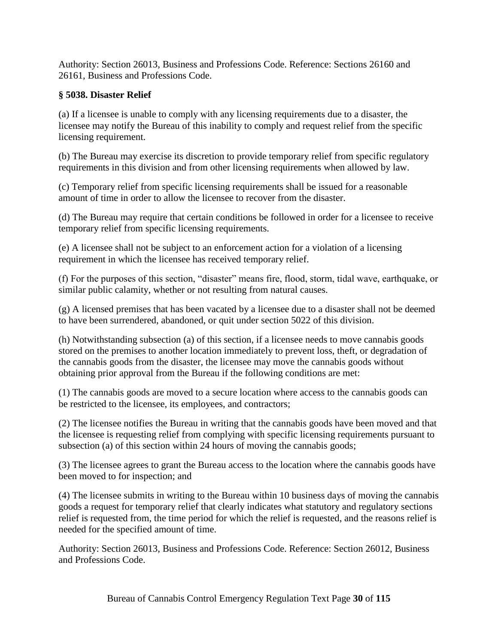Authority: Section 26013, Business and Professions Code. Reference: Sections 26160 and 26161, Business and Professions Code.

#### **§ 5038. Disaster Relief**

(a) If a licensee is unable to comply with any licensing requirements due to a disaster, the licensee may notify the Bureau of this inability to comply and request relief from the specific licensing requirement.

(b) The Bureau may exercise its discretion to provide temporary relief from specific regulatory requirements in this division and from other licensing requirements when allowed by law.

(c) Temporary relief from specific licensing requirements shall be issued for a reasonable amount of time in order to allow the licensee to recover from the disaster.

(d) The Bureau may require that certain conditions be followed in order for a licensee to receive temporary relief from specific licensing requirements.

(e) A licensee shall not be subject to an enforcement action for a violation of a licensing requirement in which the licensee has received temporary relief.

(f) For the purposes of this section, "disaster" means fire, flood, storm, tidal wave, earthquake, or similar public calamity, whether or not resulting from natural causes.

(g) A licensed premises that has been vacated by a licensee due to a disaster shall not be deemed to have been surrendered, abandoned, or quit under section 5022 of this division.

(h) Notwithstanding subsection (a) of this section, if a licensee needs to move cannabis goods stored on the premises to another location immediately to prevent loss, theft, or degradation of the cannabis goods from the disaster, the licensee may move the cannabis goods without obtaining prior approval from the Bureau if the following conditions are met:

(1) The cannabis goods are moved to a secure location where access to the cannabis goods can be restricted to the licensee, its employees, and contractors;

(2) The licensee notifies the Bureau in writing that the cannabis goods have been moved and that the licensee is requesting relief from complying with specific licensing requirements pursuant to subsection (a) of this section within 24 hours of moving the cannabis goods;

(3) The licensee agrees to grant the Bureau access to the location where the cannabis goods have been moved to for inspection; and

(4) The licensee submits in writing to the Bureau within 10 business days of moving the cannabis goods a request for temporary relief that clearly indicates what statutory and regulatory sections relief is requested from, the time period for which the relief is requested, and the reasons relief is needed for the specified amount of time.

Authority: Section 26013, Business and Professions Code. Reference: Section 26012, Business and Professions Code.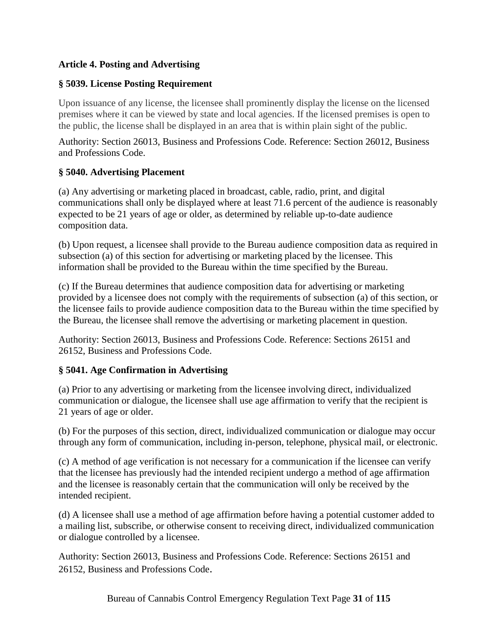### **Article 4. Posting and Advertising**

### **§ 5039. License Posting Requirement**

Upon issuance of any license, the licensee shall prominently display the license on the licensed premises where it can be viewed by state and local agencies. If the licensed premises is open to the public, the license shall be displayed in an area that is within plain sight of the public.

Authority: Section 26013, Business and Professions Code. Reference: Section 26012, Business and Professions Code.

## **§ 5040. Advertising Placement**

(a) Any advertising or marketing placed in broadcast, cable, radio, print, and digital communications shall only be displayed where at least 71.6 percent of the audience is reasonably expected to be 21 years of age or older, as determined by reliable up-to-date audience composition data.

(b) Upon request, a licensee shall provide to the Bureau audience composition data as required in subsection (a) of this section for advertising or marketing placed by the licensee. This information shall be provided to the Bureau within the time specified by the Bureau.

(c) If the Bureau determines that audience composition data for advertising or marketing provided by a licensee does not comply with the requirements of subsection (a) of this section, or the licensee fails to provide audience composition data to the Bureau within the time specified by the Bureau, the licensee shall remove the advertising or marketing placement in question.

Authority: Section 26013, Business and Professions Code. Reference: Sections 26151 and 26152, Business and Professions Code.

# **§ 5041. Age Confirmation in Advertising**

(a) Prior to any advertising or marketing from the licensee involving direct, individualized communication or dialogue, the licensee shall use age affirmation to verify that the recipient is 21 years of age or older.

(b) For the purposes of this section, direct, individualized communication or dialogue may occur through any form of communication, including in-person, telephone, physical mail, or electronic.

(c) A method of age verification is not necessary for a communication if the licensee can verify that the licensee has previously had the intended recipient undergo a method of age affirmation and the licensee is reasonably certain that the communication will only be received by the intended recipient.

(d) A licensee shall use a method of age affirmation before having a potential customer added to a mailing list, subscribe, or otherwise consent to receiving direct, individualized communication or dialogue controlled by a licensee.

Authority: Section 26013, Business and Professions Code. Reference: Sections 26151 and 26152, Business and Professions Code.

Bureau of Cannabis Control Emergency Regulation Text Page **31** of **115**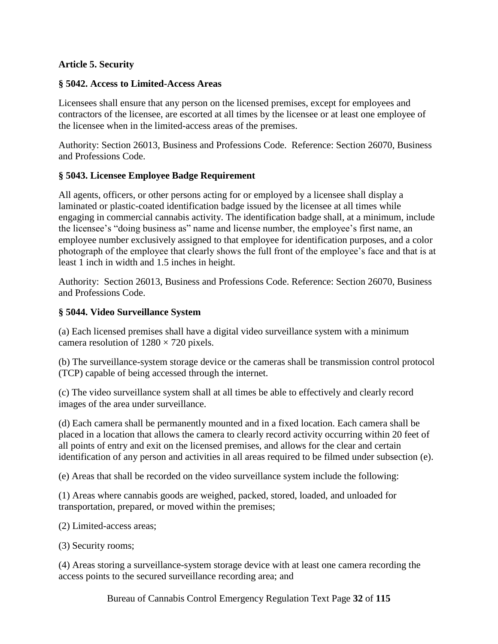### **Article 5. Security**

#### **§ 5042. Access to Limited-Access Areas**

Licensees shall ensure that any person on the licensed premises, except for employees and contractors of the licensee, are escorted at all times by the licensee or at least one employee of the licensee when in the limited-access areas of the premises.

Authority: Section 26013, Business and Professions Code. Reference: Section 26070, Business and Professions Code.

#### **§ 5043. Licensee Employee Badge Requirement**

All agents, officers, or other persons acting for or employed by a licensee shall display a laminated or plastic-coated identification badge issued by the licensee at all times while engaging in commercial cannabis activity. The identification badge shall, at a minimum, include the licensee's "doing business as" name and license number, the employee's first name, an employee number exclusively assigned to that employee for identification purposes, and a color photograph of the employee that clearly shows the full front of the employee's face and that is at least 1 inch in width and 1.5 inches in height.

Authority: Section 26013, Business and Professions Code. Reference: Section 26070, Business and Professions Code.

#### **§ 5044. Video Surveillance System**

(a) Each licensed premises shall have a digital video surveillance system with a minimum camera resolution of  $1280 \times 720$  pixels.

(b) The surveillance-system storage device or the cameras shall be transmission control protocol (TCP) capable of being accessed through the internet.

(c) The video surveillance system shall at all times be able to effectively and clearly record images of the area under surveillance.

(d) Each camera shall be permanently mounted and in a fixed location. Each camera shall be placed in a location that allows the camera to clearly record activity occurring within 20 feet of all points of entry and exit on the licensed premises, and allows for the clear and certain identification of any person and activities in all areas required to be filmed under subsection (e).

(e) Areas that shall be recorded on the video surveillance system include the following:

(1) Areas where cannabis goods are weighed, packed, stored, loaded, and unloaded for transportation, prepared, or moved within the premises;

(2) Limited-access areas;

(3) Security rooms;

(4) Areas storing a surveillance-system storage device with at least one camera recording the access points to the secured surveillance recording area; and

Bureau of Cannabis Control Emergency Regulation Text Page **32** of **115**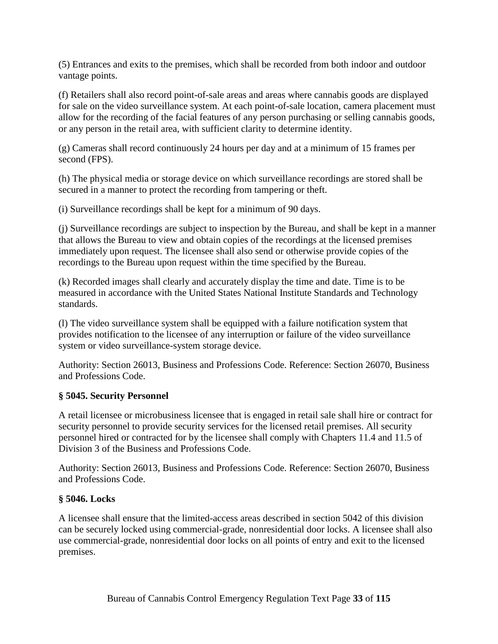(5) Entrances and exits to the premises, which shall be recorded from both indoor and outdoor vantage points.

(f) Retailers shall also record point-of-sale areas and areas where cannabis goods are displayed for sale on the video surveillance system. At each point-of-sale location, camera placement must allow for the recording of the facial features of any person purchasing or selling cannabis goods, or any person in the retail area, with sufficient clarity to determine identity.

(g) Cameras shall record continuously 24 hours per day and at a minimum of 15 frames per second (FPS).

(h) The physical media or storage device on which surveillance recordings are stored shall be secured in a manner to protect the recording from tampering or theft.

(i) Surveillance recordings shall be kept for a minimum of 90 days.

(j) Surveillance recordings are subject to inspection by the Bureau, and shall be kept in a manner that allows the Bureau to view and obtain copies of the recordings at the licensed premises immediately upon request. The licensee shall also send or otherwise provide copies of the recordings to the Bureau upon request within the time specified by the Bureau.

(k) Recorded images shall clearly and accurately display the time and date. Time is to be measured in accordance with the United States National Institute Standards and Technology standards.

(l) The video surveillance system shall be equipped with a failure notification system that provides notification to the licensee of any interruption or failure of the video surveillance system or video surveillance-system storage device.

Authority: Section 26013, Business and Professions Code. Reference: Section 26070, Business and Professions Code.

### **§ 5045. Security Personnel**

A retail licensee or microbusiness licensee that is engaged in retail sale shall hire or contract for security personnel to provide security services for the licensed retail premises. All security personnel hired or contracted for by the licensee shall comply with Chapters 11.4 and 11.5 of Division 3 of the Business and Professions Code.

Authority: Section 26013, Business and Professions Code. Reference: Section 26070, Business and Professions Code.

#### **§ 5046. Locks**

A licensee shall ensure that the limited-access areas described in section 5042 of this division can be securely locked using commercial-grade, nonresidential door locks. A licensee shall also use commercial-grade, nonresidential door locks on all points of entry and exit to the licensed premises.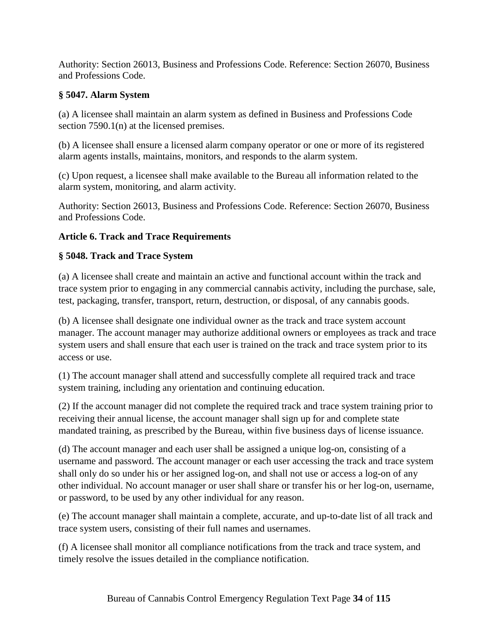Authority: Section 26013, Business and Professions Code. Reference: Section 26070, Business and Professions Code.

### **§ 5047. Alarm System**

(a) A licensee shall maintain an alarm system as defined in Business and Professions Code section 7590.1(n) at the licensed premises.

(b) A licensee shall ensure a licensed alarm company operator or one or more of its registered alarm agents installs, maintains, monitors, and responds to the alarm system.

(c) Upon request, a licensee shall make available to the Bureau all information related to the alarm system, monitoring, and alarm activity.

Authority: Section 26013, Business and Professions Code. Reference: Section 26070, Business and Professions Code.

## **Article 6. Track and Trace Requirements**

## **§ 5048. Track and Trace System**

(a) A licensee shall create and maintain an active and functional account within the track and trace system prior to engaging in any commercial cannabis activity, including the purchase, sale, test, packaging, transfer, transport, return, destruction, or disposal, of any cannabis goods.

(b) A licensee shall designate one individual owner as the track and trace system account manager. The account manager may authorize additional owners or employees as track and trace system users and shall ensure that each user is trained on the track and trace system prior to its access or use.

(1) The account manager shall attend and successfully complete all required track and trace system training, including any orientation and continuing education.

(2) If the account manager did not complete the required track and trace system training prior to receiving their annual license, the account manager shall sign up for and complete state mandated training, as prescribed by the Bureau, within five business days of license issuance.

(d) The account manager and each user shall be assigned a unique log-on, consisting of a username and password. The account manager or each user accessing the track and trace system shall only do so under his or her assigned log-on, and shall not use or access a log-on of any other individual. No account manager or user shall share or transfer his or her log-on, username, or password, to be used by any other individual for any reason.

(e) The account manager shall maintain a complete, accurate, and up-to-date list of all track and trace system users, consisting of their full names and usernames.

(f) A licensee shall monitor all compliance notifications from the track and trace system, and timely resolve the issues detailed in the compliance notification.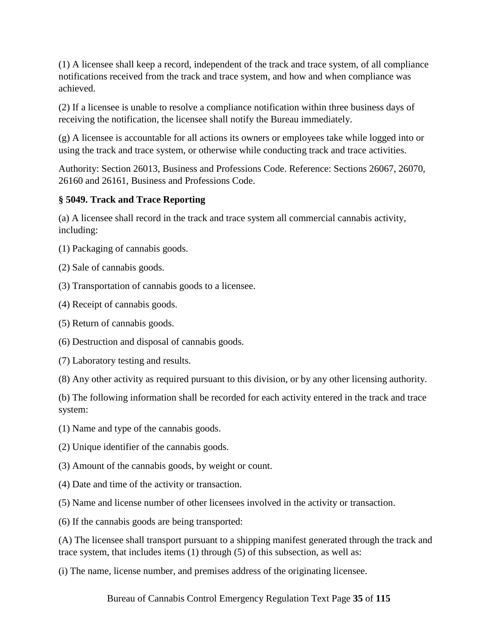(1) A licensee shall keep a record, independent of the track and trace system, of all compliance notifications received from the track and trace system, and how and when compliance was achieved.

(2) If a licensee is unable to resolve a compliance notification within three business days of receiving the notification, the licensee shall notify the Bureau immediately.

(g) A licensee is accountable for all actions its owners or employees take while logged into or using the track and trace system, or otherwise while conducting track and trace activities.

Authority: Section 26013, Business and Professions Code. Reference: Sections 26067, 26070, 26160 and 26161, Business and Professions Code.

## **§ 5049. Track and Trace Reporting**

(a) A licensee shall record in the track and trace system all commercial cannabis activity, including:

- (1) Packaging of cannabis goods.
- (2) Sale of cannabis goods.
- (3) Transportation of cannabis goods to a licensee.
- (4) Receipt of cannabis goods.
- (5) Return of cannabis goods.
- (6) Destruction and disposal of cannabis goods.
- (7) Laboratory testing and results.

(8) Any other activity as required pursuant to this division, or by any other licensing authority.

(b) The following information shall be recorded for each activity entered in the track and trace system:

- (1) Name and type of the cannabis goods.
- (2) Unique identifier of the cannabis goods.
- (3) Amount of the cannabis goods, by weight or count.
- (4) Date and time of the activity or transaction.
- (5) Name and license number of other licensees involved in the activity or transaction.
- (6) If the cannabis goods are being transported:

(A) The licensee shall transport pursuant to a shipping manifest generated through the track and trace system, that includes items (1) through (5) of this subsection, as well as:

(i) The name, license number, and premises address of the originating licensee.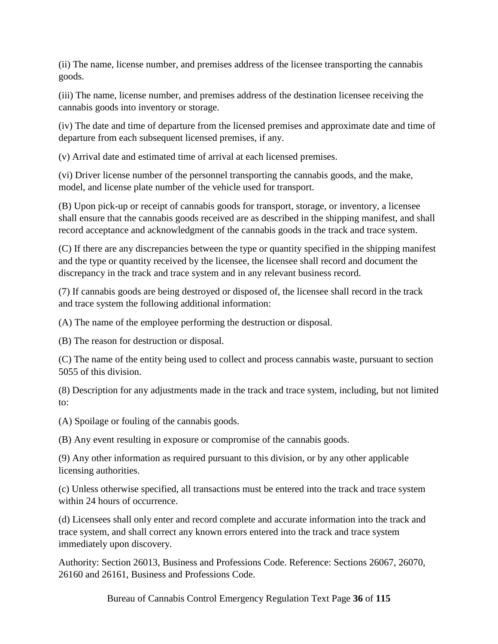(ii) The name, license number, and premises address of the licensee transporting the cannabis goods.

(iii) The name, license number, and premises address of the destination licensee receiving the cannabis goods into inventory or storage.

(iv) The date and time of departure from the licensed premises and approximate date and time of departure from each subsequent licensed premises, if any.

(v) Arrival date and estimated time of arrival at each licensed premises.

(vi) Driver license number of the personnel transporting the cannabis goods, and the make, model, and license plate number of the vehicle used for transport.

(B) Upon pick-up or receipt of cannabis goods for transport, storage, or inventory, a licensee shall ensure that the cannabis goods received are as described in the shipping manifest, and shall record acceptance and acknowledgment of the cannabis goods in the track and trace system.

(C) If there are any discrepancies between the type or quantity specified in the shipping manifest and the type or quantity received by the licensee, the licensee shall record and document the discrepancy in the track and trace system and in any relevant business record.

(7) If cannabis goods are being destroyed or disposed of, the licensee shall record in the track and trace system the following additional information:

(A) The name of the employee performing the destruction or disposal.

(B) The reason for destruction or disposal.

(C) The name of the entity being used to collect and process cannabis waste, pursuant to section 5055 of this division.

(8) Description for any adjustments made in the track and trace system, including, but not limited to:

(A) Spoilage or fouling of the cannabis goods.

(B) Any event resulting in exposure or compromise of the cannabis goods.

(9) Any other information as required pursuant to this division, or by any other applicable licensing authorities.

(c) Unless otherwise specified, all transactions must be entered into the track and trace system within 24 hours of occurrence.

(d) Licensees shall only enter and record complete and accurate information into the track and trace system, and shall correct any known errors entered into the track and trace system immediately upon discovery.

Authority: Section 26013, Business and Professions Code. Reference: Sections 26067, 26070, 26160 and 26161, Business and Professions Code.

Bureau of Cannabis Control Emergency Regulation Text Page **36** of **115**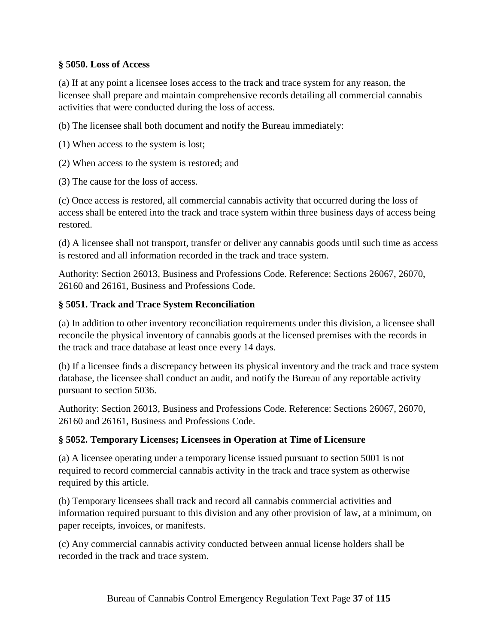## **§ 5050. Loss of Access**

(a) If at any point a licensee loses access to the track and trace system for any reason, the licensee shall prepare and maintain comprehensive records detailing all commercial cannabis activities that were conducted during the loss of access.

(b) The licensee shall both document and notify the Bureau immediately:

- (1) When access to the system is lost;
- (2) When access to the system is restored; and
- (3) The cause for the loss of access.

(c) Once access is restored, all commercial cannabis activity that occurred during the loss of access shall be entered into the track and trace system within three business days of access being restored.

(d) A licensee shall not transport, transfer or deliver any cannabis goods until such time as access is restored and all information recorded in the track and trace system.

Authority: Section 26013, Business and Professions Code. Reference: Sections 26067, 26070, 26160 and 26161, Business and Professions Code.

## **§ 5051. Track and Trace System Reconciliation**

(a) In addition to other inventory reconciliation requirements under this division, a licensee shall reconcile the physical inventory of cannabis goods at the licensed premises with the records in the track and trace database at least once every 14 days.

(b) If a licensee finds a discrepancy between its physical inventory and the track and trace system database, the licensee shall conduct an audit, and notify the Bureau of any reportable activity pursuant to section 5036.

Authority: Section 26013, Business and Professions Code. Reference: Sections 26067, 26070, 26160 and 26161, Business and Professions Code.

# **§ 5052. Temporary Licenses; Licensees in Operation at Time of Licensure**

(a) A licensee operating under a temporary license issued pursuant to section 5001 is not required to record commercial cannabis activity in the track and trace system as otherwise required by this article.

(b) Temporary licensees shall track and record all cannabis commercial activities and information required pursuant to this division and any other provision of law, at a minimum, on paper receipts, invoices, or manifests.

(c) Any commercial cannabis activity conducted between annual license holders shall be recorded in the track and trace system.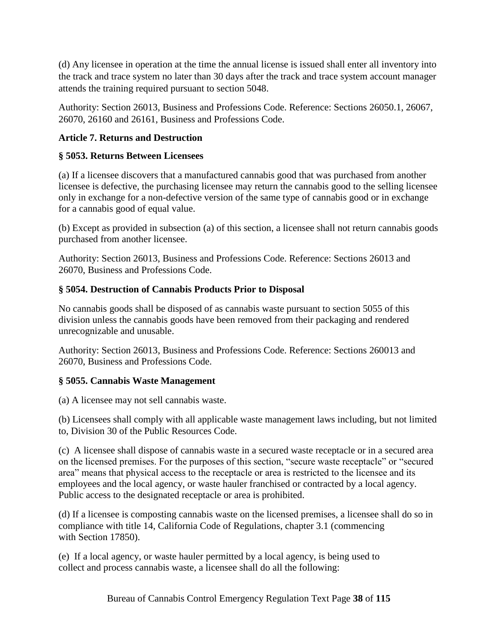(d) Any licensee in operation at the time the annual license is issued shall enter all inventory into the track and trace system no later than 30 days after the track and trace system account manager attends the training required pursuant to section 5048.

Authority: Section 26013, Business and Professions Code. Reference: Sections 26050.1, 26067, 26070, 26160 and 26161, Business and Professions Code.

# **Article 7. Returns and Destruction**

## **§ 5053. Returns Between Licensees**

(a) If a licensee discovers that a manufactured cannabis good that was purchased from another licensee is defective, the purchasing licensee may return the cannabis good to the selling licensee only in exchange for a non-defective version of the same type of cannabis good or in exchange for a cannabis good of equal value.

(b) Except as provided in subsection (a) of this section, a licensee shall not return cannabis goods purchased from another licensee.

Authority: Section 26013, Business and Professions Code. Reference: Sections 26013 and 26070, Business and Professions Code.

## **§ 5054. Destruction of Cannabis Products Prior to Disposal**

No cannabis goods shall be disposed of as cannabis waste pursuant to section 5055 of this division unless the cannabis goods have been removed from their packaging and rendered unrecognizable and unusable.

Authority: Section 26013, Business and Professions Code. Reference: Sections 260013 and 26070, Business and Professions Code.

## **§ 5055. Cannabis Waste Management**

(a) A licensee may not sell cannabis waste.

(b) Licensees shall comply with all applicable waste management laws including, but not limited to, Division 30 of the Public Resources Code.

(c) A licensee shall dispose of cannabis waste in a secured waste receptacle or in a secured area on the licensed premises. For the purposes of this section, "secure waste receptacle" or "secured area" means that physical access to the receptacle or area is restricted to the licensee and its employees and the local agency, or waste hauler franchised or contracted by a local agency. Public access to the designated receptacle or area is prohibited.

(d) If a licensee is composting cannabis waste on the licensed premises, a licensee shall do so in compliance with title 14, California Code of Regulations, chapter 3.1 (commencing with Section 17850).

(e) If a local agency, or waste hauler permitted by a local agency, is being used to collect and process cannabis waste, a licensee shall do all the following: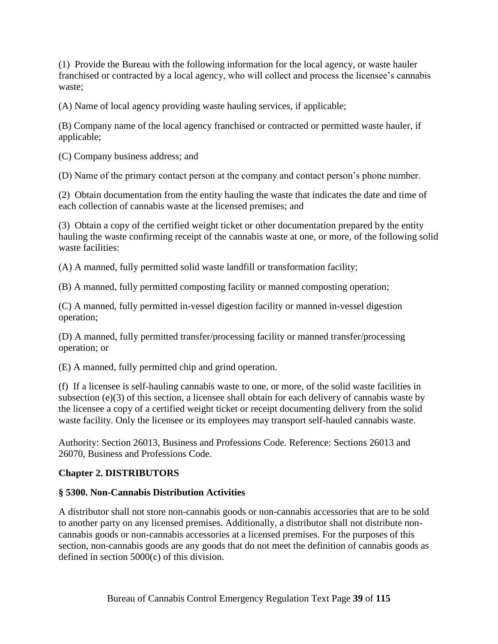(1) Provide the Bureau with the following information for the local agency, or waste hauler franchised or contracted by a local agency, who will collect and process the licensee's cannabis waste;

(A) Name of local agency providing waste hauling services, if applicable;

(B) Company name of the local agency franchised or contracted or permitted waste hauler, if applicable;

(C) Company business address; and

(D) Name of the primary contact person at the company and contact person's phone number.

(2) Obtain documentation from the entity hauling the waste that indicates the date and time of each collection of cannabis waste at the licensed premises; and

(3) Obtain a copy of the certified weight ticket or other documentation prepared by the entity hauling the waste confirming receipt of the cannabis waste at one, or more, of the following solid waste facilities:

(A) A manned, fully permitted solid waste landfill or transformation facility;

(B) A manned, fully permitted composting facility or manned composting operation;

(C) A manned, fully permitted in-vessel digestion facility or manned in-vessel digestion operation;

(D) A manned, fully permitted transfer/processing facility or manned transfer/processing operation; or

(E) A manned, fully permitted chip and grind operation.

(f) If a licensee is self-hauling cannabis waste to one, or more, of the solid waste facilities in subsection (e)(3) of this section, a licensee shall obtain for each delivery of cannabis waste by the licensee a copy of a certified weight ticket or receipt documenting delivery from the solid waste facility. Only the licensee or its employees may transport self-hauled cannabis waste.

Authority: Section 26013, Business and Professions Code. Reference: Sections 26013 and 26070, Business and Professions Code.

## **Chapter 2. DISTRIBUTORS**

#### **§ 5300. Non-Cannabis Distribution Activities**

A distributor shall not store non-cannabis goods or non-cannabis accessories that are to be sold to another party on any licensed premises. Additionally, a distributor shall not distribute noncannabis goods or non-cannabis accessories at a licensed premises. For the purposes of this section, non-cannabis goods are any goods that do not meet the definition of cannabis goods as defined in section 5000(c) of this division.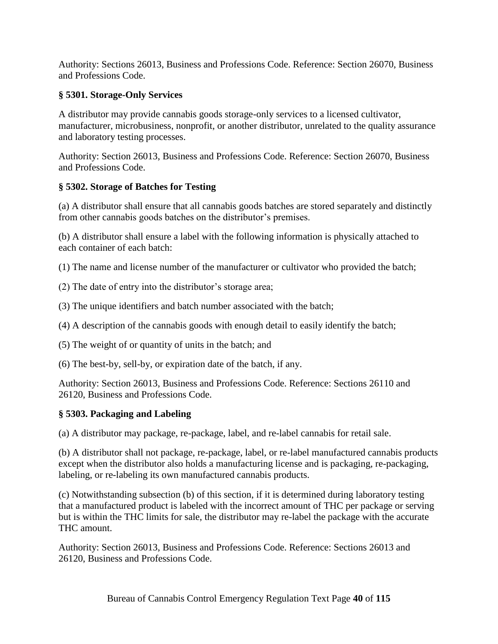Authority: Sections 26013, Business and Professions Code. Reference: Section 26070, Business and Professions Code.

## **§ 5301. Storage-Only Services**

A distributor may provide cannabis goods storage-only services to a licensed cultivator, manufacturer, microbusiness, nonprofit, or another distributor, unrelated to the quality assurance and laboratory testing processes.

Authority: Section 26013, Business and Professions Code. Reference: Section 26070, Business and Professions Code.

## **§ 5302. Storage of Batches for Testing**

(a) A distributor shall ensure that all cannabis goods batches are stored separately and distinctly from other cannabis goods batches on the distributor's premises.

(b) A distributor shall ensure a label with the following information is physically attached to each container of each batch:

(1) The name and license number of the manufacturer or cultivator who provided the batch;

(2) The date of entry into the distributor's storage area;

(3) The unique identifiers and batch number associated with the batch;

(4) A description of the cannabis goods with enough detail to easily identify the batch;

(5) The weight of or quantity of units in the batch; and

(6) The best-by, sell-by, or expiration date of the batch, if any.

Authority: Section 26013, Business and Professions Code. Reference: Sections 26110 and 26120, Business and Professions Code.

# **§ 5303. Packaging and Labeling**

(a) A distributor may package, re-package, label, and re-label cannabis for retail sale.

(b) A distributor shall not package, re-package, label, or re-label manufactured cannabis products except when the distributor also holds a manufacturing license and is packaging, re-packaging, labeling, or re-labeling its own manufactured cannabis products.

(c) Notwithstanding subsection (b) of this section, if it is determined during laboratory testing that a manufactured product is labeled with the incorrect amount of THC per package or serving but is within the THC limits for sale, the distributor may re-label the package with the accurate THC amount.

Authority: Section 26013, Business and Professions Code. Reference: Sections 26013 and 26120, Business and Professions Code.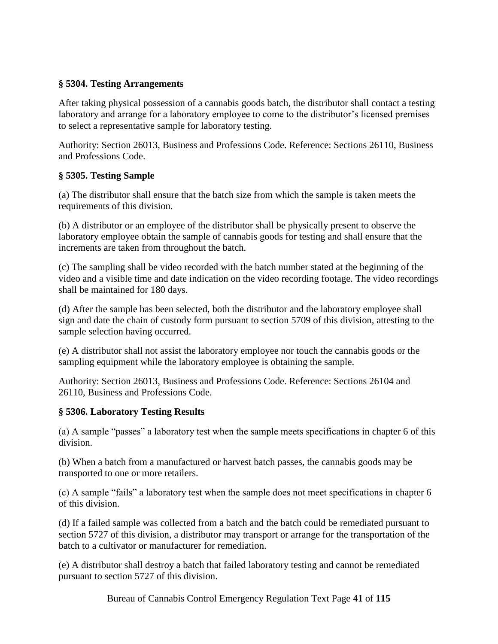### **§ 5304. Testing Arrangements**

After taking physical possession of a cannabis goods batch, the distributor shall contact a testing laboratory and arrange for a laboratory employee to come to the distributor's licensed premises to select a representative sample for laboratory testing.

Authority: Section 26013, Business and Professions Code. Reference: Sections 26110, Business and Professions Code.

### **§ 5305. Testing Sample**

(a) The distributor shall ensure that the batch size from which the sample is taken meets the requirements of this division.

(b) A distributor or an employee of the distributor shall be physically present to observe the laboratory employee obtain the sample of cannabis goods for testing and shall ensure that the increments are taken from throughout the batch.

(c) The sampling shall be video recorded with the batch number stated at the beginning of the video and a visible time and date indication on the video recording footage. The video recordings shall be maintained for 180 days.

(d) After the sample has been selected, both the distributor and the laboratory employee shall sign and date the chain of custody form pursuant to section 5709 of this division, attesting to the sample selection having occurred.

(e) A distributor shall not assist the laboratory employee nor touch the cannabis goods or the sampling equipment while the laboratory employee is obtaining the sample.

Authority: Section 26013, Business and Professions Code. Reference: Sections 26104 and 26110, Business and Professions Code.

## **§ 5306. Laboratory Testing Results**

(a) A sample "passes" a laboratory test when the sample meets specifications in chapter 6 of this division.

(b) When a batch from a manufactured or harvest batch passes, the cannabis goods may be transported to one or more retailers.

(c) A sample "fails" a laboratory test when the sample does not meet specifications in chapter 6 of this division.

(d) If a failed sample was collected from a batch and the batch could be remediated pursuant to section 5727 of this division, a distributor may transport or arrange for the transportation of the batch to a cultivator or manufacturer for remediation.

(e) A distributor shall destroy a batch that failed laboratory testing and cannot be remediated pursuant to section 5727 of this division.

Bureau of Cannabis Control Emergency Regulation Text Page **41** of **115**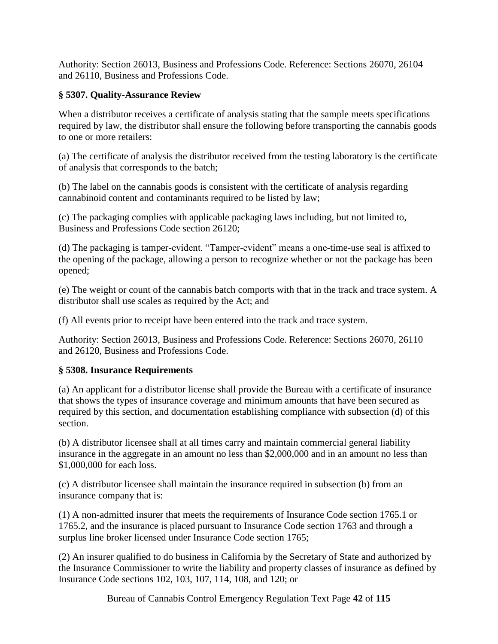Authority: Section 26013, Business and Professions Code. Reference: Sections 26070, 26104 and 26110, Business and Professions Code.

## **§ 5307. Quality-Assurance Review**

When a distributor receives a certificate of analysis stating that the sample meets specifications required by law, the distributor shall ensure the following before transporting the cannabis goods to one or more retailers:

(a) The certificate of analysis the distributor received from the testing laboratory is the certificate of analysis that corresponds to the batch;

(b) The label on the cannabis goods is consistent with the certificate of analysis regarding cannabinoid content and contaminants required to be listed by law;

(c) The packaging complies with applicable packaging laws including, but not limited to, Business and Professions Code section 26120;

(d) The packaging is tamper-evident. "Tamper-evident" means a one-time-use seal is affixed to the opening of the package, allowing a person to recognize whether or not the package has been opened;

(e) The weight or count of the cannabis batch comports with that in the track and trace system. A distributor shall use scales as required by the Act; and

(f) All events prior to receipt have been entered into the track and trace system.

Authority: Section 26013, Business and Professions Code. Reference: Sections 26070, 26110 and 26120, Business and Professions Code.

## **§ 5308. Insurance Requirements**

(a) An applicant for a distributor license shall provide the Bureau with a certificate of insurance that shows the types of insurance coverage and minimum amounts that have been secured as required by this section, and documentation establishing compliance with subsection (d) of this section.

(b) A distributor licensee shall at all times carry and maintain commercial general liability insurance in the aggregate in an amount no less than \$2,000,000 and in an amount no less than \$1,000,000 for each loss.

(c) A distributor licensee shall maintain the insurance required in subsection (b) from an insurance company that is:

(1) A non-admitted insurer that meets the requirements of Insurance Code section 1765.1 or 1765.2, and the insurance is placed pursuant to Insurance Code section 1763 and through a surplus line broker licensed under Insurance Code section 1765;

(2) An insurer qualified to do business in California by the Secretary of State and authorized by the Insurance Commissioner to write the liability and property classes of insurance as defined by Insurance Code sections 102, 103, 107, 114, 108, and 120; or

Bureau of Cannabis Control Emergency Regulation Text Page **42** of **115**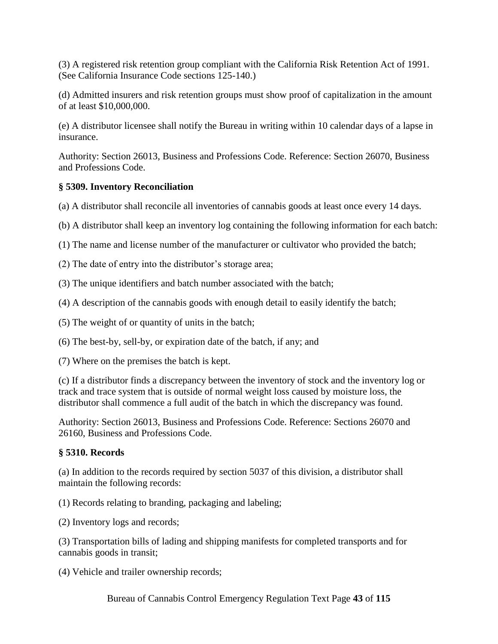(3) A registered risk retention group compliant with the California Risk Retention Act of 1991. (See California Insurance Code sections 125-140.)

(d) Admitted insurers and risk retention groups must show proof of capitalization in the amount of at least \$10,000,000.

(e) A distributor licensee shall notify the Bureau in writing within 10 calendar days of a lapse in insurance.

Authority: Section 26013, Business and Professions Code. Reference: Section 26070, Business and Professions Code.

## **§ 5309. Inventory Reconciliation**

- (a) A distributor shall reconcile all inventories of cannabis goods at least once every 14 days.
- (b) A distributor shall keep an inventory log containing the following information for each batch:
- (1) The name and license number of the manufacturer or cultivator who provided the batch;
- (2) The date of entry into the distributor's storage area;
- (3) The unique identifiers and batch number associated with the batch;
- (4) A description of the cannabis goods with enough detail to easily identify the batch;
- (5) The weight of or quantity of units in the batch;
- (6) The best-by, sell-by, or expiration date of the batch, if any; and
- (7) Where on the premises the batch is kept.

(c) If a distributor finds a discrepancy between the inventory of stock and the inventory log or track and trace system that is outside of normal weight loss caused by moisture loss, the distributor shall commence a full audit of the batch in which the discrepancy was found.

Authority: Section 26013, Business and Professions Code. Reference: Sections 26070 and 26160, Business and Professions Code.

## **§ 5310. Records**

(a) In addition to the records required by section 5037 of this division, a distributor shall maintain the following records:

(1) Records relating to branding, packaging and labeling;

(2) Inventory logs and records;

(3) Transportation bills of lading and shipping manifests for completed transports and for cannabis goods in transit;

(4) Vehicle and trailer ownership records;

Bureau of Cannabis Control Emergency Regulation Text Page **43** of **115**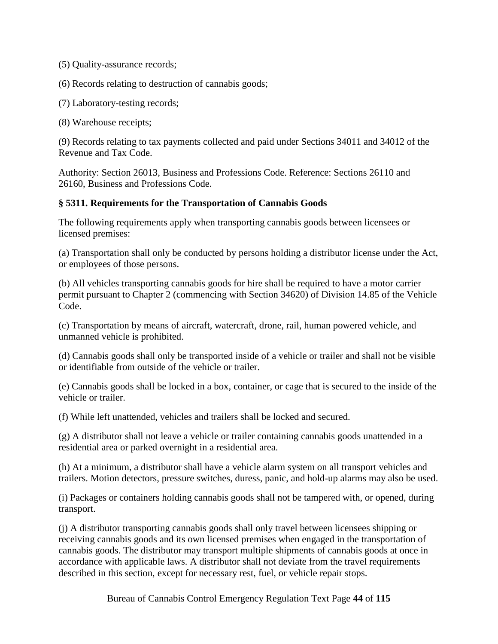(5) Quality-assurance records;

(6) Records relating to destruction of cannabis goods;

(7) Laboratory-testing records;

(8) Warehouse receipts;

(9) Records relating to tax payments collected and paid under Sections 34011 and 34012 of the Revenue and Tax Code.

Authority: Section 26013, Business and Professions Code. Reference: Sections 26110 and 26160, Business and Professions Code.

## **§ 5311. Requirements for the Transportation of Cannabis Goods**

The following requirements apply when transporting cannabis goods between licensees or licensed premises:

(a) Transportation shall only be conducted by persons holding a distributor license under the Act, or employees of those persons.

(b) All vehicles transporting cannabis goods for hire shall be required to have a motor carrier permit pursuant to Chapter 2 (commencing with Section 34620) of Division 14.85 of the Vehicle Code.

(c) Transportation by means of aircraft, watercraft, drone, rail, human powered vehicle, and unmanned vehicle is prohibited.

(d) Cannabis goods shall only be transported inside of a vehicle or trailer and shall not be visible or identifiable from outside of the vehicle or trailer.

(e) Cannabis goods shall be locked in a box, container, or cage that is secured to the inside of the vehicle or trailer.

(f) While left unattended, vehicles and trailers shall be locked and secured.

(g) A distributor shall not leave a vehicle or trailer containing cannabis goods unattended in a residential area or parked overnight in a residential area.

(h) At a minimum, a distributor shall have a vehicle alarm system on all transport vehicles and trailers. Motion detectors, pressure switches, duress, panic, and hold-up alarms may also be used.

(i) Packages or containers holding cannabis goods shall not be tampered with, or opened, during transport.

(j) A distributor transporting cannabis goods shall only travel between licensees shipping or receiving cannabis goods and its own licensed premises when engaged in the transportation of cannabis goods. The distributor may transport multiple shipments of cannabis goods at once in accordance with applicable laws. A distributor shall not deviate from the travel requirements described in this section, except for necessary rest, fuel, or vehicle repair stops.

Bureau of Cannabis Control Emergency Regulation Text Page **44** of **115**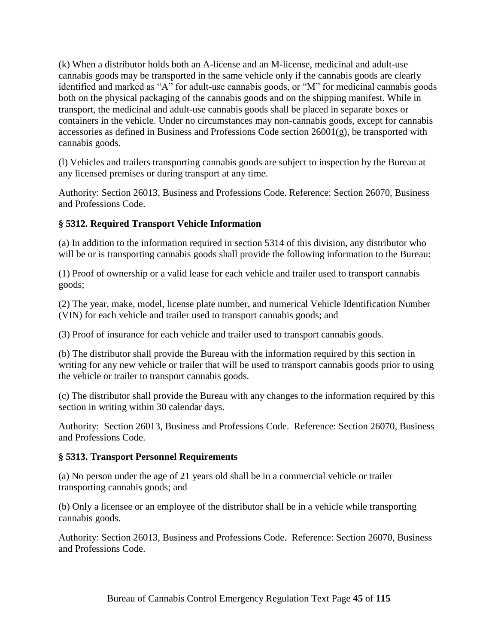(k) When a distributor holds both an A-license and an M-license, medicinal and adult-use cannabis goods may be transported in the same vehicle only if the cannabis goods are clearly identified and marked as "A" for adult-use cannabis goods, or "M" for medicinal cannabis goods both on the physical packaging of the cannabis goods and on the shipping manifest. While in transport, the medicinal and adult-use cannabis goods shall be placed in separate boxes or containers in the vehicle. Under no circumstances may non-cannabis goods, except for cannabis accessories as defined in Business and Professions Code section 26001(g), be transported with cannabis goods.

(l) Vehicles and trailers transporting cannabis goods are subject to inspection by the Bureau at any licensed premises or during transport at any time.

Authority: Section 26013, Business and Professions Code. Reference: Section 26070, Business and Professions Code.

## **§ 5312. Required Transport Vehicle Information**

(a) In addition to the information required in section 5314 of this division, any distributor who will be or is transporting cannabis goods shall provide the following information to the Bureau:

(1) Proof of ownership or a valid lease for each vehicle and trailer used to transport cannabis goods;

(2) The year, make, model, license plate number, and numerical Vehicle Identification Number (VIN) for each vehicle and trailer used to transport cannabis goods; and

(3) Proof of insurance for each vehicle and trailer used to transport cannabis goods.

(b) The distributor shall provide the Bureau with the information required by this section in writing for any new vehicle or trailer that will be used to transport cannabis goods prior to using the vehicle or trailer to transport cannabis goods.

(c) The distributor shall provide the Bureau with any changes to the information required by this section in writing within 30 calendar days.

Authority: Section 26013, Business and Professions Code. Reference: Section 26070, Business and Professions Code.

## **§ 5313. Transport Personnel Requirements**

(a) No person under the age of 21 years old shall be in a commercial vehicle or trailer transporting cannabis goods; and

(b) Only a licensee or an employee of the distributor shall be in a vehicle while transporting cannabis goods.

Authority: Section 26013, Business and Professions Code. Reference: Section 26070, Business and Professions Code.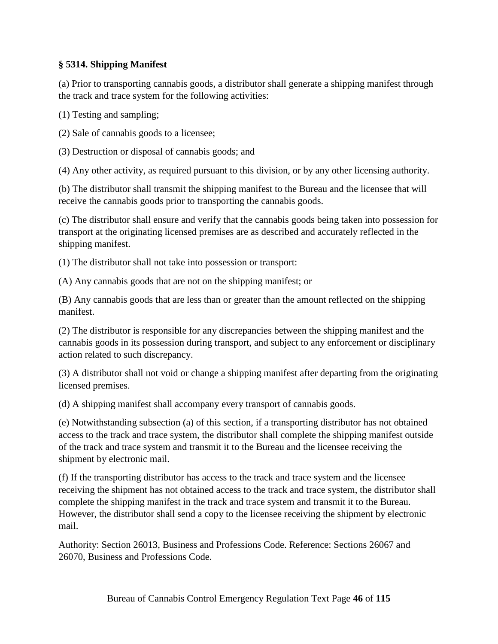## **§ 5314. Shipping Manifest**

(a) Prior to transporting cannabis goods, a distributor shall generate a shipping manifest through the track and trace system for the following activities:

(1) Testing and sampling;

(2) Sale of cannabis goods to a licensee;

(3) Destruction or disposal of cannabis goods; and

(4) Any other activity, as required pursuant to this division, or by any other licensing authority.

(b) The distributor shall transmit the shipping manifest to the Bureau and the licensee that will receive the cannabis goods prior to transporting the cannabis goods.

(c) The distributor shall ensure and verify that the cannabis goods being taken into possession for transport at the originating licensed premises are as described and accurately reflected in the shipping manifest.

(1) The distributor shall not take into possession or transport:

(A) Any cannabis goods that are not on the shipping manifest; or

(B) Any cannabis goods that are less than or greater than the amount reflected on the shipping manifest.

(2) The distributor is responsible for any discrepancies between the shipping manifest and the cannabis goods in its possession during transport, and subject to any enforcement or disciplinary action related to such discrepancy.

(3) A distributor shall not void or change a shipping manifest after departing from the originating licensed premises.

(d) A shipping manifest shall accompany every transport of cannabis goods.

(e) Notwithstanding subsection (a) of this section, if a transporting distributor has not obtained access to the track and trace system, the distributor shall complete the shipping manifest outside of the track and trace system and transmit it to the Bureau and the licensee receiving the shipment by electronic mail.

(f) If the transporting distributor has access to the track and trace system and the licensee receiving the shipment has not obtained access to the track and trace system, the distributor shall complete the shipping manifest in the track and trace system and transmit it to the Bureau. However, the distributor shall send a copy to the licensee receiving the shipment by electronic mail.

Authority: Section 26013, Business and Professions Code. Reference: Sections 26067 and 26070, Business and Professions Code.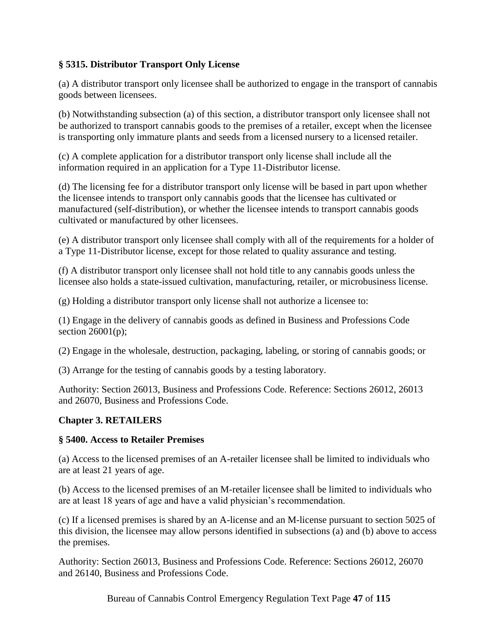# **§ 5315. Distributor Transport Only License**

(a) A distributor transport only licensee shall be authorized to engage in the transport of cannabis goods between licensees.

(b) Notwithstanding subsection (a) of this section, a distributor transport only licensee shall not be authorized to transport cannabis goods to the premises of a retailer, except when the licensee is transporting only immature plants and seeds from a licensed nursery to a licensed retailer.

(c) A complete application for a distributor transport only license shall include all the information required in an application for a Type 11-Distributor license.

(d) The licensing fee for a distributor transport only license will be based in part upon whether the licensee intends to transport only cannabis goods that the licensee has cultivated or manufactured (self-distribution), or whether the licensee intends to transport cannabis goods cultivated or manufactured by other licensees.

(e) A distributor transport only licensee shall comply with all of the requirements for a holder of a Type 11-Distributor license, except for those related to quality assurance and testing.

(f) A distributor transport only licensee shall not hold title to any cannabis goods unless the licensee also holds a state-issued cultivation, manufacturing, retailer, or microbusiness license.

(g) Holding a distributor transport only license shall not authorize a licensee to:

(1) Engage in the delivery of cannabis goods as defined in Business and Professions Code section  $26001(p)$ ;

(2) Engage in the wholesale, destruction, packaging, labeling, or storing of cannabis goods; or

(3) Arrange for the testing of cannabis goods by a testing laboratory.

Authority: Section 26013, Business and Professions Code. Reference: Sections 26012, 26013 and 26070, Business and Professions Code.

# **Chapter 3. RETAILERS**

## **§ 5400. Access to Retailer Premises**

(a) Access to the licensed premises of an A-retailer licensee shall be limited to individuals who are at least 21 years of age.

(b) Access to the licensed premises of an M-retailer licensee shall be limited to individuals who are at least 18 years of age and have a valid physician's recommendation.

(c) If a licensed premises is shared by an A-license and an M-license pursuant to section 5025 of this division, the licensee may allow persons identified in subsections (a) and (b) above to access the premises.

Authority: Section 26013, Business and Professions Code. Reference: Sections 26012, 26070 and 26140, Business and Professions Code.

Bureau of Cannabis Control Emergency Regulation Text Page **47** of **115**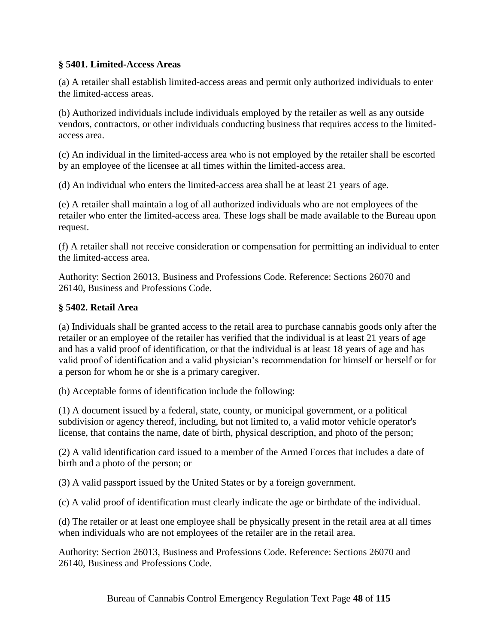### **§ 5401. Limited-Access Areas**

(a) A retailer shall establish limited-access areas and permit only authorized individuals to enter the limited-access areas.

(b) Authorized individuals include individuals employed by the retailer as well as any outside vendors, contractors, or other individuals conducting business that requires access to the limitedaccess area.

(c) An individual in the limited-access area who is not employed by the retailer shall be escorted by an employee of the licensee at all times within the limited-access area.

(d) An individual who enters the limited-access area shall be at least 21 years of age.

(e) A retailer shall maintain a log of all authorized individuals who are not employees of the retailer who enter the limited-access area. These logs shall be made available to the Bureau upon request.

(f) A retailer shall not receive consideration or compensation for permitting an individual to enter the limited-access area.

Authority: Section 26013, Business and Professions Code. Reference: Sections 26070 and 26140, Business and Professions Code.

### **§ 5402. Retail Area**

(a) Individuals shall be granted access to the retail area to purchase cannabis goods only after the retailer or an employee of the retailer has verified that the individual is at least 21 years of age and has a valid proof of identification, or that the individual is at least 18 years of age and has valid proof of identification and a valid physician's recommendation for himself or herself or for a person for whom he or she is a primary caregiver.

(b) Acceptable forms of identification include the following:

(1) A document issued by a federal, state, county, or municipal government, or a political subdivision or agency thereof, including, but not limited to, a valid motor vehicle operator's license, that contains the name, date of birth, physical description, and photo of the person;

(2) A valid identification card issued to a member of the Armed Forces that includes a date of birth and a photo of the person; or

(3) A valid passport issued by the United States or by a foreign government.

(c) A valid proof of identification must clearly indicate the age or birthdate of the individual.

(d) The retailer or at least one employee shall be physically present in the retail area at all times when individuals who are not employees of the retailer are in the retail area.

Authority: Section 26013, Business and Professions Code. Reference: Sections 26070 and 26140, Business and Professions Code.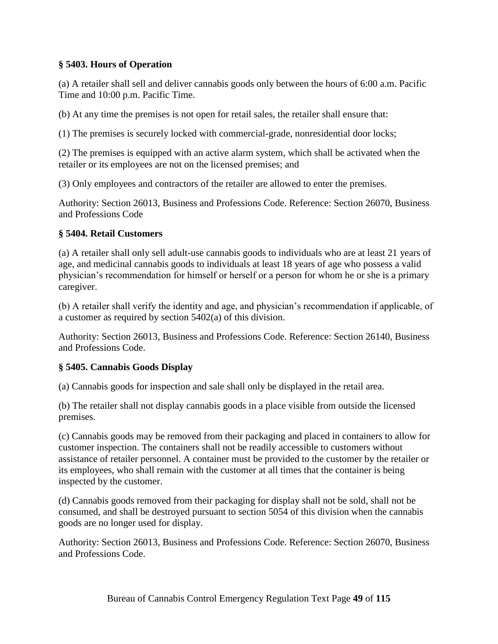### **§ 5403. Hours of Operation**

(a) A retailer shall sell and deliver cannabis goods only between the hours of 6:00 a.m. Pacific Time and 10:00 p.m. Pacific Time.

(b) At any time the premises is not open for retail sales, the retailer shall ensure that:

(1) The premises is securely locked with commercial-grade, nonresidential door locks;

(2) The premises is equipped with an active alarm system, which shall be activated when the retailer or its employees are not on the licensed premises; and

(3) Only employees and contractors of the retailer are allowed to enter the premises.

Authority: Section 26013, Business and Professions Code. Reference: Section 26070, Business and Professions Code

### **§ 5404. Retail Customers**

(a) A retailer shall only sell adult-use cannabis goods to individuals who are at least 21 years of age, and medicinal cannabis goods to individuals at least 18 years of age who possess a valid physician's recommendation for himself or herself or a person for whom he or she is a primary caregiver.

(b) A retailer shall verify the identity and age, and physician's recommendation if applicable, of a customer as required by section 5402(a) of this division.

Authority: Section 26013, Business and Professions Code. Reference: Section 26140, Business and Professions Code.

## **§ 5405. Cannabis Goods Display**

(a) Cannabis goods for inspection and sale shall only be displayed in the retail area.

(b) The retailer shall not display cannabis goods in a place visible from outside the licensed premises.

(c) Cannabis goods may be removed from their packaging and placed in containers to allow for customer inspection. The containers shall not be readily accessible to customers without assistance of retailer personnel. A container must be provided to the customer by the retailer or its employees, who shall remain with the customer at all times that the container is being inspected by the customer.

(d) Cannabis goods removed from their packaging for display shall not be sold, shall not be consumed, and shall be destroyed pursuant to section 5054 of this division when the cannabis goods are no longer used for display.

Authority: Section 26013, Business and Professions Code. Reference: Section 26070, Business and Professions Code.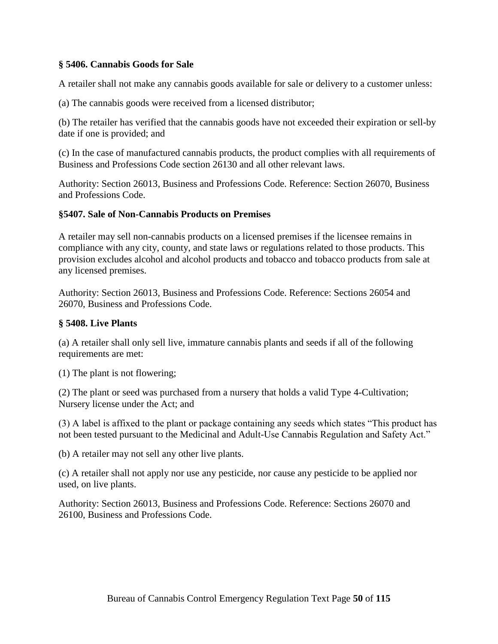### **§ 5406. Cannabis Goods for Sale**

A retailer shall not make any cannabis goods available for sale or delivery to a customer unless:

(a) The cannabis goods were received from a licensed distributor;

(b) The retailer has verified that the cannabis goods have not exceeded their expiration or sell-by date if one is provided; and

(c) In the case of manufactured cannabis products, the product complies with all requirements of Business and Professions Code section 26130 and all other relevant laws.

Authority: Section 26013, Business and Professions Code. Reference: Section 26070, Business and Professions Code.

#### **§5407. Sale of Non-Cannabis Products on Premises**

A retailer may sell non-cannabis products on a licensed premises if the licensee remains in compliance with any city, county, and state laws or regulations related to those products. This provision excludes alcohol and alcohol products and tobacco and tobacco products from sale at any licensed premises.

Authority: Section 26013, Business and Professions Code. Reference: Sections 26054 and 26070, Business and Professions Code.

#### **§ 5408. Live Plants**

(a) A retailer shall only sell live, immature cannabis plants and seeds if all of the following requirements are met:

(1) The plant is not flowering;

(2) The plant or seed was purchased from a nursery that holds a valid Type 4-Cultivation; Nursery license under the Act; and

(3) A label is affixed to the plant or package containing any seeds which states "This product has not been tested pursuant to the Medicinal and Adult-Use Cannabis Regulation and Safety Act."

(b) A retailer may not sell any other live plants.

(c) A retailer shall not apply nor use any pesticide, nor cause any pesticide to be applied nor used, on live plants.

Authority: Section 26013, Business and Professions Code. Reference: Sections 26070 and 26100, Business and Professions Code.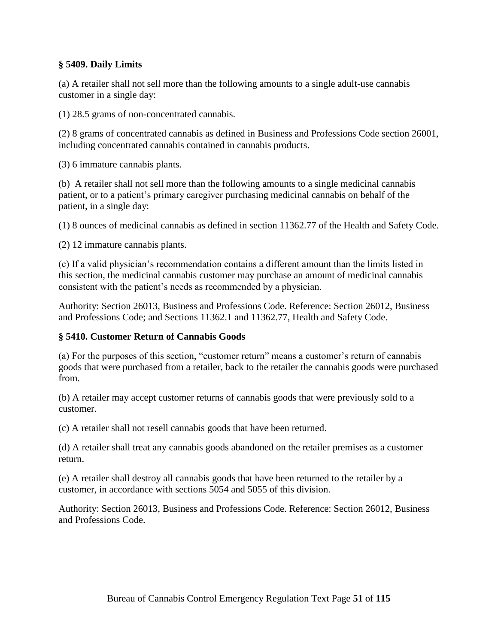### **§ 5409. Daily Limits**

(a) A retailer shall not sell more than the following amounts to a single adult-use cannabis customer in a single day:

(1) 28.5 grams of non-concentrated cannabis.

(2) 8 grams of concentrated cannabis as defined in Business and Professions Code section 26001, including concentrated cannabis contained in cannabis products.

(3) 6 immature cannabis plants.

(b) A retailer shall not sell more than the following amounts to a single medicinal cannabis patient, or to a patient's primary caregiver purchasing medicinal cannabis on behalf of the patient, in a single day:

(1) 8 ounces of medicinal cannabis as defined in section 11362.77 of the Health and Safety Code.

(2) 12 immature cannabis plants.

(c) If a valid physician's recommendation contains a different amount than the limits listed in this section, the medicinal cannabis customer may purchase an amount of medicinal cannabis consistent with the patient's needs as recommended by a physician.

Authority: Section 26013, Business and Professions Code. Reference: Section 26012, Business and Professions Code; and Sections 11362.1 and 11362.77, Health and Safety Code.

#### **§ 5410. Customer Return of Cannabis Goods**

(a) For the purposes of this section, "customer return" means a customer's return of cannabis goods that were purchased from a retailer, back to the retailer the cannabis goods were purchased from.

(b) A retailer may accept customer returns of cannabis goods that were previously sold to a customer.

(c) A retailer shall not resell cannabis goods that have been returned.

(d) A retailer shall treat any cannabis goods abandoned on the retailer premises as a customer return.

(e) A retailer shall destroy all cannabis goods that have been returned to the retailer by a customer, in accordance with sections 5054 and 5055 of this division.

Authority: Section 26013, Business and Professions Code. Reference: Section 26012, Business and Professions Code.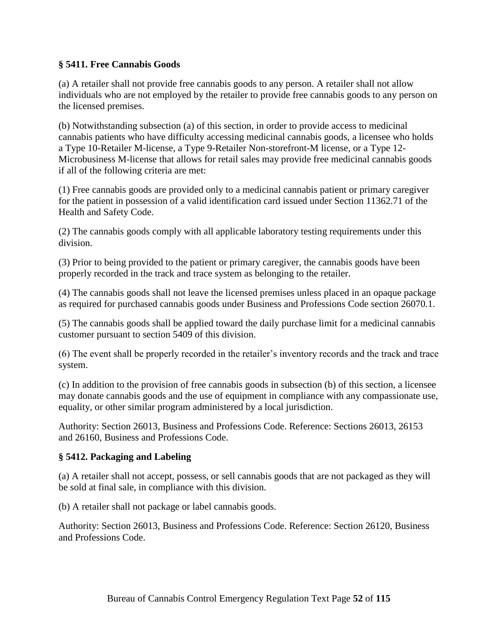## **§ 5411. Free Cannabis Goods**

(a) A retailer shall not provide free cannabis goods to any person. A retailer shall not allow individuals who are not employed by the retailer to provide free cannabis goods to any person on the licensed premises.

(b) Notwithstanding subsection (a) of this section, in order to provide access to medicinal cannabis patients who have difficulty accessing medicinal cannabis goods, a licensee who holds a Type 10-Retailer M-license, a Type 9-Retailer Non-storefront-M license, or a Type 12- Microbusiness M-license that allows for retail sales may provide free medicinal cannabis goods if all of the following criteria are met:

(1) Free cannabis goods are provided only to a medicinal cannabis patient or primary caregiver for the patient in possession of a valid identification card issued under Section 11362.71 of the Health and Safety Code.

(2) The cannabis goods comply with all applicable laboratory testing requirements under this division.

(3) Prior to being provided to the patient or primary caregiver, the cannabis goods have been properly recorded in the track and trace system as belonging to the retailer.

(4) The cannabis goods shall not leave the licensed premises unless placed in an opaque package as required for purchased cannabis goods under Business and Professions Code section 26070.1.

(5) The cannabis goods shall be applied toward the daily purchase limit for a medicinal cannabis customer pursuant to section 5409 of this division.

(6) The event shall be properly recorded in the retailer's inventory records and the track and trace system.

(c) In addition to the provision of free cannabis goods in subsection (b) of this section, a licensee may donate cannabis goods and the use of equipment in compliance with any compassionate use, equality, or other similar program administered by a local jurisdiction.

Authority: Section 26013, Business and Professions Code. Reference: Sections 26013, 26153 and 26160, Business and Professions Code.

## **§ 5412. Packaging and Labeling**

(a) A retailer shall not accept, possess, or sell cannabis goods that are not packaged as they will be sold at final sale, in compliance with this division.

(b) A retailer shall not package or label cannabis goods.

Authority: Section 26013, Business and Professions Code. Reference: Section 26120, Business and Professions Code.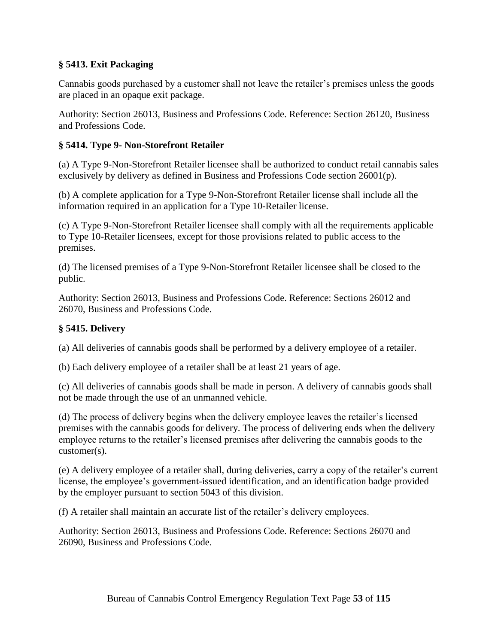## **§ 5413. Exit Packaging**

Cannabis goods purchased by a customer shall not leave the retailer's premises unless the goods are placed in an opaque exit package.

Authority: Section 26013, Business and Professions Code. Reference: Section 26120, Business and Professions Code.

## **§ 5414. Type 9- Non-Storefront Retailer**

(a) A Type 9-Non-Storefront Retailer licensee shall be authorized to conduct retail cannabis sales exclusively by delivery as defined in Business and Professions Code section 26001(p).

(b) A complete application for a Type 9-Non-Storefront Retailer license shall include all the information required in an application for a Type 10-Retailer license.

(c) A Type 9-Non-Storefront Retailer licensee shall comply with all the requirements applicable to Type 10-Retailer licensees, except for those provisions related to public access to the premises.

(d) The licensed premises of a Type 9-Non-Storefront Retailer licensee shall be closed to the public.

Authority: Section 26013, Business and Professions Code. Reference: Sections 26012 and 26070, Business and Professions Code.

## **§ 5415. Delivery**

(a) All deliveries of cannabis goods shall be performed by a delivery employee of a retailer.

(b) Each delivery employee of a retailer shall be at least 21 years of age.

(c) All deliveries of cannabis goods shall be made in person. A delivery of cannabis goods shall not be made through the use of an unmanned vehicle.

(d) The process of delivery begins when the delivery employee leaves the retailer's licensed premises with the cannabis goods for delivery. The process of delivering ends when the delivery employee returns to the retailer's licensed premises after delivering the cannabis goods to the customer(s).

(e) A delivery employee of a retailer shall, during deliveries, carry a copy of the retailer's current license, the employee's government-issued identification, and an identification badge provided by the employer pursuant to section 5043 of this division.

(f) A retailer shall maintain an accurate list of the retailer's delivery employees.

Authority: Section 26013, Business and Professions Code. Reference: Sections 26070 and 26090, Business and Professions Code.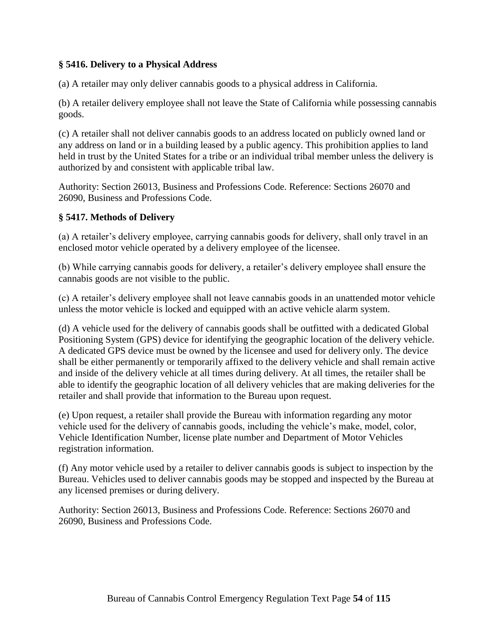## **§ 5416. Delivery to a Physical Address**

(a) A retailer may only deliver cannabis goods to a physical address in California.

(b) A retailer delivery employee shall not leave the State of California while possessing cannabis goods.

(c) A retailer shall not deliver cannabis goods to an address located on publicly owned land or any address on land or in a building leased by a public agency. This prohibition applies to land held in trust by the United States for a tribe or an individual tribal member unless the delivery is authorized by and consistent with applicable tribal law.

Authority: Section 26013, Business and Professions Code. Reference: Sections 26070 and 26090, Business and Professions Code.

## **§ 5417. Methods of Delivery**

(a) A retailer's delivery employee, carrying cannabis goods for delivery, shall only travel in an enclosed motor vehicle operated by a delivery employee of the licensee.

(b) While carrying cannabis goods for delivery, a retailer's delivery employee shall ensure the cannabis goods are not visible to the public.

(c) A retailer's delivery employee shall not leave cannabis goods in an unattended motor vehicle unless the motor vehicle is locked and equipped with an active vehicle alarm system.

(d) A vehicle used for the delivery of cannabis goods shall be outfitted with a dedicated Global Positioning System (GPS) device for identifying the geographic location of the delivery vehicle. A dedicated GPS device must be owned by the licensee and used for delivery only. The device shall be either permanently or temporarily affixed to the delivery vehicle and shall remain active and inside of the delivery vehicle at all times during delivery. At all times, the retailer shall be able to identify the geographic location of all delivery vehicles that are making deliveries for the retailer and shall provide that information to the Bureau upon request.

(e) Upon request, a retailer shall provide the Bureau with information regarding any motor vehicle used for the delivery of cannabis goods, including the vehicle's make, model, color, Vehicle Identification Number, license plate number and Department of Motor Vehicles registration information.

(f) Any motor vehicle used by a retailer to deliver cannabis goods is subject to inspection by the Bureau. Vehicles used to deliver cannabis goods may be stopped and inspected by the Bureau at any licensed premises or during delivery.

Authority: Section 26013, Business and Professions Code. Reference: Sections 26070 and 26090, Business and Professions Code.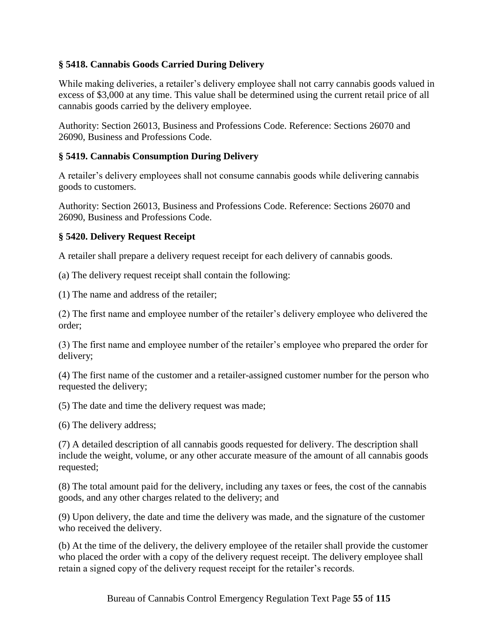## **§ 5418. Cannabis Goods Carried During Delivery**

While making deliveries, a retailer's delivery employee shall not carry cannabis goods valued in excess of \$3,000 at any time. This value shall be determined using the current retail price of all cannabis goods carried by the delivery employee.

Authority: Section 26013, Business and Professions Code. Reference: Sections 26070 and 26090, Business and Professions Code.

## **§ 5419. Cannabis Consumption During Delivery**

A retailer's delivery employees shall not consume cannabis goods while delivering cannabis goods to customers.

Authority: Section 26013, Business and Professions Code. Reference: Sections 26070 and 26090, Business and Professions Code.

## **§ 5420. Delivery Request Receipt**

A retailer shall prepare a delivery request receipt for each delivery of cannabis goods.

(a) The delivery request receipt shall contain the following:

(1) The name and address of the retailer;

(2) The first name and employee number of the retailer's delivery employee who delivered the order;

(3) The first name and employee number of the retailer's employee who prepared the order for delivery;

(4) The first name of the customer and a retailer-assigned customer number for the person who requested the delivery;

(5) The date and time the delivery request was made;

(6) The delivery address;

(7) A detailed description of all cannabis goods requested for delivery. The description shall include the weight, volume, or any other accurate measure of the amount of all cannabis goods requested;

(8) The total amount paid for the delivery, including any taxes or fees, the cost of the cannabis goods, and any other charges related to the delivery; and

(9) Upon delivery, the date and time the delivery was made, and the signature of the customer who received the delivery.

(b) At the time of the delivery, the delivery employee of the retailer shall provide the customer who placed the order with a copy of the delivery request receipt. The delivery employee shall retain a signed copy of the delivery request receipt for the retailer's records.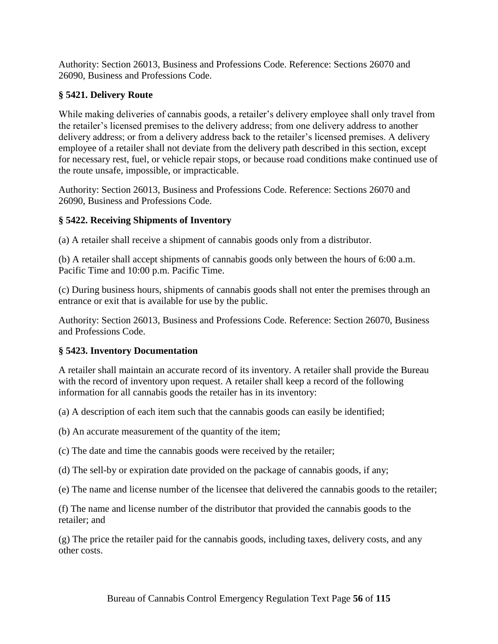Authority: Section 26013, Business and Professions Code. Reference: Sections 26070 and 26090, Business and Professions Code.

## **§ 5421. Delivery Route**

While making deliveries of cannabis goods, a retailer's delivery employee shall only travel from the retailer's licensed premises to the delivery address; from one delivery address to another delivery address; or from a delivery address back to the retailer's licensed premises. A delivery employee of a retailer shall not deviate from the delivery path described in this section, except for necessary rest, fuel, or vehicle repair stops, or because road conditions make continued use of the route unsafe, impossible, or impracticable.

Authority: Section 26013, Business and Professions Code. Reference: Sections 26070 and 26090, Business and Professions Code.

### **§ 5422. Receiving Shipments of Inventory**

(a) A retailer shall receive a shipment of cannabis goods only from a distributor.

(b) A retailer shall accept shipments of cannabis goods only between the hours of 6:00 a.m. Pacific Time and 10:00 p.m. Pacific Time.

(c) During business hours, shipments of cannabis goods shall not enter the premises through an entrance or exit that is available for use by the public.

Authority: Section 26013, Business and Professions Code. Reference: Section 26070, Business and Professions Code.

## **§ 5423. Inventory Documentation**

A retailer shall maintain an accurate record of its inventory. A retailer shall provide the Bureau with the record of inventory upon request. A retailer shall keep a record of the following information for all cannabis goods the retailer has in its inventory:

(a) A description of each item such that the cannabis goods can easily be identified;

(b) An accurate measurement of the quantity of the item;

(c) The date and time the cannabis goods were received by the retailer;

(d) The sell-by or expiration date provided on the package of cannabis goods, if any;

(e) The name and license number of the licensee that delivered the cannabis goods to the retailer;

(f) The name and license number of the distributor that provided the cannabis goods to the retailer; and

(g) The price the retailer paid for the cannabis goods, including taxes, delivery costs, and any other costs.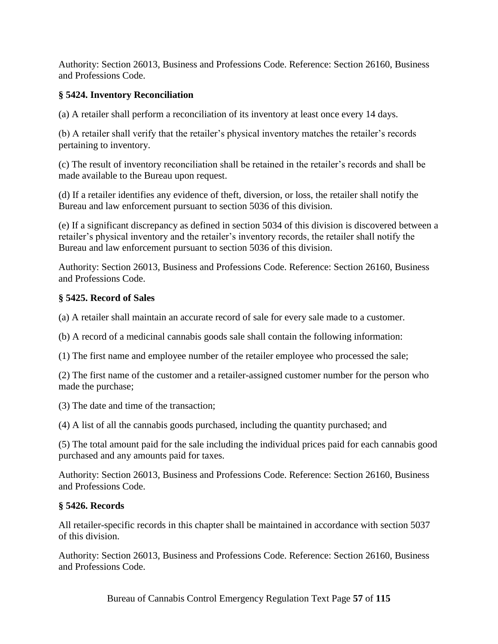Authority: Section 26013, Business and Professions Code. Reference: Section 26160, Business and Professions Code.

## **§ 5424. Inventory Reconciliation**

(a) A retailer shall perform a reconciliation of its inventory at least once every 14 days.

(b) A retailer shall verify that the retailer's physical inventory matches the retailer's records pertaining to inventory.

(c) The result of inventory reconciliation shall be retained in the retailer's records and shall be made available to the Bureau upon request.

(d) If a retailer identifies any evidence of theft, diversion, or loss, the retailer shall notify the Bureau and law enforcement pursuant to section 5036 of this division.

(e) If a significant discrepancy as defined in section 5034 of this division is discovered between a retailer's physical inventory and the retailer's inventory records, the retailer shall notify the Bureau and law enforcement pursuant to section 5036 of this division.

Authority: Section 26013, Business and Professions Code. Reference: Section 26160, Business and Professions Code.

## **§ 5425. Record of Sales**

(a) A retailer shall maintain an accurate record of sale for every sale made to a customer.

(b) A record of a medicinal cannabis goods sale shall contain the following information:

(1) The first name and employee number of the retailer employee who processed the sale;

(2) The first name of the customer and a retailer-assigned customer number for the person who made the purchase;

(3) The date and time of the transaction;

(4) A list of all the cannabis goods purchased, including the quantity purchased; and

(5) The total amount paid for the sale including the individual prices paid for each cannabis good purchased and any amounts paid for taxes.

Authority: Section 26013, Business and Professions Code. Reference: Section 26160, Business and Professions Code.

# **§ 5426. Records**

All retailer-specific records in this chapter shall be maintained in accordance with section 5037 of this division.

Authority: Section 26013, Business and Professions Code. Reference: Section 26160, Business and Professions Code.

Bureau of Cannabis Control Emergency Regulation Text Page **57** of **115**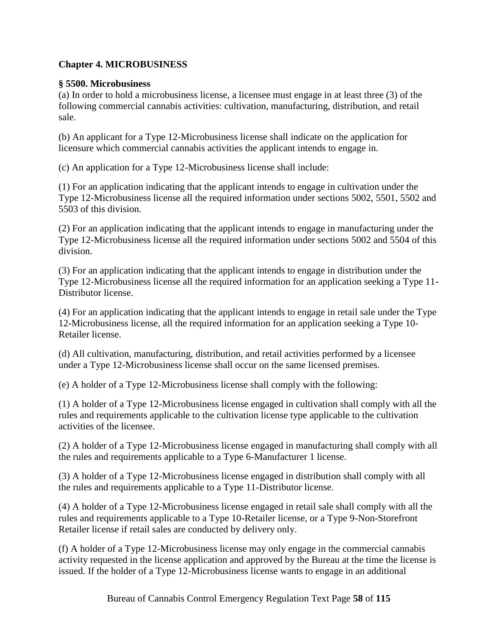# **Chapter 4. MICROBUSINESS**

### **§ 5500. Microbusiness**

(a) In order to hold a microbusiness license, a licensee must engage in at least three (3) of the following commercial cannabis activities: cultivation, manufacturing, distribution, and retail sale.

(b) An applicant for a Type 12-Microbusiness license shall indicate on the application for licensure which commercial cannabis activities the applicant intends to engage in.

(c) An application for a Type 12-Microbusiness license shall include:

(1) For an application indicating that the applicant intends to engage in cultivation under the Type 12-Microbusiness license all the required information under sections 5002, 5501, 5502 and 5503 of this division.

(2) For an application indicating that the applicant intends to engage in manufacturing under the Type 12-Microbusiness license all the required information under sections 5002 and 5504 of this division.

(3) For an application indicating that the applicant intends to engage in distribution under the Type 12-Microbusiness license all the required information for an application seeking a Type 11- Distributor license.

(4) For an application indicating that the applicant intends to engage in retail sale under the Type 12-Microbusiness license, all the required information for an application seeking a Type 10- Retailer license.

(d) All cultivation, manufacturing, distribution, and retail activities performed by a licensee under a Type 12-Microbusiness license shall occur on the same licensed premises.

(e) A holder of a Type 12-Microbusiness license shall comply with the following:

(1) A holder of a Type 12-Microbusiness license engaged in cultivation shall comply with all the rules and requirements applicable to the cultivation license type applicable to the cultivation activities of the licensee.

(2) A holder of a Type 12-Microbusiness license engaged in manufacturing shall comply with all the rules and requirements applicable to a Type 6-Manufacturer 1 license.

(3) A holder of a Type 12-Microbusiness license engaged in distribution shall comply with all the rules and requirements applicable to a Type 11-Distributor license.

(4) A holder of a Type 12-Microbusiness license engaged in retail sale shall comply with all the rules and requirements applicable to a Type 10-Retailer license, or a Type 9-Non-Storefront Retailer license if retail sales are conducted by delivery only.

(f) A holder of a Type 12-Microbusiness license may only engage in the commercial cannabis activity requested in the license application and approved by the Bureau at the time the license is issued. If the holder of a Type 12-Microbusiness license wants to engage in an additional

Bureau of Cannabis Control Emergency Regulation Text Page **58** of **115**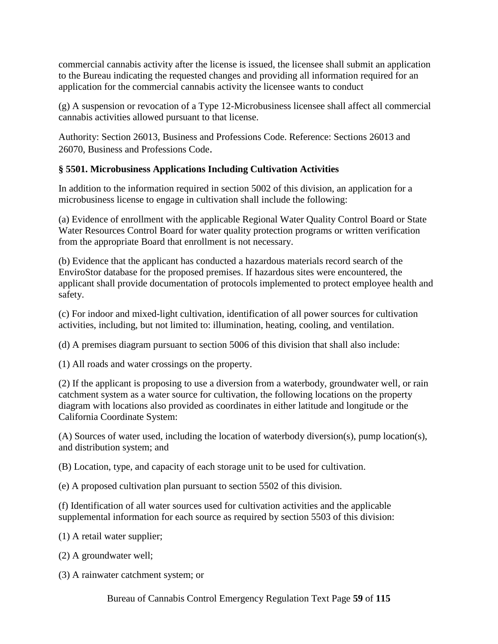commercial cannabis activity after the license is issued, the licensee shall submit an application to the Bureau indicating the requested changes and providing all information required for an application for the commercial cannabis activity the licensee wants to conduct

(g) A suspension or revocation of a Type 12-Microbusiness licensee shall affect all commercial cannabis activities allowed pursuant to that license.

Authority: Section 26013, Business and Professions Code. Reference: Sections 26013 and 26070, Business and Professions Code.

## **§ 5501. Microbusiness Applications Including Cultivation Activities**

In addition to the information required in section 5002 of this division, an application for a microbusiness license to engage in cultivation shall include the following:

(a) Evidence of enrollment with the applicable Regional Water Quality Control Board or State Water Resources Control Board for water quality protection programs or written verification from the appropriate Board that enrollment is not necessary.

(b) Evidence that the applicant has conducted a hazardous materials record search of the EnviroStor database for the proposed premises. If hazardous sites were encountered, the applicant shall provide documentation of protocols implemented to protect employee health and safety.

(c) For indoor and mixed-light cultivation, identification of all power sources for cultivation activities, including, but not limited to: illumination, heating, cooling, and ventilation.

(d) A premises diagram pursuant to section 5006 of this division that shall also include:

(1) All roads and water crossings on the property.

(2) If the applicant is proposing to use a diversion from a waterbody, groundwater well, or rain catchment system as a water source for cultivation, the following locations on the property diagram with locations also provided as coordinates in either latitude and longitude or the California Coordinate System:

(A) Sources of water used, including the location of waterbody diversion(s), pump location(s), and distribution system; and

(B) Location, type, and capacity of each storage unit to be used for cultivation.

(e) A proposed cultivation plan pursuant to section 5502 of this division.

(f) Identification of all water sources used for cultivation activities and the applicable supplemental information for each source as required by section 5503 of this division:

(1) A retail water supplier;

- (2) A groundwater well;
- (3) A rainwater catchment system; or

Bureau of Cannabis Control Emergency Regulation Text Page **59** of **115**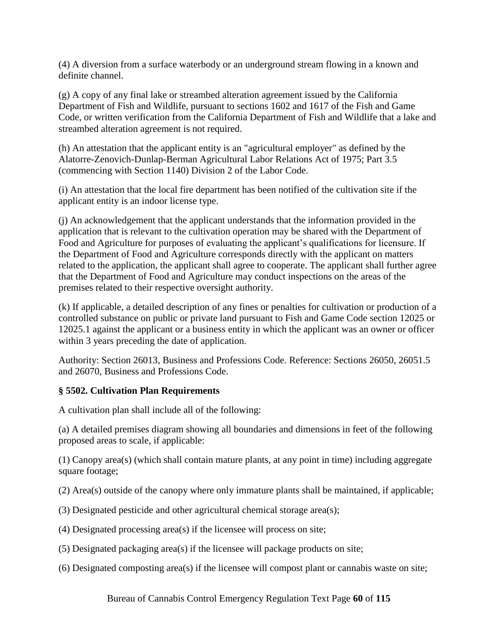(4) A diversion from a surface waterbody or an underground stream flowing in a known and definite channel.

(g) A copy of any final lake or streambed alteration agreement issued by the California Department of Fish and Wildlife, pursuant to sections 1602 and 1617 of the Fish and Game Code, or written verification from the California Department of Fish and Wildlife that a lake and streambed alteration agreement is not required.

(h) An attestation that the applicant entity is an "agricultural employer" as defined by the Alatorre-Zenovich-Dunlap-Berman Agricultural Labor Relations Act of 1975; Part 3.5 (commencing with Section 1140) Division 2 of the Labor Code.

(i) An attestation that the local fire department has been notified of the cultivation site if the applicant entity is an indoor license type.

(j) An acknowledgement that the applicant understands that the information provided in the application that is relevant to the cultivation operation may be shared with the Department of Food and Agriculture for purposes of evaluating the applicant's qualifications for licensure. If the Department of Food and Agriculture corresponds directly with the applicant on matters related to the application, the applicant shall agree to cooperate. The applicant shall further agree that the Department of Food and Agriculture may conduct inspections on the areas of the premises related to their respective oversight authority.

(k) If applicable, a detailed description of any fines or penalties for cultivation or production of a controlled substance on public or private land pursuant to Fish and Game Code section 12025 or 12025.1 against the applicant or a business entity in which the applicant was an owner or officer within 3 years preceding the date of application.

Authority: Section 26013, Business and Professions Code. Reference: Sections 26050, 26051.5 and 26070, Business and Professions Code.

## **§ 5502. Cultivation Plan Requirements**

A cultivation plan shall include all of the following:

(a) A detailed premises diagram showing all boundaries and dimensions in feet of the following proposed areas to scale, if applicable:

(1) Canopy area(s) (which shall contain mature plants, at any point in time) including aggregate square footage;

(2) Area(s) outside of the canopy where only immature plants shall be maintained, if applicable;

- (3) Designated pesticide and other agricultural chemical storage area(s);
- (4) Designated processing area(s) if the licensee will process on site;
- (5) Designated packaging area(s) if the licensee will package products on site;
- (6) Designated composting area(s) if the licensee will compost plant or cannabis waste on site;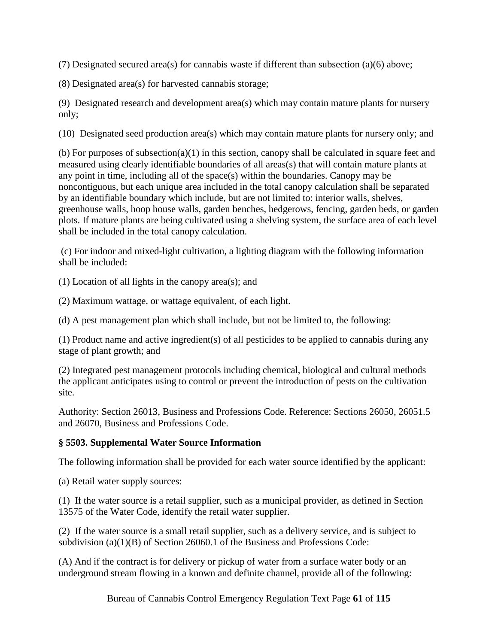(7) Designated secured area(s) for cannabis waste if different than subsection (a)(6) above;

(8) Designated area(s) for harvested cannabis storage;

(9) Designated research and development area(s) which may contain mature plants for nursery only;

(10) Designated seed production area(s) which may contain mature plants for nursery only; and

(b) For purposes of subsection(a)(1) in this section, canopy shall be calculated in square feet and measured using clearly identifiable boundaries of all areas(s) that will contain mature plants at any point in time, including all of the space(s) within the boundaries. Canopy may be noncontiguous, but each unique area included in the total canopy calculation shall be separated by an identifiable boundary which include, but are not limited to: interior walls, shelves, greenhouse walls, hoop house walls, garden benches, hedgerows, fencing, garden beds, or garden plots. If mature plants are being cultivated using a shelving system, the surface area of each level shall be included in the total canopy calculation.

(c) For indoor and mixed-light cultivation, a lighting diagram with the following information shall be included:

(1) Location of all lights in the canopy area(s); and

(2) Maximum wattage, or wattage equivalent, of each light.

(d) A pest management plan which shall include, but not be limited to, the following:

(1) Product name and active ingredient(s) of all pesticides to be applied to cannabis during any stage of plant growth; and

(2) Integrated pest management protocols including chemical, biological and cultural methods the applicant anticipates using to control or prevent the introduction of pests on the cultivation site.

Authority: Section 26013, Business and Professions Code. Reference: Sections 26050, 26051.5 and 26070, Business and Professions Code.

# **§ 5503. Supplemental Water Source Information**

The following information shall be provided for each water source identified by the applicant:

(a) Retail water supply sources:

(1) If the water source is a retail supplier, such as a municipal provider, as defined in Section 13575 of the Water Code, identify the retail water supplier.

(2) If the water source is a small retail supplier, such as a delivery service, and is subject to subdivision  $(a)(1)(B)$  of Section 26060.1 of the Business and Professions Code:

(A) And if the contract is for delivery or pickup of water from a surface water body or an underground stream flowing in a known and definite channel, provide all of the following:

Bureau of Cannabis Control Emergency Regulation Text Page **61** of **115**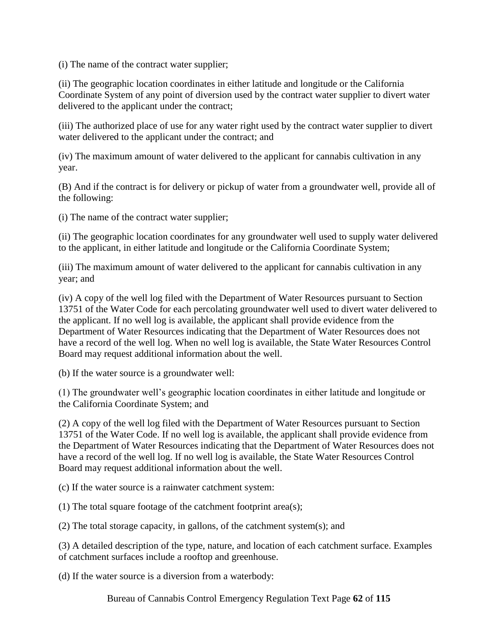(i) The name of the contract water supplier;

(ii) The geographic location coordinates in either latitude and longitude or the California Coordinate System of any point of diversion used by the contract water supplier to divert water delivered to the applicant under the contract;

(iii) The authorized place of use for any water right used by the contract water supplier to divert water delivered to the applicant under the contract; and

(iv) The maximum amount of water delivered to the applicant for cannabis cultivation in any year.

(B) And if the contract is for delivery or pickup of water from a groundwater well, provide all of the following:

(i) The name of the contract water supplier;

(ii) The geographic location coordinates for any groundwater well used to supply water delivered to the applicant, in either latitude and longitude or the California Coordinate System;

(iii) The maximum amount of water delivered to the applicant for cannabis cultivation in any year; and

(iv) A copy of the well log filed with the Department of Water Resources pursuant to Section 13751 of the Water Code for each percolating groundwater well used to divert water delivered to the applicant. If no well log is available, the applicant shall provide evidence from the Department of Water Resources indicating that the Department of Water Resources does not have a record of the well log. When no well log is available, the State Water Resources Control Board may request additional information about the well.

(b) If the water source is a groundwater well:

(1) The groundwater well's geographic location coordinates in either latitude and longitude or the California Coordinate System; and

(2) A copy of the well log filed with the Department of Water Resources pursuant to Section 13751 of the Water Code. If no well log is available, the applicant shall provide evidence from the Department of Water Resources indicating that the Department of Water Resources does not have a record of the well log. If no well log is available, the State Water Resources Control Board may request additional information about the well.

(c) If the water source is a rainwater catchment system:

(1) The total square footage of the catchment footprint area(s);

(2) The total storage capacity, in gallons, of the catchment system(s); and

(3) A detailed description of the type, nature, and location of each catchment surface. Examples of catchment surfaces include a rooftop and greenhouse.

(d) If the water source is a diversion from a waterbody:

Bureau of Cannabis Control Emergency Regulation Text Page **62** of **115**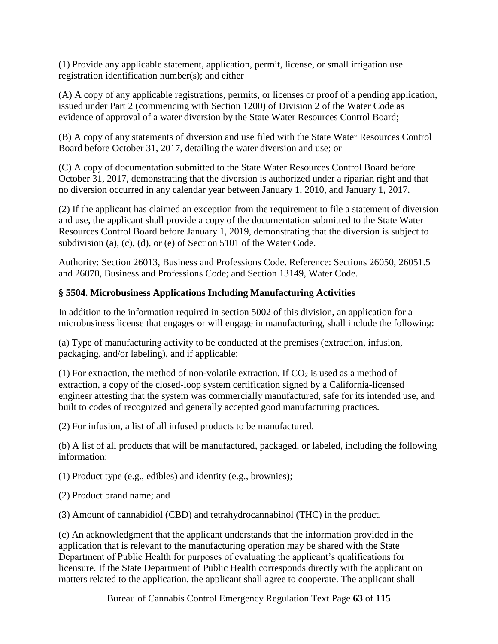(1) Provide any applicable statement, application, permit, license, or small irrigation use registration identification number(s); and either

(A) A copy of any applicable registrations, permits, or licenses or proof of a pending application, issued under Part 2 (commencing with Section 1200) of Division 2 of the Water Code as evidence of approval of a water diversion by the State Water Resources Control Board;

(B) A copy of any statements of diversion and use filed with the State Water Resources Control Board before October 31, 2017, detailing the water diversion and use; or

(C) A copy of documentation submitted to the State Water Resources Control Board before October 31, 2017, demonstrating that the diversion is authorized under a riparian right and that no diversion occurred in any calendar year between January 1, 2010, and January 1, 2017.

(2) If the applicant has claimed an exception from the requirement to file a statement of diversion and use, the applicant shall provide a copy of the documentation submitted to the State Water Resources Control Board before January 1, 2019, demonstrating that the diversion is subject to subdivision (a), (c), (d), or (e) of Section 5101 of the Water Code.

Authority: Section 26013, Business and Professions Code. Reference: Sections 26050, 26051.5 and 26070, Business and Professions Code; and Section 13149, Water Code.

## **§ 5504. Microbusiness Applications Including Manufacturing Activities**

In addition to the information required in section 5002 of this division, an application for a microbusiness license that engages or will engage in manufacturing, shall include the following:

(a) Type of manufacturing activity to be conducted at the premises (extraction, infusion, packaging, and/or labeling), and if applicable:

(1) For extraction, the method of non-volatile extraction. If  $CO<sub>2</sub>$  is used as a method of extraction, a copy of the closed-loop system certification signed by a California-licensed engineer attesting that the system was commercially manufactured, safe for its intended use, and built to codes of recognized and generally accepted good manufacturing practices.

(2) For infusion, a list of all infused products to be manufactured.

(b) A list of all products that will be manufactured, packaged, or labeled, including the following information:

(1) Product type (e.g., edibles) and identity (e.g., brownies);

(2) Product brand name; and

(3) Amount of cannabidiol (CBD) and tetrahydrocannabinol (THC) in the product.

(c) An acknowledgment that the applicant understands that the information provided in the application that is relevant to the manufacturing operation may be shared with the State Department of Public Health for purposes of evaluating the applicant's qualifications for licensure. If the State Department of Public Health corresponds directly with the applicant on matters related to the application, the applicant shall agree to cooperate. The applicant shall

Bureau of Cannabis Control Emergency Regulation Text Page **63** of **115**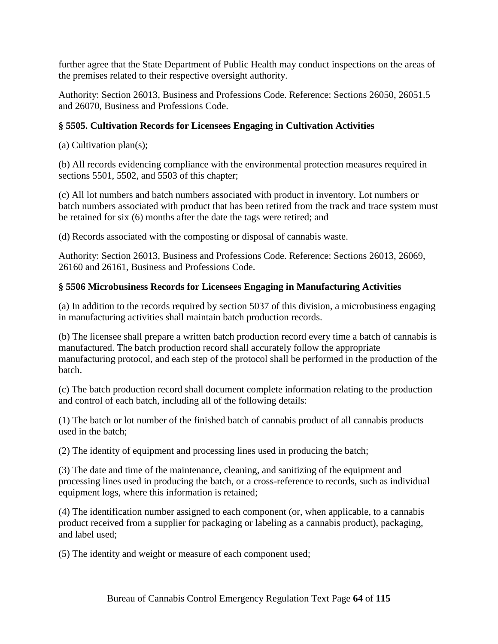further agree that the State Department of Public Health may conduct inspections on the areas of the premises related to their respective oversight authority.

Authority: Section 26013, Business and Professions Code. Reference: Sections 26050, 26051.5 and 26070, Business and Professions Code.

## **§ 5505. Cultivation Records for Licensees Engaging in Cultivation Activities**

(a) Cultivation plan(s);

(b) All records evidencing compliance with the environmental protection measures required in sections 5501, 5502, and 5503 of this chapter;

(c) All lot numbers and batch numbers associated with product in inventory. Lot numbers or batch numbers associated with product that has been retired from the track and trace system must be retained for six (6) months after the date the tags were retired; and

(d) Records associated with the composting or disposal of cannabis waste.

Authority: Section 26013, Business and Professions Code. Reference: Sections 26013, 26069, 26160 and 26161, Business and Professions Code.

## **§ 5506 Microbusiness Records for Licensees Engaging in Manufacturing Activities**

(a) In addition to the records required by section 5037 of this division, a microbusiness engaging in manufacturing activities shall maintain batch production records.

(b) The licensee shall prepare a written batch production record every time a batch of cannabis is manufactured. The batch production record shall accurately follow the appropriate manufacturing protocol, and each step of the protocol shall be performed in the production of the batch.

(c) The batch production record shall document complete information relating to the production and control of each batch, including all of the following details:

(1) The batch or lot number of the finished batch of cannabis product of all cannabis products used in the batch;

(2) The identity of equipment and processing lines used in producing the batch;

(3) The date and time of the maintenance, cleaning, and sanitizing of the equipment and processing lines used in producing the batch, or a cross-reference to records, such as individual equipment logs, where this information is retained;

(4) The identification number assigned to each component (or, when applicable, to a cannabis product received from a supplier for packaging or labeling as a cannabis product), packaging, and label used;

(5) The identity and weight or measure of each component used;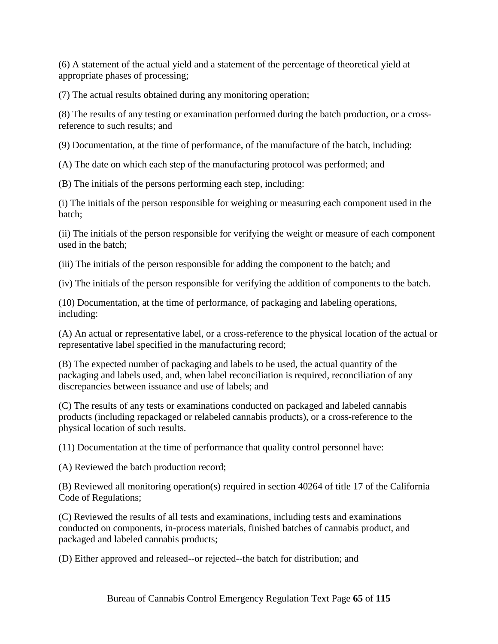(6) A statement of the actual yield and a statement of the percentage of theoretical yield at appropriate phases of processing;

(7) The actual results obtained during any monitoring operation;

(8) The results of any testing or examination performed during the batch production, or a crossreference to such results; and

(9) Documentation, at the time of performance, of the manufacture of the batch, including:

(A) The date on which each step of the manufacturing protocol was performed; and

(B) The initials of the persons performing each step, including:

(i) The initials of the person responsible for weighing or measuring each component used in the batch;

(ii) The initials of the person responsible for verifying the weight or measure of each component used in the batch;

(iii) The initials of the person responsible for adding the component to the batch; and

(iv) The initials of the person responsible for verifying the addition of components to the batch.

(10) Documentation, at the time of performance, of packaging and labeling operations, including:

(A) An actual or representative label, or a cross-reference to the physical location of the actual or representative label specified in the manufacturing record;

(B) The expected number of packaging and labels to be used, the actual quantity of the packaging and labels used, and, when label reconciliation is required, reconciliation of any discrepancies between issuance and use of labels; and

(C) The results of any tests or examinations conducted on packaged and labeled cannabis products (including repackaged or relabeled cannabis products), or a cross-reference to the physical location of such results.

(11) Documentation at the time of performance that quality control personnel have:

(A) Reviewed the batch production record;

(B) Reviewed all monitoring operation(s) required in section 40264 of title 17 of the California Code of Regulations;

(C) Reviewed the results of all tests and examinations, including tests and examinations conducted on components, in-process materials, finished batches of cannabis product, and packaged and labeled cannabis products;

(D) Either approved and released--or rejected--the batch for distribution; and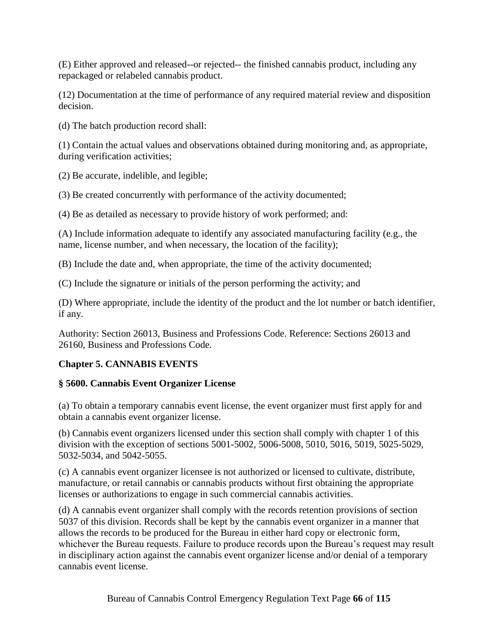(E) Either approved and released--or rejected-- the finished cannabis product, including any repackaged or relabeled cannabis product.

(12) Documentation at the time of performance of any required material review and disposition decision.

(d) The batch production record shall:

(1) Contain the actual values and observations obtained during monitoring and, as appropriate, during verification activities;

(2) Be accurate, indelible, and legible;

(3) Be created concurrently with performance of the activity documented;

(4) Be as detailed as necessary to provide history of work performed; and:

(A) Include information adequate to identify any associated manufacturing facility (e.g., the name, license number, and when necessary, the location of the facility);

(B) Include the date and, when appropriate, the time of the activity documented;

(C) Include the signature or initials of the person performing the activity; and

(D) Where appropriate, include the identity of the product and the lot number or batch identifier, if any.

Authority: Section 26013, Business and Professions Code. Reference: Sections 26013 and 26160, Business and Professions Code.

## **Chapter 5. CANNABIS EVENTS**

#### **§ 5600. Cannabis Event Organizer License**

(a) To obtain a temporary cannabis event license, the event organizer must first apply for and obtain a cannabis event organizer license.

(b) Cannabis event organizers licensed under this section shall comply with chapter 1 of this division with the exception of sections 5001-5002, 5006-5008, 5010, 5016, 5019, 5025-5029, 5032-5034, and 5042-5055.

(c) A cannabis event organizer licensee is not authorized or licensed to cultivate, distribute, manufacture, or retail cannabis or cannabis products without first obtaining the appropriate licenses or authorizations to engage in such commercial cannabis activities.

(d) A cannabis event organizer shall comply with the records retention provisions of section 5037 of this division. Records shall be kept by the cannabis event organizer in a manner that allows the records to be produced for the Bureau in either hard copy or electronic form, whichever the Bureau requests. Failure to produce records upon the Bureau's request may result in disciplinary action against the cannabis event organizer license and/or denial of a temporary cannabis event license.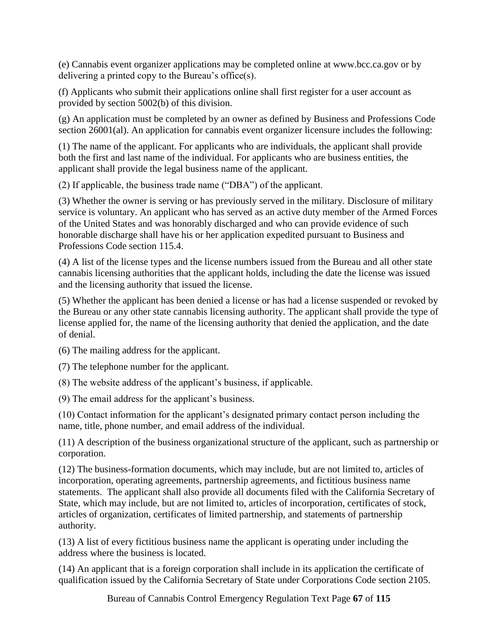(e) Cannabis event organizer applications may be completed online at www.bcc.ca.gov or by delivering a printed copy to the Bureau's office(s).

(f) Applicants who submit their applications online shall first register for a user account as provided by section 5002(b) of this division.

(g) An application must be completed by an owner as defined by Business and Professions Code section 26001(al). An application for cannabis event organizer licensure includes the following:

(1) The name of the applicant. For applicants who are individuals, the applicant shall provide both the first and last name of the individual. For applicants who are business entities, the applicant shall provide the legal business name of the applicant.

(2) If applicable, the business trade name ("DBA") of the applicant.

(3) Whether the owner is serving or has previously served in the military. Disclosure of military service is voluntary. An applicant who has served as an active duty member of the Armed Forces of the United States and was honorably discharged and who can provide evidence of such honorable discharge shall have his or her application expedited pursuant to Business and Professions Code section 115.4.

(4) A list of the license types and the license numbers issued from the Bureau and all other state cannabis licensing authorities that the applicant holds, including the date the license was issued and the licensing authority that issued the license.

(5) Whether the applicant has been denied a license or has had a license suspended or revoked by the Bureau or any other state cannabis licensing authority. The applicant shall provide the type of license applied for, the name of the licensing authority that denied the application, and the date of denial.

(6) The mailing address for the applicant.

(7) The telephone number for the applicant.

(8) The website address of the applicant's business, if applicable.

(9) The email address for the applicant's business.

(10) Contact information for the applicant's designated primary contact person including the name, title, phone number, and email address of the individual.

(11) A description of the business organizational structure of the applicant, such as partnership or corporation.

(12) The business-formation documents, which may include, but are not limited to, articles of incorporation, operating agreements, partnership agreements, and fictitious business name statements. The applicant shall also provide all documents filed with the California Secretary of State, which may include, but are not limited to, articles of incorporation, certificates of stock, articles of organization, certificates of limited partnership, and statements of partnership authority.

(13) A list of every fictitious business name the applicant is operating under including the address where the business is located.

(14) An applicant that is a foreign corporation shall include in its application the certificate of qualification issued by the California Secretary of State under Corporations Code section 2105.

Bureau of Cannabis Control Emergency Regulation Text Page **67** of **115**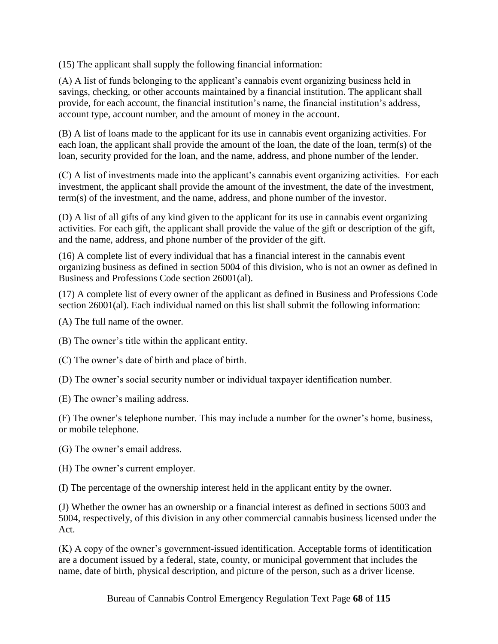(15) The applicant shall supply the following financial information:

(A) A list of funds belonging to the applicant's cannabis event organizing business held in savings, checking, or other accounts maintained by a financial institution. The applicant shall provide, for each account, the financial institution's name, the financial institution's address, account type, account number, and the amount of money in the account.

(B) A list of loans made to the applicant for its use in cannabis event organizing activities. For each loan, the applicant shall provide the amount of the loan, the date of the loan, term(s) of the loan, security provided for the loan, and the name, address, and phone number of the lender.

(C) A list of investments made into the applicant's cannabis event organizing activities. For each investment, the applicant shall provide the amount of the investment, the date of the investment, term(s) of the investment, and the name, address, and phone number of the investor.

(D) A list of all gifts of any kind given to the applicant for its use in cannabis event organizing activities. For each gift, the applicant shall provide the value of the gift or description of the gift, and the name, address, and phone number of the provider of the gift.

(16) A complete list of every individual that has a financial interest in the cannabis event organizing business as defined in section 5004 of this division, who is not an owner as defined in Business and Professions Code section 26001(al).

(17) A complete list of every owner of the applicant as defined in Business and Professions Code section 26001(al). Each individual named on this list shall submit the following information:

(A) The full name of the owner.

(B) The owner's title within the applicant entity.

(C) The owner's date of birth and place of birth.

(D) The owner's social security number or individual taxpayer identification number.

(E) The owner's mailing address.

(F) The owner's telephone number. This may include a number for the owner's home, business, or mobile telephone.

(G) The owner's email address.

(H) The owner's current employer.

(I) The percentage of the ownership interest held in the applicant entity by the owner.

(J) Whether the owner has an ownership or a financial interest as defined in sections 5003 and 5004, respectively, of this division in any other commercial cannabis business licensed under the Act.

(K) A copy of the owner's government-issued identification. Acceptable forms of identification are a document issued by a federal, state, county, or municipal government that includes the name, date of birth, physical description, and picture of the person, such as a driver license.

Bureau of Cannabis Control Emergency Regulation Text Page **68** of **115**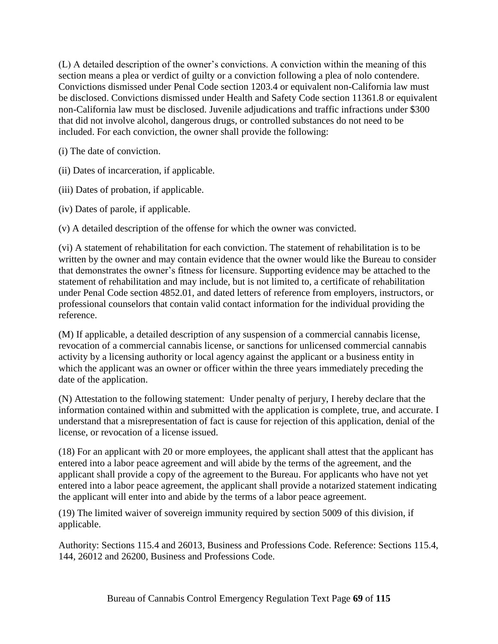(L) A detailed description of the owner's convictions. A conviction within the meaning of this section means a plea or verdict of guilty or a conviction following a plea of nolo contendere. Convictions dismissed under Penal Code section 1203.4 or equivalent non-California law must be disclosed. Convictions dismissed under Health and Safety Code section 11361.8 or equivalent non-California law must be disclosed. Juvenile adjudications and traffic infractions under \$300 that did not involve alcohol, dangerous drugs, or controlled substances do not need to be included. For each conviction, the owner shall provide the following:

(i) The date of conviction.

(ii) Dates of incarceration, if applicable.

(iii) Dates of probation, if applicable.

(iv) Dates of parole, if applicable.

(v) A detailed description of the offense for which the owner was convicted.

(vi) A statement of rehabilitation for each conviction. The statement of rehabilitation is to be written by the owner and may contain evidence that the owner would like the Bureau to consider that demonstrates the owner's fitness for licensure. Supporting evidence may be attached to the statement of rehabilitation and may include, but is not limited to, a certificate of rehabilitation under Penal Code section 4852.01, and dated letters of reference from employers, instructors, or professional counselors that contain valid contact information for the individual providing the reference.

(M) If applicable, a detailed description of any suspension of a commercial cannabis license, revocation of a commercial cannabis license, or sanctions for unlicensed commercial cannabis activity by a licensing authority or local agency against the applicant or a business entity in which the applicant was an owner or officer within the three years immediately preceding the date of the application.

(N) Attestation to the following statement: Under penalty of perjury, I hereby declare that the information contained within and submitted with the application is complete, true, and accurate. I understand that a misrepresentation of fact is cause for rejection of this application, denial of the license, or revocation of a license issued.

(18) For an applicant with 20 or more employees, the applicant shall attest that the applicant has entered into a labor peace agreement and will abide by the terms of the agreement, and the applicant shall provide a copy of the agreement to the Bureau. For applicants who have not yet entered into a labor peace agreement, the applicant shall provide a notarized statement indicating the applicant will enter into and abide by the terms of a labor peace agreement.

(19) The limited waiver of sovereign immunity required by section 5009 of this division, if applicable.

Authority: Sections 115.4 and 26013, Business and Professions Code. Reference: Sections 115.4, 144, 26012 and 26200, Business and Professions Code.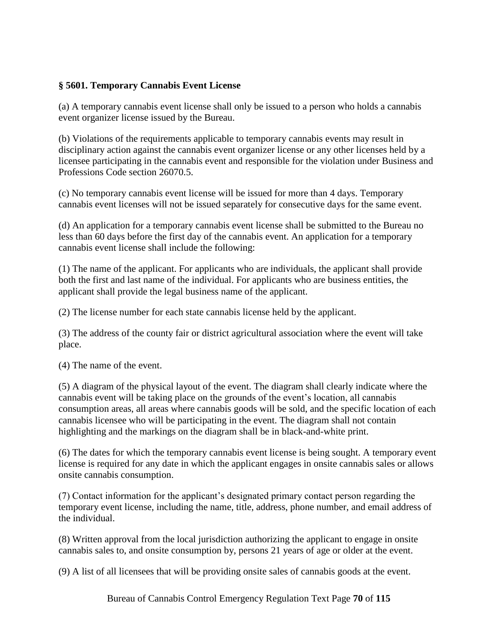### **§ 5601. Temporary Cannabis Event License**

(a) A temporary cannabis event license shall only be issued to a person who holds a cannabis event organizer license issued by the Bureau.

(b) Violations of the requirements applicable to temporary cannabis events may result in disciplinary action against the cannabis event organizer license or any other licenses held by a licensee participating in the cannabis event and responsible for the violation under Business and Professions Code section 26070.5.

(c) No temporary cannabis event license will be issued for more than 4 days. Temporary cannabis event licenses will not be issued separately for consecutive days for the same event.

(d) An application for a temporary cannabis event license shall be submitted to the Bureau no less than 60 days before the first day of the cannabis event. An application for a temporary cannabis event license shall include the following:

(1) The name of the applicant. For applicants who are individuals, the applicant shall provide both the first and last name of the individual. For applicants who are business entities, the applicant shall provide the legal business name of the applicant.

(2) The license number for each state cannabis license held by the applicant.

(3) The address of the county fair or district agricultural association where the event will take place.

(4) The name of the event.

(5) A diagram of the physical layout of the event. The diagram shall clearly indicate where the cannabis event will be taking place on the grounds of the event's location, all cannabis consumption areas, all areas where cannabis goods will be sold, and the specific location of each cannabis licensee who will be participating in the event. The diagram shall not contain highlighting and the markings on the diagram shall be in black-and-white print.

(6) The dates for which the temporary cannabis event license is being sought. A temporary event license is required for any date in which the applicant engages in onsite cannabis sales or allows onsite cannabis consumption.

(7) Contact information for the applicant's designated primary contact person regarding the temporary event license, including the name, title, address, phone number, and email address of the individual.

(8) Written approval from the local jurisdiction authorizing the applicant to engage in onsite cannabis sales to, and onsite consumption by, persons 21 years of age or older at the event.

(9) A list of all licensees that will be providing onsite sales of cannabis goods at the event.

Bureau of Cannabis Control Emergency Regulation Text Page **70** of **115**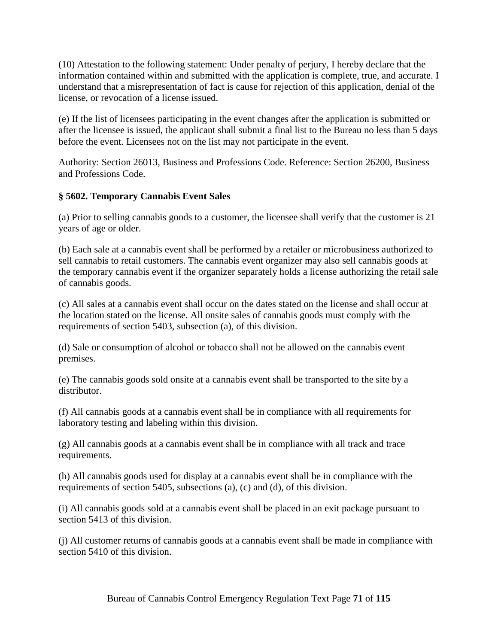(10) Attestation to the following statement: Under penalty of perjury, I hereby declare that the information contained within and submitted with the application is complete, true, and accurate. I understand that a misrepresentation of fact is cause for rejection of this application, denial of the license, or revocation of a license issued.

(e) If the list of licensees participating in the event changes after the application is submitted or after the licensee is issued, the applicant shall submit a final list to the Bureau no less than 5 days before the event. Licensees not on the list may not participate in the event.

Authority: Section 26013, Business and Professions Code. Reference: Section 26200, Business and Professions Code.

## **§ 5602. Temporary Cannabis Event Sales**

(a) Prior to selling cannabis goods to a customer, the licensee shall verify that the customer is 21 years of age or older.

(b) Each sale at a cannabis event shall be performed by a retailer or microbusiness authorized to sell cannabis to retail customers. The cannabis event organizer may also sell cannabis goods at the temporary cannabis event if the organizer separately holds a license authorizing the retail sale of cannabis goods.

(c) All sales at a cannabis event shall occur on the dates stated on the license and shall occur at the location stated on the license. All onsite sales of cannabis goods must comply with the requirements of section 5403, subsection (a), of this division.

(d) Sale or consumption of alcohol or tobacco shall not be allowed on the cannabis event premises.

(e) The cannabis goods sold onsite at a cannabis event shall be transported to the site by a distributor.

(f) All cannabis goods at a cannabis event shall be in compliance with all requirements for laboratory testing and labeling within this division.

(g) All cannabis goods at a cannabis event shall be in compliance with all track and trace requirements.

(h) All cannabis goods used for display at a cannabis event shall be in compliance with the requirements of section 5405, subsections (a), (c) and (d), of this division.

(i) All cannabis goods sold at a cannabis event shall be placed in an exit package pursuant to section 5413 of this division.

(j) All customer returns of cannabis goods at a cannabis event shall be made in compliance with section 5410 of this division.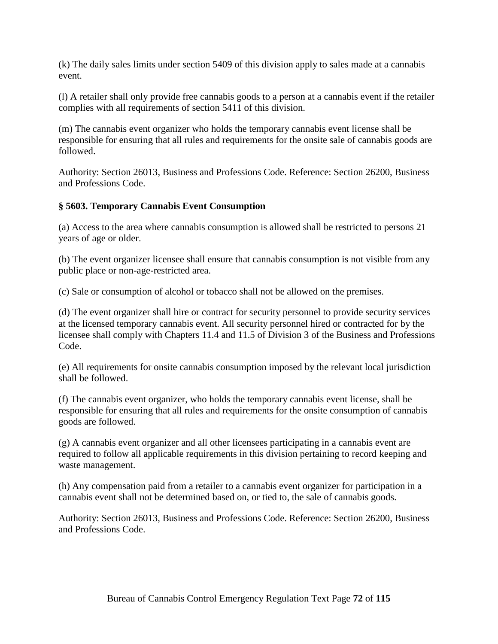(k) The daily sales limits under section 5409 of this division apply to sales made at a cannabis event.

(l) A retailer shall only provide free cannabis goods to a person at a cannabis event if the retailer complies with all requirements of section 5411 of this division.

(m) The cannabis event organizer who holds the temporary cannabis event license shall be responsible for ensuring that all rules and requirements for the onsite sale of cannabis goods are followed.

Authority: Section 26013, Business and Professions Code. Reference: Section 26200, Business and Professions Code.

## **§ 5603. Temporary Cannabis Event Consumption**

(a) Access to the area where cannabis consumption is allowed shall be restricted to persons 21 years of age or older.

(b) The event organizer licensee shall ensure that cannabis consumption is not visible from any public place or non-age-restricted area.

(c) Sale or consumption of alcohol or tobacco shall not be allowed on the premises.

(d) The event organizer shall hire or contract for security personnel to provide security services at the licensed temporary cannabis event. All security personnel hired or contracted for by the licensee shall comply with Chapters 11.4 and 11.5 of Division 3 of the Business and Professions Code.

(e) All requirements for onsite cannabis consumption imposed by the relevant local jurisdiction shall be followed.

(f) The cannabis event organizer, who holds the temporary cannabis event license, shall be responsible for ensuring that all rules and requirements for the onsite consumption of cannabis goods are followed.

(g) A cannabis event organizer and all other licensees participating in a cannabis event are required to follow all applicable requirements in this division pertaining to record keeping and waste management.

(h) Any compensation paid from a retailer to a cannabis event organizer for participation in a cannabis event shall not be determined based on, or tied to, the sale of cannabis goods.

Authority: Section 26013, Business and Professions Code. Reference: Section 26200, Business and Professions Code.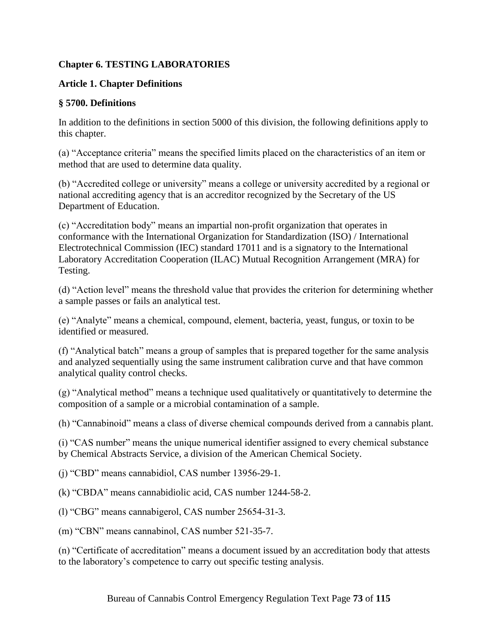# **Chapter 6. TESTING LABORATORIES**

#### **Article 1. Chapter Definitions**

#### **§ 5700. Definitions**

In addition to the definitions in section 5000 of this division, the following definitions apply to this chapter.

(a) "Acceptance criteria" means the specified limits placed on the characteristics of an item or method that are used to determine data quality.

(b) "Accredited college or university" means a college or university accredited by a regional or national accrediting agency that is an accreditor recognized by the Secretary of the US Department of Education.

(c) "Accreditation body" means an impartial non-profit organization that operates in conformance with the International Organization for Standardization (ISO) / International Electrotechnical Commission (IEC) standard 17011 and is a signatory to the International Laboratory Accreditation Cooperation (ILAC) Mutual Recognition Arrangement (MRA) for Testing.

(d) "Action level" means the threshold value that provides the criterion for determining whether a sample passes or fails an analytical test.

(e) "Analyte" means a chemical, compound, element, bacteria, yeast, fungus, or toxin to be identified or measured.

(f) "Analytical batch" means a group of samples that is prepared together for the same analysis and analyzed sequentially using the same instrument calibration curve and that have common analytical quality control checks.

(g) "Analytical method" means a technique used qualitatively or quantitatively to determine the composition of a sample or a microbial contamination of a sample.

(h) "Cannabinoid" means a class of diverse chemical compounds derived from a cannabis plant.

(i) "CAS number" means the unique numerical identifier assigned to every chemical substance by Chemical Abstracts Service, a division of the American Chemical Society.

(j) "CBD" means cannabidiol, CAS number 13956-29-1.

(k) "CBDA" means cannabidiolic acid, CAS number 1244-58-2.

(l) "CBG" means cannabigerol, CAS number 25654-31-3.

(m) "CBN" means cannabinol, CAS number 521-35-7.

(n) "Certificate of accreditation" means a document issued by an accreditation body that attests to the laboratory's competence to carry out specific testing analysis.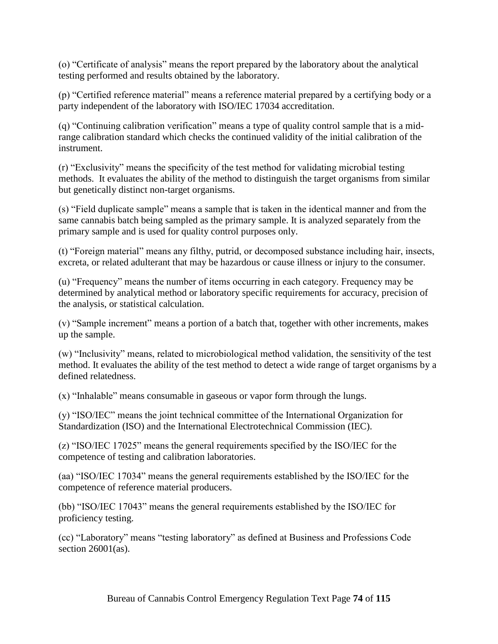(o) "Certificate of analysis" means the report prepared by the laboratory about the analytical testing performed and results obtained by the laboratory.

(p) "Certified reference material" means a reference material prepared by a certifying body or a party independent of the laboratory with ISO/IEC 17034 accreditation.

(q) "Continuing calibration verification" means a type of quality control sample that is a midrange calibration standard which checks the continued validity of the initial calibration of the instrument.

(r) "Exclusivity" means the specificity of the test method for validating microbial testing methods. It evaluates the ability of the method to distinguish the target organisms from similar but genetically distinct non-target organisms.

(s) "Field duplicate sample" means a sample that is taken in the identical manner and from the same cannabis batch being sampled as the primary sample. It is analyzed separately from the primary sample and is used for quality control purposes only.

(t) "Foreign material" means any filthy, putrid, or decomposed substance including hair, insects, excreta, or related adulterant that may be hazardous or cause illness or injury to the consumer.

(u) "Frequency" means the number of items occurring in each category. Frequency may be determined by analytical method or laboratory specific requirements for accuracy, precision of the analysis, or statistical calculation.

(v) "Sample increment" means a portion of a batch that, together with other increments, makes up the sample.

(w) "Inclusivity" means, related to microbiological method validation, the sensitivity of the test method. It evaluates the ability of the test method to detect a wide range of target organisms by a defined relatedness.

(x) "Inhalable" means consumable in gaseous or vapor form through the lungs.

(y) "ISO/IEC" means the joint technical committee of the International Organization for Standardization (ISO) and the International Electrotechnical Commission (IEC).

(z) "ISO/IEC 17025" means the general requirements specified by the ISO/IEC for the competence of testing and calibration laboratories.

(aa) "ISO/IEC 17034" means the general requirements established by the ISO/IEC for the competence of reference material producers.

(bb) "ISO/IEC 17043" means the general requirements established by the ISO/IEC for proficiency testing.

(cc) "Laboratory" means "testing laboratory" as defined at Business and Professions Code section  $26001(a)$ .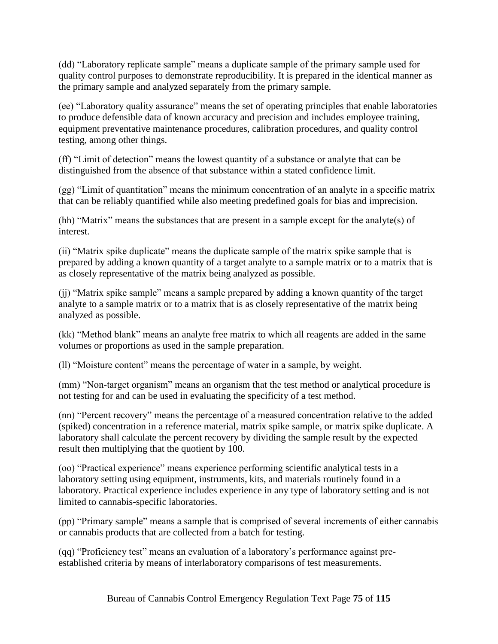(dd) "Laboratory replicate sample" means a duplicate sample of the primary sample used for quality control purposes to demonstrate reproducibility. It is prepared in the identical manner as the primary sample and analyzed separately from the primary sample.

(ee) "Laboratory quality assurance" means the set of operating principles that enable laboratories to produce defensible data of known accuracy and precision and includes employee training, equipment preventative maintenance procedures, calibration procedures, and quality control testing, among other things.

(ff) "Limit of detection" means the lowest quantity of a substance or analyte that can be distinguished from the absence of that substance within a stated confidence limit.

(gg) "Limit of quantitation" means the minimum concentration of an analyte in a specific matrix that can be reliably quantified while also meeting predefined goals for bias and imprecision.

(hh) "Matrix" means the substances that are present in a sample except for the analyte(s) of interest.

(ii) "Matrix spike duplicate" means the duplicate sample of the matrix spike sample that is prepared by adding a known quantity of a target analyte to a sample matrix or to a matrix that is as closely representative of the matrix being analyzed as possible.

(jj) "Matrix spike sample" means a sample prepared by adding a known quantity of the target analyte to a sample matrix or to a matrix that is as closely representative of the matrix being analyzed as possible.

(kk) "Method blank" means an analyte free matrix to which all reagents are added in the same volumes or proportions as used in the sample preparation.

(ll) "Moisture content" means the percentage of water in a sample, by weight.

(mm) "Non-target organism" means an organism that the test method or analytical procedure is not testing for and can be used in evaluating the specificity of a test method.

(nn) "Percent recovery" means the percentage of a measured concentration relative to the added (spiked) concentration in a reference material, matrix spike sample, or matrix spike duplicate. A laboratory shall calculate the percent recovery by dividing the sample result by the expected result then multiplying that the quotient by 100.

(oo) "Practical experience" means experience performing scientific analytical tests in a laboratory setting using equipment, instruments, kits, and materials routinely found in a laboratory. Practical experience includes experience in any type of laboratory setting and is not limited to cannabis-specific laboratories.

(pp) "Primary sample" means a sample that is comprised of several increments of either cannabis or cannabis products that are collected from a batch for testing.

(qq) "Proficiency test" means an evaluation of a laboratory's performance against preestablished criteria by means of interlaboratory comparisons of test measurements.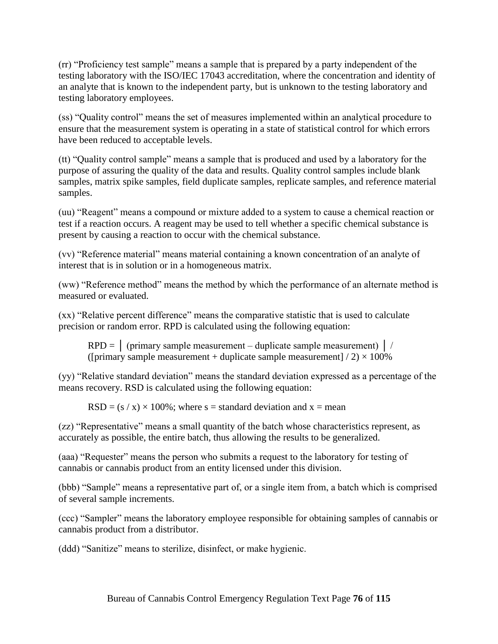(rr) "Proficiency test sample" means a sample that is prepared by a party independent of the testing laboratory with the ISO/IEC 17043 accreditation, where the concentration and identity of an analyte that is known to the independent party, but is unknown to the testing laboratory and testing laboratory employees.

(ss) "Quality control" means the set of measures implemented within an analytical procedure to ensure that the measurement system is operating in a state of statistical control for which errors have been reduced to acceptable levels.

(tt) "Quality control sample" means a sample that is produced and used by a laboratory for the purpose of assuring the quality of the data and results. Quality control samples include blank samples, matrix spike samples, field duplicate samples, replicate samples, and reference material samples.

(uu) "Reagent" means a compound or mixture added to a system to cause a chemical reaction or test if a reaction occurs. A reagent may be used to tell whether a specific chemical substance is present by causing a reaction to occur with the chemical substance.

(vv) "Reference material" means material containing a known concentration of an analyte of interest that is in solution or in a homogeneous matrix.

(ww) "Reference method" means the method by which the performance of an alternate method is measured or evaluated.

(xx) "Relative percent difference" means the comparative statistic that is used to calculate precision or random error. RPD is calculated using the following equation:

 $RPD = |$  (primary sample measurement – duplicate sample measurement) | / ([primary sample measurement + duplicate sample measurement]  $/ 2$ )  $\times$  100%

(yy) "Relative standard deviation" means the standard deviation expressed as a percentage of the means recovery. RSD is calculated using the following equation:

 $RSD = (s / x) \times 100\%$ ; where s = standard deviation and x = mean

(zz) "Representative" means a small quantity of the batch whose characteristics represent, as accurately as possible, the entire batch, thus allowing the results to be generalized.

(aaa) "Requester" means the person who submits a request to the laboratory for testing of cannabis or cannabis product from an entity licensed under this division.

(bbb) "Sample" means a representative part of, or a single item from, a batch which is comprised of several sample increments.

(ccc) "Sampler" means the laboratory employee responsible for obtaining samples of cannabis or cannabis product from a distributor.

(ddd) "Sanitize" means to sterilize, disinfect, or make hygienic.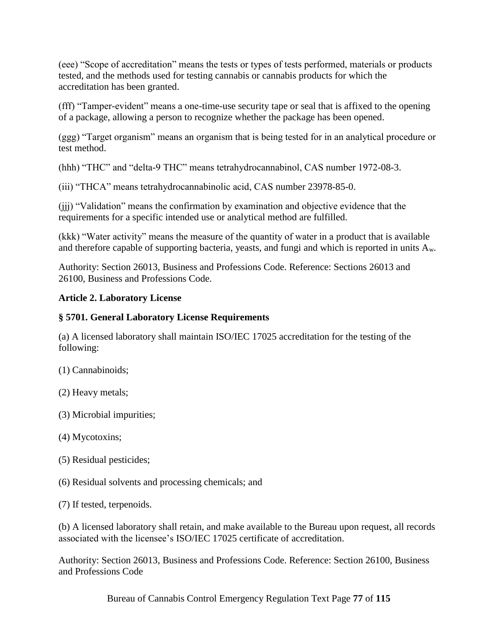(eee) "Scope of accreditation" means the tests or types of tests performed, materials or products tested, and the methods used for testing cannabis or cannabis products for which the accreditation has been granted.

(fff) "Tamper-evident" means a one-time-use security tape or seal that is affixed to the opening of a package, allowing a person to recognize whether the package has been opened.

(ggg) "Target organism" means an organism that is being tested for in an analytical procedure or test method.

(hhh) "THC" and "delta-9 THC" means tetrahydrocannabinol, CAS number 1972-08-3.

(iii) "THCA" means tetrahydrocannabinolic acid, CAS number 23978-85-0.

(jjj) "Validation" means the confirmation by examination and objective evidence that the requirements for a specific intended use or analytical method are fulfilled.

(kkk) "Water activity" means the measure of the quantity of water in a product that is available and therefore capable of supporting bacteria, yeasts, and fungi and which is reported in units  $A_w$ .

Authority: Section 26013, Business and Professions Code. Reference: Sections 26013 and 26100, Business and Professions Code.

## **Article 2. Laboratory License**

# **§ 5701. General Laboratory License Requirements**

(a) A licensed laboratory shall maintain ISO/IEC 17025 accreditation for the testing of the following:

(1) Cannabinoids;

(2) Heavy metals;

(3) Microbial impurities;

(4) Mycotoxins;

(5) Residual pesticides;

(6) Residual solvents and processing chemicals; and

(7) If tested, terpenoids.

(b) A licensed laboratory shall retain, and make available to the Bureau upon request, all records associated with the licensee's ISO/IEC 17025 certificate of accreditation.

Authority: Section 26013, Business and Professions Code. Reference: Section 26100, Business and Professions Code

Bureau of Cannabis Control Emergency Regulation Text Page **77** of **115**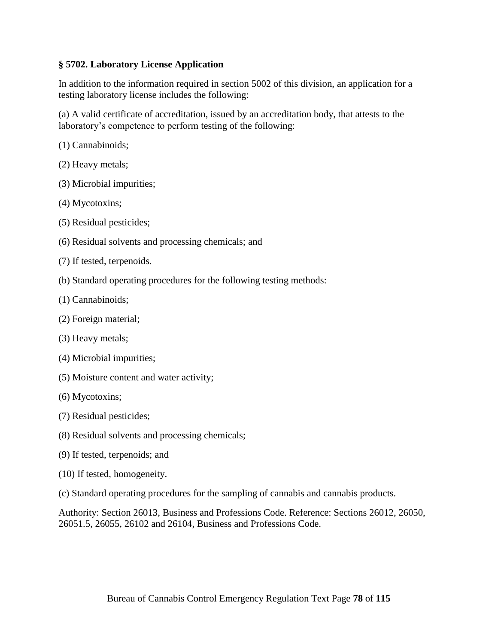### **§ 5702. Laboratory License Application**

In addition to the information required in section 5002 of this division, an application for a testing laboratory license includes the following:

(a) A valid certificate of accreditation, issued by an accreditation body, that attests to the laboratory's competence to perform testing of the following:

(1) Cannabinoids;

(2) Heavy metals;

- (3) Microbial impurities;
- (4) Mycotoxins;
- (5) Residual pesticides;
- (6) Residual solvents and processing chemicals; and
- (7) If tested, terpenoids.
- (b) Standard operating procedures for the following testing methods:
- (1) Cannabinoids;
- (2) Foreign material;
- (3) Heavy metals;
- (4) Microbial impurities;
- (5) Moisture content and water activity;
- (6) Mycotoxins;
- (7) Residual pesticides;
- (8) Residual solvents and processing chemicals;
- (9) If tested, terpenoids; and
- (10) If tested, homogeneity.
- (c) Standard operating procedures for the sampling of cannabis and cannabis products.

Authority: Section 26013, Business and Professions Code. Reference: Sections 26012, 26050, 26051.5, 26055, 26102 and 26104, Business and Professions Code.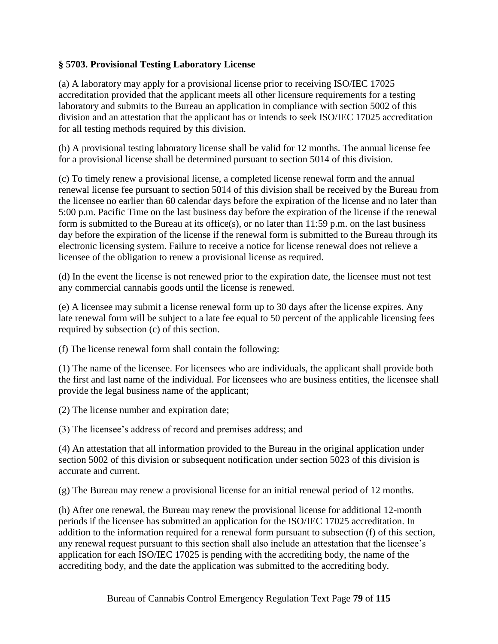## **§ 5703. Provisional Testing Laboratory License**

(a) A laboratory may apply for a provisional license prior to receiving ISO/IEC 17025 accreditation provided that the applicant meets all other licensure requirements for a testing laboratory and submits to the Bureau an application in compliance with section 5002 of this division and an attestation that the applicant has or intends to seek ISO/IEC 17025 accreditation for all testing methods required by this division.

(b) A provisional testing laboratory license shall be valid for 12 months. The annual license fee for a provisional license shall be determined pursuant to section 5014 of this division.

(c) To timely renew a provisional license, a completed license renewal form and the annual renewal license fee pursuant to section 5014 of this division shall be received by the Bureau from the licensee no earlier than 60 calendar days before the expiration of the license and no later than 5:00 p.m. Pacific Time on the last business day before the expiration of the license if the renewal form is submitted to the Bureau at its office(s), or no later than 11:59 p.m. on the last business day before the expiration of the license if the renewal form is submitted to the Bureau through its electronic licensing system. Failure to receive a notice for license renewal does not relieve a licensee of the obligation to renew a provisional license as required.

(d) In the event the license is not renewed prior to the expiration date, the licensee must not test any commercial cannabis goods until the license is renewed.

(e) A licensee may submit a license renewal form up to 30 days after the license expires. Any late renewal form will be subject to a late fee equal to 50 percent of the applicable licensing fees required by subsection (c) of this section.

(f) The license renewal form shall contain the following:

(1) The name of the licensee. For licensees who are individuals, the applicant shall provide both the first and last name of the individual. For licensees who are business entities, the licensee shall provide the legal business name of the applicant;

(2) The license number and expiration date;

(3) The licensee's address of record and premises address; and

(4) An attestation that all information provided to the Bureau in the original application under section 5002 of this division or subsequent notification under section 5023 of this division is accurate and current.

(g) The Bureau may renew a provisional license for an initial renewal period of 12 months.

(h) After one renewal, the Bureau may renew the provisional license for additional 12-month periods if the licensee has submitted an application for the ISO/IEC 17025 accreditation. In addition to the information required for a renewal form pursuant to subsection (f) of this section, any renewal request pursuant to this section shall also include an attestation that the licensee's application for each ISO/IEC 17025 is pending with the accrediting body, the name of the accrediting body, and the date the application was submitted to the accrediting body.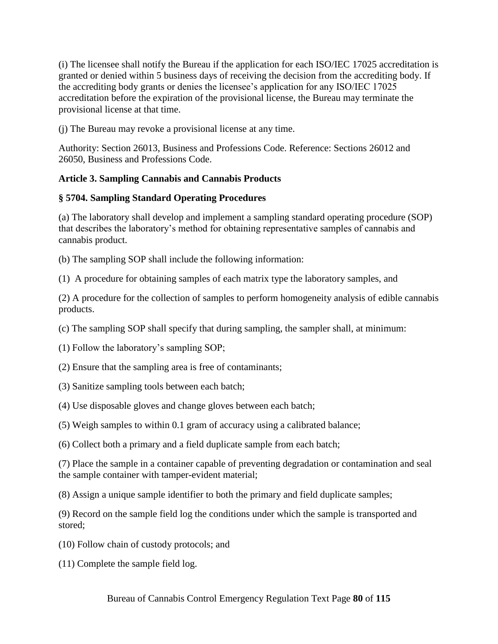(i) The licensee shall notify the Bureau if the application for each ISO/IEC 17025 accreditation is granted or denied within 5 business days of receiving the decision from the accrediting body. If the accrediting body grants or denies the licensee's application for any ISO/IEC 17025 accreditation before the expiration of the provisional license, the Bureau may terminate the provisional license at that time.

(j) The Bureau may revoke a provisional license at any time.

Authority: Section 26013, Business and Professions Code. Reference: Sections 26012 and 26050, Business and Professions Code.

# **Article 3. Sampling Cannabis and Cannabis Products**

# **§ 5704. Sampling Standard Operating Procedures**

(a) The laboratory shall develop and implement a sampling standard operating procedure (SOP) that describes the laboratory's method for obtaining representative samples of cannabis and cannabis product.

(b) The sampling SOP shall include the following information:

(1) A procedure for obtaining samples of each matrix type the laboratory samples, and

(2) A procedure for the collection of samples to perform homogeneity analysis of edible cannabis products.

(c) The sampling SOP shall specify that during sampling, the sampler shall, at minimum:

(1) Follow the laboratory's sampling SOP;

(2) Ensure that the sampling area is free of contaminants;

- (3) Sanitize sampling tools between each batch;
- (4) Use disposable gloves and change gloves between each batch;
- (5) Weigh samples to within 0.1 gram of accuracy using a calibrated balance;
- (6) Collect both a primary and a field duplicate sample from each batch;

(7) Place the sample in a container capable of preventing degradation or contamination and seal the sample container with tamper-evident material;

(8) Assign a unique sample identifier to both the primary and field duplicate samples;

(9) Record on the sample field log the conditions under which the sample is transported and stored;

- (10) Follow chain of custody protocols; and
- (11) Complete the sample field log.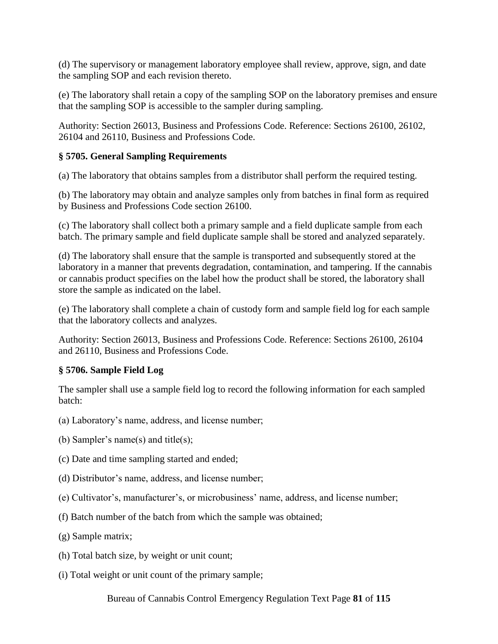(d) The supervisory or management laboratory employee shall review, approve, sign, and date the sampling SOP and each revision thereto.

(e) The laboratory shall retain a copy of the sampling SOP on the laboratory premises and ensure that the sampling SOP is accessible to the sampler during sampling.

Authority: Section 26013, Business and Professions Code. Reference: Sections 26100, 26102, 26104 and 26110, Business and Professions Code.

## **§ 5705. General Sampling Requirements**

(a) The laboratory that obtains samples from a distributor shall perform the required testing.

(b) The laboratory may obtain and analyze samples only from batches in final form as required by Business and Professions Code section 26100.

(c) The laboratory shall collect both a primary sample and a field duplicate sample from each batch. The primary sample and field duplicate sample shall be stored and analyzed separately.

(d) The laboratory shall ensure that the sample is transported and subsequently stored at the laboratory in a manner that prevents degradation, contamination, and tampering. If the cannabis or cannabis product specifies on the label how the product shall be stored, the laboratory shall store the sample as indicated on the label.

(e) The laboratory shall complete a chain of custody form and sample field log for each sample that the laboratory collects and analyzes.

Authority: Section 26013, Business and Professions Code. Reference: Sections 26100, 26104 and 26110, Business and Professions Code.

## **§ 5706. Sample Field Log**

The sampler shall use a sample field log to record the following information for each sampled batch:

- (a) Laboratory's name, address, and license number;
- (b) Sampler's name(s) and title(s);
- (c) Date and time sampling started and ended;
- (d) Distributor's name, address, and license number;
- (e) Cultivator's, manufacturer's, or microbusiness' name, address, and license number;
- (f) Batch number of the batch from which the sample was obtained;
- (g) Sample matrix;
- (h) Total batch size, by weight or unit count;
- (i) Total weight or unit count of the primary sample;

Bureau of Cannabis Control Emergency Regulation Text Page **81** of **115**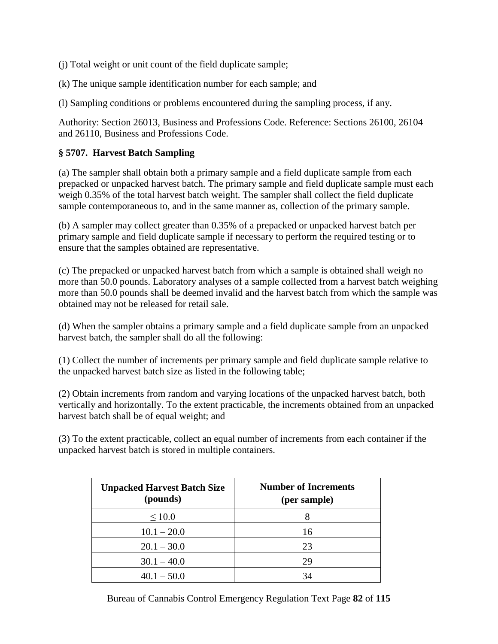(j) Total weight or unit count of the field duplicate sample;

(k) The unique sample identification number for each sample; and

(l) Sampling conditions or problems encountered during the sampling process, if any.

Authority: Section 26013, Business and Professions Code. Reference: Sections 26100, 26104 and 26110, Business and Professions Code.

# **§ 5707. Harvest Batch Sampling**

(a) The sampler shall obtain both a primary sample and a field duplicate sample from each prepacked or unpacked harvest batch. The primary sample and field duplicate sample must each weigh 0.35% of the total harvest batch weight. The sampler shall collect the field duplicate sample contemporaneous to, and in the same manner as, collection of the primary sample.

(b) A sampler may collect greater than 0.35% of a prepacked or unpacked harvest batch per primary sample and field duplicate sample if necessary to perform the required testing or to ensure that the samples obtained are representative.

(c) The prepacked or unpacked harvest batch from which a sample is obtained shall weigh no more than 50.0 pounds. Laboratory analyses of a sample collected from a harvest batch weighing more than 50.0 pounds shall be deemed invalid and the harvest batch from which the sample was obtained may not be released for retail sale.

(d) When the sampler obtains a primary sample and a field duplicate sample from an unpacked harvest batch, the sampler shall do all the following:

(1) Collect the number of increments per primary sample and field duplicate sample relative to the unpacked harvest batch size as listed in the following table;

(2) Obtain increments from random and varying locations of the unpacked harvest batch, both vertically and horizontally. To the extent practicable, the increments obtained from an unpacked harvest batch shall be of equal weight; and

(3) To the extent practicable, collect an equal number of increments from each container if the unpacked harvest batch is stored in multiple containers.

| <b>Unpacked Harvest Batch Size</b><br>(pounds) | <b>Number of Increments</b><br>(per sample) |
|------------------------------------------------|---------------------------------------------|
| $\leq 10.0$                                    |                                             |
| $10.1 - 20.0$                                  | 16                                          |
| $20.1 - 30.0$                                  | 23                                          |
| $30.1 - 40.0$                                  | 29                                          |
| $40.1 - 50.0$                                  | 34                                          |

Bureau of Cannabis Control Emergency Regulation Text Page **82** of **115**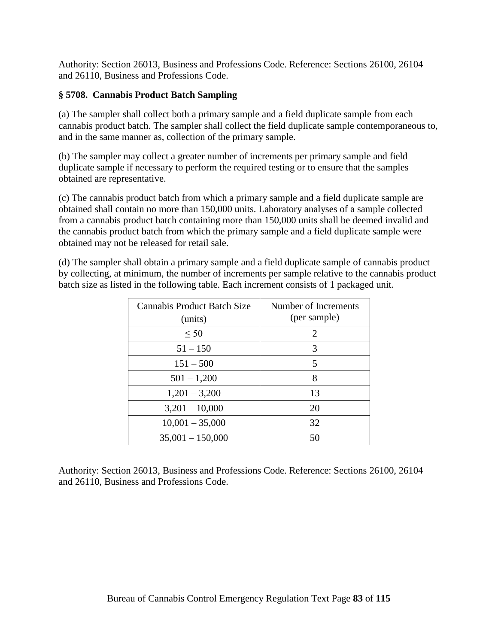## **§ 5708. Cannabis Product Batch Sampling**

(a) The sampler shall collect both a primary sample and a field duplicate sample from each cannabis product batch. The sampler shall collect the field duplicate sample contemporaneous to, and in the same manner as, collection of the primary sample.

(b) The sampler may collect a greater number of increments per primary sample and field duplicate sample if necessary to perform the required testing or to ensure that the samples obtained are representative.

(c) The cannabis product batch from which a primary sample and a field duplicate sample are obtained shall contain no more than 150,000 units. Laboratory analyses of a sample collected from a cannabis product batch containing more than 150,000 units shall be deemed invalid and the cannabis product batch from which the primary sample and a field duplicate sample were obtained may not be released for retail sale.

(d) The sampler shall obtain a primary sample and a field duplicate sample of cannabis product by collecting, at minimum, the number of increments per sample relative to the cannabis product batch size as listed in the following table. Each increment consists of 1 packaged unit.

| Cannabis Product Batch Size<br>(units) | Number of Increments<br>(per sample) |
|----------------------------------------|--------------------------------------|
| $\leq 50$                              | 2                                    |
| $51 - 150$                             | 3                                    |
| $151 - 500$                            | $\overline{\phantom{0}}$             |
| $501 - 1,200$                          | 8                                    |
| $1,201 - 3,200$                        | 13                                   |
| $3,201 - 10,000$                       | 20                                   |
| $10,001 - 35,000$                      | 32                                   |
| $35,001 - 150,000$                     | 50                                   |

Authority: Section 26013, Business and Professions Code. Reference: Sections 26100, 26104 and 26110, Business and Professions Code.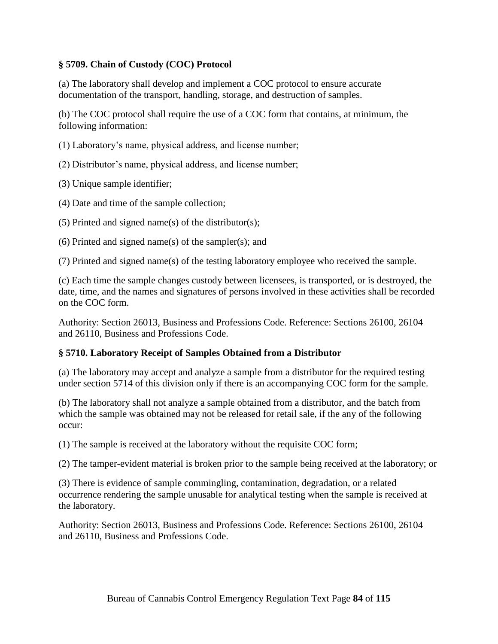## **§ 5709. Chain of Custody (COC) Protocol**

(a) The laboratory shall develop and implement a COC protocol to ensure accurate documentation of the transport, handling, storage, and destruction of samples.

(b) The COC protocol shall require the use of a COC form that contains, at minimum, the following information:

(1) Laboratory's name, physical address, and license number;

(2) Distributor's name, physical address, and license number;

(3) Unique sample identifier;

(4) Date and time of the sample collection;

(5) Printed and signed name(s) of the distributor(s);

(6) Printed and signed name(s) of the sampler(s); and

(7) Printed and signed name(s) of the testing laboratory employee who received the sample.

(c) Each time the sample changes custody between licensees, is transported, or is destroyed, the date, time, and the names and signatures of persons involved in these activities shall be recorded on the COC form.

Authority: Section 26013, Business and Professions Code. Reference: Sections 26100, 26104 and 26110, Business and Professions Code.

# **§ 5710. Laboratory Receipt of Samples Obtained from a Distributor**

(a) The laboratory may accept and analyze a sample from a distributor for the required testing under section 5714 of this division only if there is an accompanying COC form for the sample.

(b) The laboratory shall not analyze a sample obtained from a distributor, and the batch from which the sample was obtained may not be released for retail sale, if the any of the following occur:

(1) The sample is received at the laboratory without the requisite COC form;

(2) The tamper-evident material is broken prior to the sample being received at the laboratory; or

(3) There is evidence of sample commingling, contamination, degradation, or a related occurrence rendering the sample unusable for analytical testing when the sample is received at the laboratory.

Authority: Section 26013, Business and Professions Code. Reference: Sections 26100, 26104 and 26110, Business and Professions Code.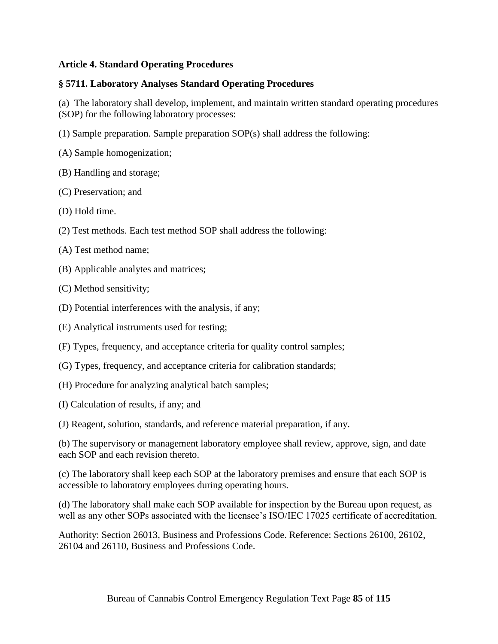## **Article 4. Standard Operating Procedures**

## **§ 5711. Laboratory Analyses Standard Operating Procedures**

(a) The laboratory shall develop, implement, and maintain written standard operating procedures (SOP) for the following laboratory processes:

- (1) Sample preparation. Sample preparation SOP(s) shall address the following:
- (A) Sample homogenization;
- (B) Handling and storage;
- (C) Preservation; and
- (D) Hold time.
- (2) Test methods. Each test method SOP shall address the following:
- (A) Test method name;
- (B) Applicable analytes and matrices;
- (C) Method sensitivity;
- (D) Potential interferences with the analysis, if any;
- (E) Analytical instruments used for testing;
- (F) Types, frequency, and acceptance criteria for quality control samples;
- (G) Types, frequency, and acceptance criteria for calibration standards;
- (H) Procedure for analyzing analytical batch samples;
- (I) Calculation of results, if any; and

(J) Reagent, solution, standards, and reference material preparation, if any.

(b) The supervisory or management laboratory employee shall review, approve, sign, and date each SOP and each revision thereto.

(c) The laboratory shall keep each SOP at the laboratory premises and ensure that each SOP is accessible to laboratory employees during operating hours.

(d) The laboratory shall make each SOP available for inspection by the Bureau upon request, as well as any other SOPs associated with the licensee's ISO/IEC 17025 certificate of accreditation.

Authority: Section 26013, Business and Professions Code. Reference: Sections 26100, 26102, 26104 and 26110, Business and Professions Code.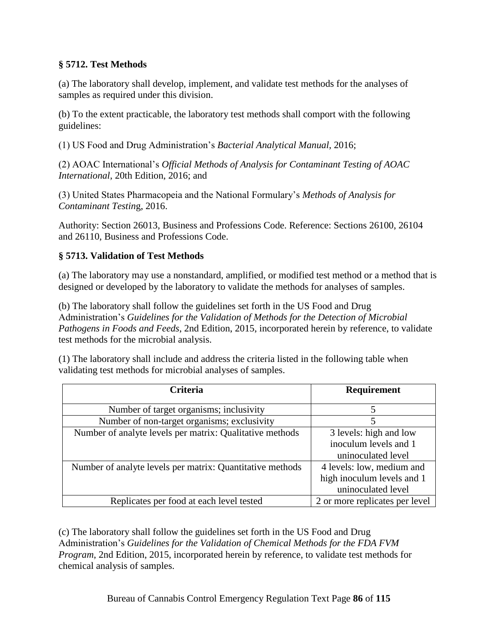## **§ 5712. Test Methods**

(a) The laboratory shall develop, implement, and validate test methods for the analyses of samples as required under this division.

(b) To the extent practicable, the laboratory test methods shall comport with the following guidelines:

(1) US Food and Drug Administration's *Bacterial Analytical Manual*, 2016;

(2) AOAC International's *Official Methods of Analysis for Contaminant Testing of AOAC International*, 20th Edition, 2016; and

(3) United States Pharmacopeia and the National Formulary's *Methods of Analysis for Contaminant Testin*g, 2016.

Authority: Section 26013, Business and Professions Code. Reference: Sections 26100, 26104 and 26110, Business and Professions Code.

## **§ 5713. Validation of Test Methods**

(a) The laboratory may use a nonstandard, amplified, or modified test method or a method that is designed or developed by the laboratory to validate the methods for analyses of samples.

(b) The laboratory shall follow the guidelines set forth in the US Food and Drug Administration's *Guidelines for the Validation of Methods for the Detection of Microbial Pathogens in Foods and Feeds*, 2nd Edition, 2015, incorporated herein by reference, to validate test methods for the microbial analysis.

(1) The laboratory shall include and address the criteria listed in the following table when validating test methods for microbial analyses of samples.

| <b>Criteria</b>                                           | Requirement                    |
|-----------------------------------------------------------|--------------------------------|
| Number of target organisms; inclusivity                   |                                |
| Number of non-target organisms; exclusivity               |                                |
| Number of analyte levels per matrix: Qualitative methods  | 3 levels: high and low         |
|                                                           | inoculum levels and 1          |
|                                                           | uninoculated level             |
| Number of analyte levels per matrix: Quantitative methods | 4 levels: low, medium and      |
|                                                           | high inoculum levels and 1     |
|                                                           | uninoculated level             |
| Replicates per food at each level tested                  | 2 or more replicates per level |

(c) The laboratory shall follow the guidelines set forth in the US Food and Drug Administration's *Guidelines for the Validation of Chemical Methods for the FDA FVM Program*, 2nd Edition, 2015, incorporated herein by reference, to validate test methods for chemical analysis of samples.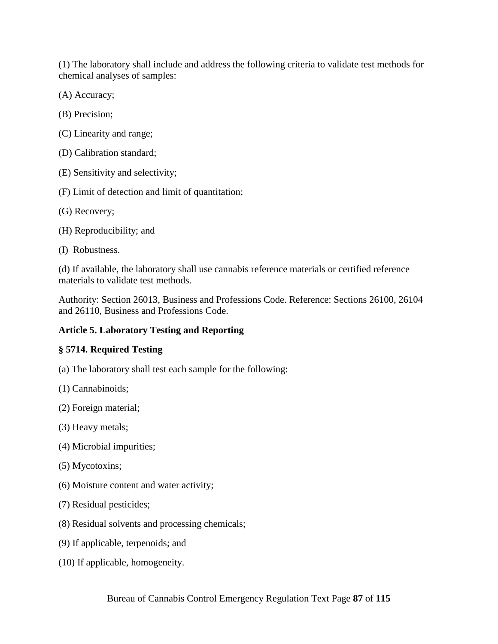(1) The laboratory shall include and address the following criteria to validate test methods for chemical analyses of samples:

(A) Accuracy;

- (B) Precision;
- (C) Linearity and range;
- (D) Calibration standard;
- (E) Sensitivity and selectivity;
- (F) Limit of detection and limit of quantitation;
- (G) Recovery;
- (H) Reproducibility; and
- (I) Robustness.

(d) If available, the laboratory shall use cannabis reference materials or certified reference materials to validate test methods.

Authority: Section 26013, Business and Professions Code. Reference: Sections 26100, 26104 and 26110, Business and Professions Code.

#### **Article 5. Laboratory Testing and Reporting**

#### **§ 5714. Required Testing**

- (a) The laboratory shall test each sample for the following:
- (1) Cannabinoids;
- (2) Foreign material;
- (3) Heavy metals;
- (4) Microbial impurities;
- (5) Mycotoxins;
- (6) Moisture content and water activity;
- (7) Residual pesticides;
- (8) Residual solvents and processing chemicals;
- (9) If applicable, terpenoids; and
- (10) If applicable, homogeneity.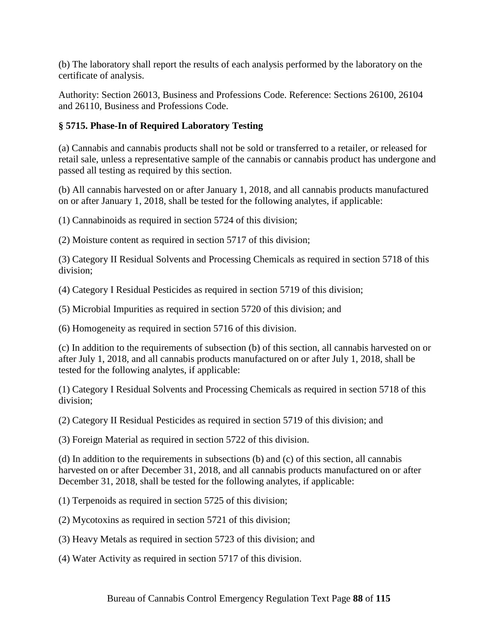(b) The laboratory shall report the results of each analysis performed by the laboratory on the certificate of analysis.

Authority: Section 26013, Business and Professions Code. Reference: Sections 26100, 26104 and 26110, Business and Professions Code.

# **§ 5715. Phase-In of Required Laboratory Testing**

(a) Cannabis and cannabis products shall not be sold or transferred to a retailer, or released for retail sale, unless a representative sample of the cannabis or cannabis product has undergone and passed all testing as required by this section.

(b) All cannabis harvested on or after January 1, 2018, and all cannabis products manufactured on or after January 1, 2018, shall be tested for the following analytes, if applicable:

(1) Cannabinoids as required in section 5724 of this division;

(2) Moisture content as required in section 5717 of this division;

(3) Category II Residual Solvents and Processing Chemicals as required in section 5718 of this division;

(4) Category I Residual Pesticides as required in section 5719 of this division;

(5) Microbial Impurities as required in section 5720 of this division; and

(6) Homogeneity as required in section 5716 of this division.

(c) In addition to the requirements of subsection (b) of this section, all cannabis harvested on or after July 1, 2018, and all cannabis products manufactured on or after July 1, 2018, shall be tested for the following analytes, if applicable:

(1) Category I Residual Solvents and Processing Chemicals as required in section 5718 of this division;

(2) Category II Residual Pesticides as required in section 5719 of this division; and

(3) Foreign Material as required in section 5722 of this division.

(d) In addition to the requirements in subsections (b) and (c) of this section, all cannabis harvested on or after December 31, 2018, and all cannabis products manufactured on or after December 31, 2018, shall be tested for the following analytes, if applicable:

(1) Terpenoids as required in section 5725 of this division;

(2) Mycotoxins as required in section 5721 of this division;

- (3) Heavy Metals as required in section 5723 of this division; and
- (4) Water Activity as required in section 5717 of this division.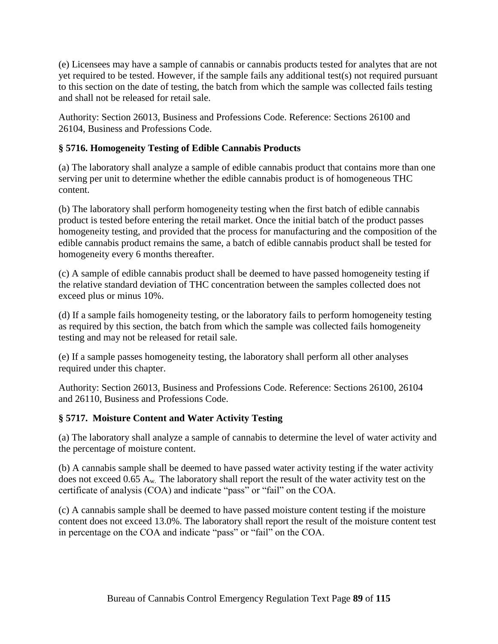(e) Licensees may have a sample of cannabis or cannabis products tested for analytes that are not yet required to be tested. However, if the sample fails any additional test(s) not required pursuant to this section on the date of testing, the batch from which the sample was collected fails testing and shall not be released for retail sale.

Authority: Section 26013, Business and Professions Code. Reference: Sections 26100 and 26104, Business and Professions Code.

# **§ 5716. Homogeneity Testing of Edible Cannabis Products**

(a) The laboratory shall analyze a sample of edible cannabis product that contains more than one serving per unit to determine whether the edible cannabis product is of homogeneous THC content.

(b) The laboratory shall perform homogeneity testing when the first batch of edible cannabis product is tested before entering the retail market. Once the initial batch of the product passes homogeneity testing, and provided that the process for manufacturing and the composition of the edible cannabis product remains the same, a batch of edible cannabis product shall be tested for homogeneity every 6 months thereafter.

(c) A sample of edible cannabis product shall be deemed to have passed homogeneity testing if the relative standard deviation of THC concentration between the samples collected does not exceed plus or minus 10%.

(d) If a sample fails homogeneity testing, or the laboratory fails to perform homogeneity testing as required by this section, the batch from which the sample was collected fails homogeneity testing and may not be released for retail sale.

(e) If a sample passes homogeneity testing, the laboratory shall perform all other analyses required under this chapter.

Authority: Section 26013, Business and Professions Code. Reference: Sections 26100, 26104 and 26110, Business and Professions Code.

## **§ 5717. Moisture Content and Water Activity Testing**

(a) The laboratory shall analyze a sample of cannabis to determine the level of water activity and the percentage of moisture content.

(b) A cannabis sample shall be deemed to have passed water activity testing if the water activity does not exceed  $0.65 \text{ A}_{w}$ . The laboratory shall report the result of the water activity test on the certificate of analysis (COA) and indicate "pass" or "fail" on the COA.

(c) A cannabis sample shall be deemed to have passed moisture content testing if the moisture content does not exceed 13.0%. The laboratory shall report the result of the moisture content test in percentage on the COA and indicate "pass" or "fail" on the COA.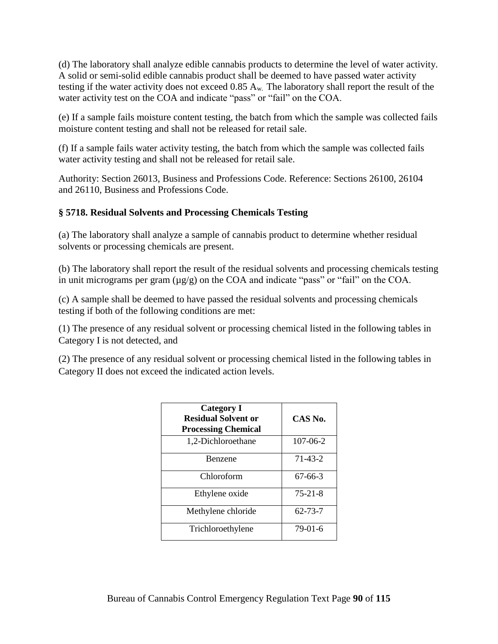(d) The laboratory shall analyze edible cannabis products to determine the level of water activity. A solid or semi-solid edible cannabis product shall be deemed to have passed water activity testing if the water activity does not exceed  $0.85 A<sub>w</sub>$ . The laboratory shall report the result of the water activity test on the COA and indicate "pass" or "fail" on the COA.

(e) If a sample fails moisture content testing, the batch from which the sample was collected fails moisture content testing and shall not be released for retail sale.

(f) If a sample fails water activity testing, the batch from which the sample was collected fails water activity testing and shall not be released for retail sale.

Authority: Section 26013, Business and Professions Code. Reference: Sections 26100, 26104 and 26110, Business and Professions Code.

# **§ 5718. Residual Solvents and Processing Chemicals Testing**

(a) The laboratory shall analyze a sample of cannabis product to determine whether residual solvents or processing chemicals are present.

(b) The laboratory shall report the result of the residual solvents and processing chemicals testing in unit micrograms per gram  $(\mu g/g)$  on the COA and indicate "pass" or "fail" on the COA.

(c) A sample shall be deemed to have passed the residual solvents and processing chemicals testing if both of the following conditions are met:

(1) The presence of any residual solvent or processing chemical listed in the following tables in Category I is not detected, and

(2) The presence of any residual solvent or processing chemical listed in the following tables in Category II does not exceed the indicated action levels.

| <b>Category I</b><br><b>Residual Solvent or</b><br><b>Processing Chemical</b> | CAS No.        |
|-------------------------------------------------------------------------------|----------------|
| 1,2-Dichloroethane                                                            | $107 - 06 - 2$ |
| Benzene                                                                       | 71-43-2        |
| Chloroform                                                                    | $67 - 66 - 3$  |
| Ethylene oxide                                                                | $75 - 21 - 8$  |
| Methylene chloride                                                            | 62-73-7        |
| Trichloroethylene                                                             | $79-01-6$      |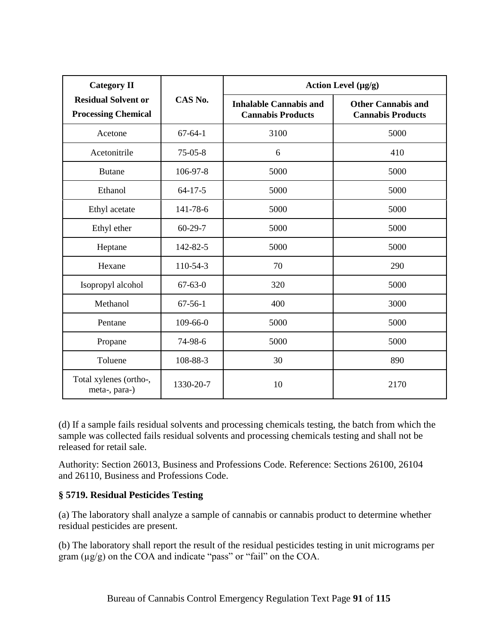| <b>Category II</b>                                       |                |                                                           | Action Level (µg/g)                                   |
|----------------------------------------------------------|----------------|-----------------------------------------------------------|-------------------------------------------------------|
| <b>Residual Solvent or</b><br><b>Processing Chemical</b> | CAS No.        | <b>Inhalable Cannabis and</b><br><b>Cannabis Products</b> | <b>Other Cannabis and</b><br><b>Cannabis Products</b> |
| Acetone                                                  | $67 - 64 - 1$  | 3100                                                      | 5000                                                  |
| Acetonitrile                                             | $75-05-8$      | 6                                                         | 410                                                   |
| <b>Butane</b>                                            | 106-97-8       | 5000                                                      | 5000                                                  |
| Ethanol                                                  | $64-17-5$      | 5000                                                      | 5000                                                  |
| Ethyl acetate                                            | 141-78-6       | 5000                                                      | 5000                                                  |
| Ethyl ether                                              | $60-29-7$      | 5000                                                      | 5000                                                  |
| Heptane                                                  | 142-82-5       | 5000                                                      | 5000                                                  |
| Hexane                                                   | 110-54-3       | 70                                                        | 290                                                   |
| Isopropyl alcohol                                        | $67 - 63 - 0$  | 320                                                       | 5000                                                  |
| Methanol                                                 | $67-56-1$      | 400                                                       | 3000                                                  |
| Pentane                                                  | $109 - 66 - 0$ | 5000                                                      | 5000                                                  |
| Propane                                                  | 74-98-6        | 5000                                                      | 5000                                                  |
| Toluene                                                  | 108-88-3       | 30                                                        | 890                                                   |
| Total xylenes (ortho-,<br>meta-, para-)                  | 1330-20-7      | 10                                                        | 2170                                                  |

(d) If a sample fails residual solvents and processing chemicals testing, the batch from which the sample was collected fails residual solvents and processing chemicals testing and shall not be released for retail sale.

Authority: Section 26013, Business and Professions Code. Reference: Sections 26100, 26104 and 26110, Business and Professions Code.

## **§ 5719. Residual Pesticides Testing**

(a) The laboratory shall analyze a sample of cannabis or cannabis product to determine whether residual pesticides are present.

(b) The laboratory shall report the result of the residual pesticides testing in unit micrograms per gram (µg/g) on the COA and indicate "pass" or "fail" on the COA.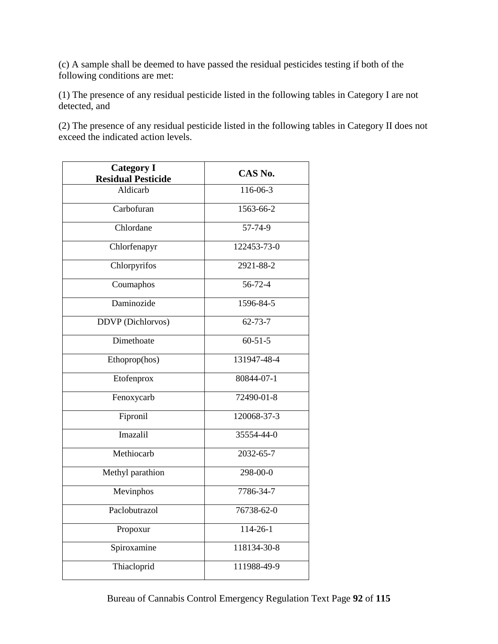(c) A sample shall be deemed to have passed the residual pesticides testing if both of the following conditions are met:

(1) The presence of any residual pesticide listed in the following tables in Category I are not detected, and

(2) The presence of any residual pesticide listed in the following tables in Category II does not exceed the indicated action levels.

| <b>Category I</b><br><b>Residual Pesticide</b> | CAS No.       |
|------------------------------------------------|---------------|
| Aldicarb                                       | 116-06-3      |
| Carbofuran                                     | 1563-66-2     |
| Chlordane                                      | 57-74-9       |
| Chlorfenapyr                                   | 122453-73-0   |
| Chlorpyrifos                                   | 2921-88-2     |
| Coumaphos                                      | $56 - 72 - 4$ |
| Daminozide                                     | 1596-84-5     |
| <b>DDVP</b> (Dichlorvos)                       | $62 - 73 - 7$ |
| Dimethoate                                     | $60 - 51 - 5$ |
| Ethoprop(hos)                                  | 131947-48-4   |
| Etofenprox                                     | 80844-07-1    |
| Fenoxycarb                                     | 72490-01-8    |
| Fipronil                                       | 120068-37-3   |
| Imazalil                                       | 35554-44-0    |
| Methiocarb                                     | 2032-65-7     |
| Methyl parathion                               | 298-00-0      |
| Mevinphos                                      | 7786-34-7     |
| Paclobutrazol                                  | 76738-62-0    |
| Propoxur                                       | 114-26-1      |
| Spiroxamine                                    | 118134-30-8   |
| Thiacloprid                                    | 111988-49-9   |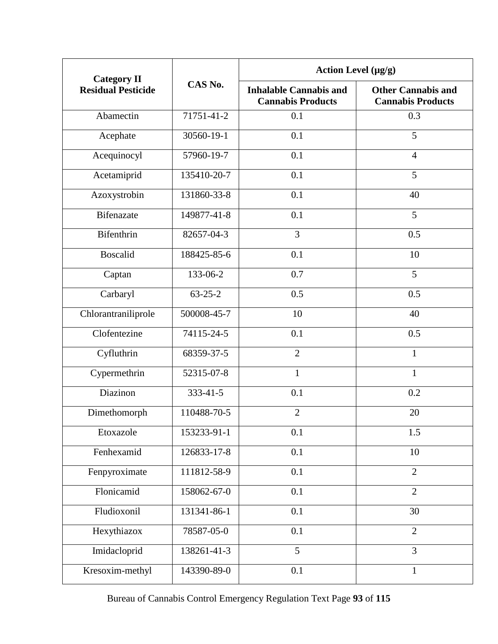|                                                 | Action Level (µg/g) |                                                           |                                                       |
|-------------------------------------------------|---------------------|-----------------------------------------------------------|-------------------------------------------------------|
| <b>Category II</b><br><b>Residual Pesticide</b> | CAS No.             | <b>Inhalable Cannabis and</b><br><b>Cannabis Products</b> | <b>Other Cannabis and</b><br><b>Cannabis Products</b> |
| Abamectin                                       | 71751-41-2          | 0.1                                                       | 0.3                                                   |
| Acephate                                        | 30560-19-1          | 0.1                                                       | 5                                                     |
| Acequinocyl                                     | 57960-19-7          | 0.1                                                       | $\overline{4}$                                        |
| Acetamiprid                                     | 135410-20-7         | 0.1                                                       | 5                                                     |
| Azoxystrobin                                    | 131860-33-8         | 0.1                                                       | 40                                                    |
| <b>Bifenazate</b>                               | 149877-41-8         | 0.1                                                       | 5                                                     |
| <b>Bifenthrin</b>                               | 82657-04-3          | $\overline{3}$                                            | 0.5                                                   |
| <b>Boscalid</b>                                 | 188425-85-6         | 0.1                                                       | 10                                                    |
| Captan                                          | 133-06-2            | 0.7                                                       | 5                                                     |
| Carbaryl                                        | $63 - 25 - 2$       | 0.5                                                       | 0.5                                                   |
| Chlorantraniliprole                             | 500008-45-7         | 10                                                        | 40                                                    |
| Clofentezine                                    | 74115-24-5          | 0.1                                                       | 0.5                                                   |
| Cyfluthrin                                      | 68359-37-5          | $\overline{2}$                                            | $\mathbf{1}$                                          |
| Cypermethrin                                    | 52315-07-8          | $\mathbf{1}$                                              | $\mathbf{1}$                                          |
| Diazinon                                        | 333-41-5            | 0.1                                                       | 0.2                                                   |
| Dimethomorph                                    | 110488-70-5         | $\overline{2}$                                            | 20                                                    |
| Etoxazole                                       | 153233-91-1         | 0.1                                                       | 1.5                                                   |
| Fenhexamid                                      | 126833-17-8         | 0.1                                                       | 10                                                    |
| Fenpyroximate                                   | 111812-58-9         | 0.1                                                       | $\overline{2}$                                        |
| Flonicamid                                      | 158062-67-0         | 0.1                                                       | $\overline{2}$                                        |
| Fludioxonil                                     | 131341-86-1         | 0.1                                                       | 30                                                    |
| Hexythiazox                                     | 78587-05-0          | 0.1                                                       | $\overline{2}$                                        |
| Imidacloprid                                    | 138261-41-3         | 5                                                         | $\overline{3}$                                        |
| Kresoxim-methyl                                 | 143390-89-0         | 0.1                                                       | $\mathbf{1}$                                          |

Bureau of Cannabis Control Emergency Regulation Text Page **93** of **115**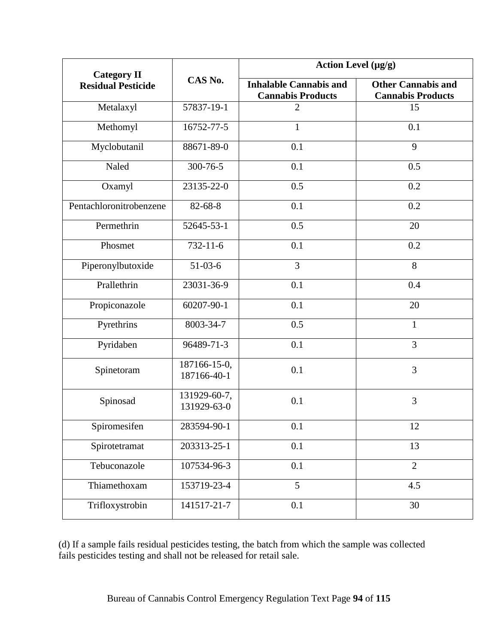| <b>Category II</b>        |                             | Action Level $(\mu g/g)$                                  |                                                       |
|---------------------------|-----------------------------|-----------------------------------------------------------|-------------------------------------------------------|
| <b>Residual Pesticide</b> | CAS No.                     | <b>Inhalable Cannabis and</b><br><b>Cannabis Products</b> | <b>Other Cannabis and</b><br><b>Cannabis Products</b> |
| Metalaxyl                 | 57837-19-1                  | $\overline{2}$                                            | 15                                                    |
| Methomyl                  | 16752-77-5                  | $\mathbf{1}$                                              | 0.1                                                   |
| Myclobutanil              | 88671-89-0                  | 0.1                                                       | 9                                                     |
| Naled                     | 300-76-5                    | 0.1                                                       | 0.5                                                   |
| Oxamyl                    | 23135-22-0                  | 0.5                                                       | 0.2                                                   |
| Pentachloronitrobenzene   | 82-68-8                     | 0.1                                                       | 0.2                                                   |
| Permethrin                | 52645-53-1                  | 0.5                                                       | 20                                                    |
| Phosmet                   | $732 - 11 - 6$              | 0.1                                                       | 0.2                                                   |
| Piperonylbutoxide         | $51-03-6$                   | $\overline{3}$                                            | 8                                                     |
| Prallethrin               | 23031-36-9                  | 0.1                                                       | 0.4                                                   |
| Propiconazole             | 60207-90-1                  | 0.1                                                       | 20                                                    |
| Pyrethrins                | 8003-34-7                   | 0.5                                                       | $\mathbf{1}$                                          |
| Pyridaben                 | 96489-71-3                  | 0.1                                                       | 3                                                     |
| Spinetoram                | 187166-15-0,<br>187166-40-1 | 0.1                                                       | 3                                                     |
| Spinosad                  | 131929-60-7,<br>131929-63-0 | 0.1                                                       | 3                                                     |
| Spiromesifen              | 283594-90-1                 | 0.1                                                       | 12                                                    |
| Spirotetramat             | 203313-25-1                 | 0.1                                                       | 13                                                    |
| Tebuconazole              | 107534-96-3                 | 0.1                                                       | $\overline{2}$                                        |
| Thiamethoxam              | 153719-23-4                 | $\overline{5}$                                            | 4.5                                                   |
| Trifloxystrobin           | 141517-21-7                 | 0.1                                                       | 30                                                    |

(d) If a sample fails residual pesticides testing, the batch from which the sample was collected fails pesticides testing and shall not be released for retail sale.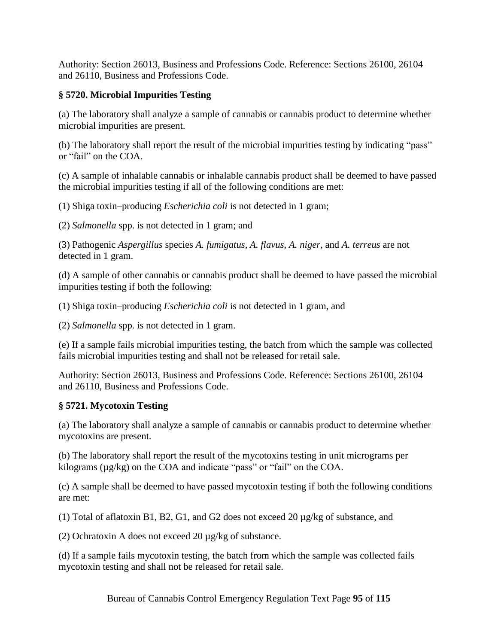## **§ 5720. Microbial Impurities Testing**

(a) The laboratory shall analyze a sample of cannabis or cannabis product to determine whether microbial impurities are present.

(b) The laboratory shall report the result of the microbial impurities testing by indicating "pass" or "fail" on the COA.

(c) A sample of inhalable cannabis or inhalable cannabis product shall be deemed to have passed the microbial impurities testing if all of the following conditions are met:

(1) Shiga toxin–producing *Escherichia coli* is not detected in 1 gram;

(2) *Salmonella* spp. is not detected in 1 gram; and

(3) Pathogenic *Aspergillus* species *A. fumigatus*, *A. flavus*, *A. niger*, and *A. terreus* are not detected in 1 gram.

(d) A sample of other cannabis or cannabis product shall be deemed to have passed the microbial impurities testing if both the following:

(1) Shiga toxin–producing *Escherichia coli* is not detected in 1 gram, and

(2) *Salmonella* spp. is not detected in 1 gram.

(e) If a sample fails microbial impurities testing, the batch from which the sample was collected fails microbial impurities testing and shall not be released for retail sale.

Authority: Section 26013, Business and Professions Code. Reference: Sections 26100, 26104 and 26110, Business and Professions Code.

# **§ 5721. Mycotoxin Testing**

(a) The laboratory shall analyze a sample of cannabis or cannabis product to determine whether mycotoxins are present.

(b) The laboratory shall report the result of the mycotoxins testing in unit micrograms per kilograms ( $\mu$ g/kg) on the COA and indicate "pass" or "fail" on the COA.

(c) A sample shall be deemed to have passed mycotoxin testing if both the following conditions are met:

(1) Total of aflatoxin B1, B2, G1, and G2 does not exceed 20  $\mu$ g/kg of substance, and

(2) Ochratoxin A does not exceed 20 µg/kg of substance.

(d) If a sample fails mycotoxin testing, the batch from which the sample was collected fails mycotoxin testing and shall not be released for retail sale.

Bureau of Cannabis Control Emergency Regulation Text Page **95** of **115**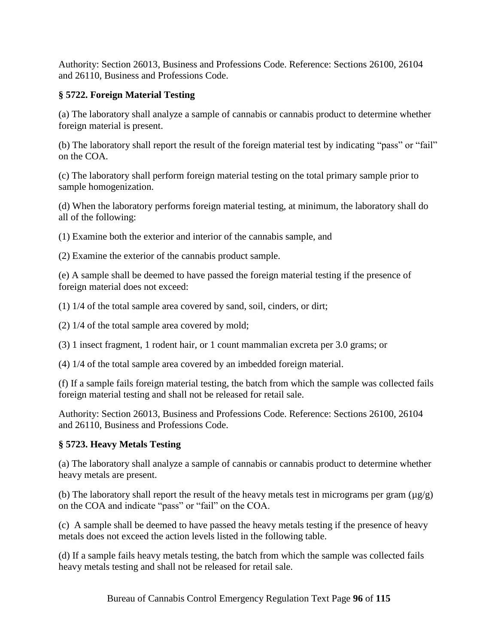# **§ 5722. Foreign Material Testing**

(a) The laboratory shall analyze a sample of cannabis or cannabis product to determine whether foreign material is present.

(b) The laboratory shall report the result of the foreign material test by indicating "pass" or "fail" on the COA.

(c) The laboratory shall perform foreign material testing on the total primary sample prior to sample homogenization.

(d) When the laboratory performs foreign material testing, at minimum, the laboratory shall do all of the following:

(1) Examine both the exterior and interior of the cannabis sample, and

(2) Examine the exterior of the cannabis product sample.

(e) A sample shall be deemed to have passed the foreign material testing if the presence of foreign material does not exceed:

(1) 1/4 of the total sample area covered by sand, soil, cinders, or dirt;

(2) 1/4 of the total sample area covered by mold;

(3) 1 insect fragment, 1 rodent hair, or 1 count mammalian excreta per 3.0 grams; or

(4) 1/4 of the total sample area covered by an imbedded foreign material.

(f) If a sample fails foreign material testing, the batch from which the sample was collected fails foreign material testing and shall not be released for retail sale.

Authority: Section 26013, Business and Professions Code. Reference: Sections 26100, 26104 and 26110, Business and Professions Code.

## **§ 5723. Heavy Metals Testing**

(a) The laboratory shall analyze a sample of cannabis or cannabis product to determine whether heavy metals are present.

(b) The laboratory shall report the result of the heavy metals test in micrograms per gram  $(\mu g/g)$ on the COA and indicate "pass" or "fail" on the COA.

(c) A sample shall be deemed to have passed the heavy metals testing if the presence of heavy metals does not exceed the action levels listed in the following table.

(d) If a sample fails heavy metals testing, the batch from which the sample was collected fails heavy metals testing and shall not be released for retail sale.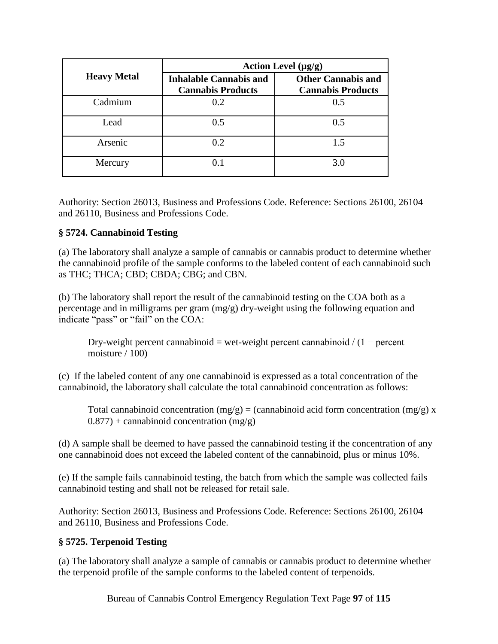|                    | Action Level $(\mu g/g)$                                  |                                                       |  |
|--------------------|-----------------------------------------------------------|-------------------------------------------------------|--|
| <b>Heavy Metal</b> | <b>Inhalable Cannabis and</b><br><b>Cannabis Products</b> | <b>Other Cannabis and</b><br><b>Cannabis Products</b> |  |
| Cadmium            | 0.2                                                       | 0.5                                                   |  |
| Lead               | 0.5                                                       | 0.5                                                   |  |
| Arsenic            | 0.2                                                       | 1.5                                                   |  |
| Mercury            |                                                           | 3.0                                                   |  |

# **§ 5724. Cannabinoid Testing**

(a) The laboratory shall analyze a sample of cannabis or cannabis product to determine whether the cannabinoid profile of the sample conforms to the labeled content of each cannabinoid such as THC; THCA; CBD; CBDA; CBG; and CBN.

(b) The laboratory shall report the result of the cannabinoid testing on the COA both as a percentage and in milligrams per gram (mg/g) dry-weight using the following equation and indicate "pass" or "fail" on the COA:

Dry-weight percent cannabinoid = wet-weight percent cannabinoid  $/(1 -$  percent moisture / 100)

(c) If the labeled content of any one cannabinoid is expressed as a total concentration of the cannabinoid, the laboratory shall calculate the total cannabinoid concentration as follows:

Total cannabinoid concentration (mg/g) = (cannabinoid acid form concentration (mg/g) x  $(0.877) +$  cannabinoid concentration  $(mg/g)$ 

(d) A sample shall be deemed to have passed the cannabinoid testing if the concentration of any one cannabinoid does not exceed the labeled content of the cannabinoid, plus or minus 10%.

(e) If the sample fails cannabinoid testing, the batch from which the sample was collected fails cannabinoid testing and shall not be released for retail sale.

Authority: Section 26013, Business and Professions Code. Reference: Sections 26100, 26104 and 26110, Business and Professions Code.

#### **§ 5725. Terpenoid Testing**

(a) The laboratory shall analyze a sample of cannabis or cannabis product to determine whether the terpenoid profile of the sample conforms to the labeled content of terpenoids.

Bureau of Cannabis Control Emergency Regulation Text Page **97** of **115**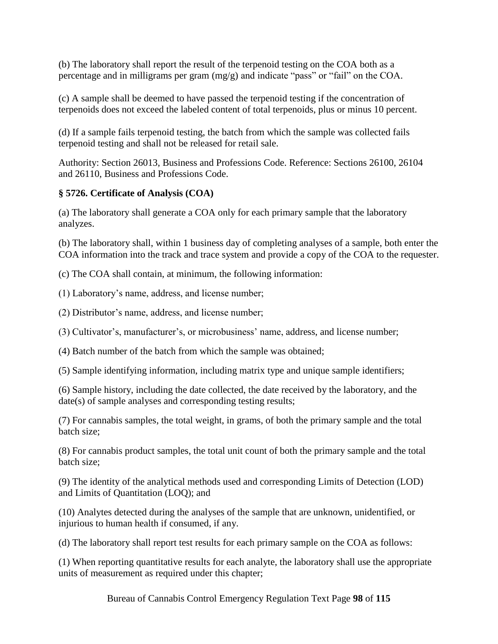(b) The laboratory shall report the result of the terpenoid testing on the COA both as a percentage and in milligrams per gram (mg/g) and indicate "pass" or "fail" on the COA.

(c) A sample shall be deemed to have passed the terpenoid testing if the concentration of terpenoids does not exceed the labeled content of total terpenoids, plus or minus 10 percent.

(d) If a sample fails terpenoid testing, the batch from which the sample was collected fails terpenoid testing and shall not be released for retail sale.

Authority: Section 26013, Business and Professions Code. Reference: Sections 26100, 26104 and 26110, Business and Professions Code.

## **§ 5726. Certificate of Analysis (COA)**

(a) The laboratory shall generate a COA only for each primary sample that the laboratory analyzes.

(b) The laboratory shall, within 1 business day of completing analyses of a sample, both enter the COA information into the track and trace system and provide a copy of the COA to the requester.

(c) The COA shall contain, at minimum, the following information:

(1) Laboratory's name, address, and license number;

(2) Distributor's name, address, and license number;

(3) Cultivator's, manufacturer's, or microbusiness' name, address, and license number;

(4) Batch number of the batch from which the sample was obtained;

(5) Sample identifying information, including matrix type and unique sample identifiers;

(6) Sample history, including the date collected, the date received by the laboratory, and the date(s) of sample analyses and corresponding testing results;

(7) For cannabis samples, the total weight, in grams, of both the primary sample and the total batch size;

(8) For cannabis product samples, the total unit count of both the primary sample and the total batch size;

(9) The identity of the analytical methods used and corresponding Limits of Detection (LOD) and Limits of Quantitation (LOQ); and

(10) Analytes detected during the analyses of the sample that are unknown, unidentified, or injurious to human health if consumed, if any.

(d) The laboratory shall report test results for each primary sample on the COA as follows:

(1) When reporting quantitative results for each analyte, the laboratory shall use the appropriate units of measurement as required under this chapter;

Bureau of Cannabis Control Emergency Regulation Text Page **98** of **115**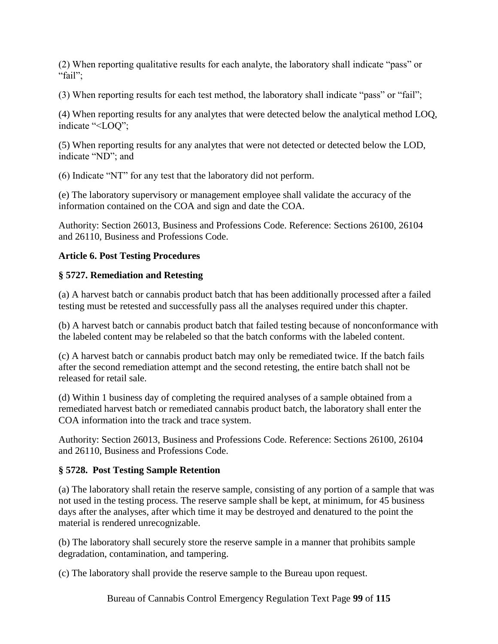(2) When reporting qualitative results for each analyte, the laboratory shall indicate "pass" or "fail";

(3) When reporting results for each test method, the laboratory shall indicate "pass" or "fail";

(4) When reporting results for any analytes that were detected below the analytical method LOQ, indicate "<LOQ";

(5) When reporting results for any analytes that were not detected or detected below the LOD, indicate "ND"; and

(6) Indicate "NT" for any test that the laboratory did not perform.

(e) The laboratory supervisory or management employee shall validate the accuracy of the information contained on the COA and sign and date the COA.

Authority: Section 26013, Business and Professions Code. Reference: Sections 26100, 26104 and 26110, Business and Professions Code.

## **Article 6. Post Testing Procedures**

#### **§ 5727. Remediation and Retesting**

(a) A harvest batch or cannabis product batch that has been additionally processed after a failed testing must be retested and successfully pass all the analyses required under this chapter.

(b) A harvest batch or cannabis product batch that failed testing because of nonconformance with the labeled content may be relabeled so that the batch conforms with the labeled content.

(c) A harvest batch or cannabis product batch may only be remediated twice. If the batch fails after the second remediation attempt and the second retesting, the entire batch shall not be released for retail sale.

(d) Within 1 business day of completing the required analyses of a sample obtained from a remediated harvest batch or remediated cannabis product batch, the laboratory shall enter the COA information into the track and trace system.

Authority: Section 26013, Business and Professions Code. Reference: Sections 26100, 26104 and 26110, Business and Professions Code.

#### **§ 5728. Post Testing Sample Retention**

(a) The laboratory shall retain the reserve sample, consisting of any portion of a sample that was not used in the testing process. The reserve sample shall be kept, at minimum, for 45 business days after the analyses, after which time it may be destroyed and denatured to the point the material is rendered unrecognizable.

(b) The laboratory shall securely store the reserve sample in a manner that prohibits sample degradation, contamination, and tampering.

(c) The laboratory shall provide the reserve sample to the Bureau upon request.

Bureau of Cannabis Control Emergency Regulation Text Page **99** of **115**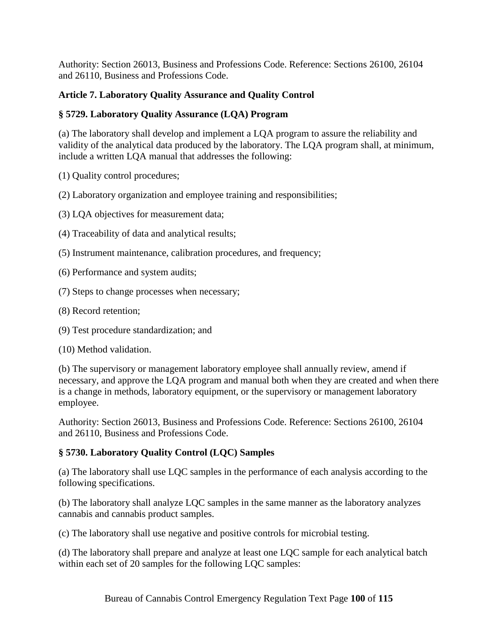# **Article 7. Laboratory Quality Assurance and Quality Control**

## **§ 5729. Laboratory Quality Assurance (LQA) Program**

(a) The laboratory shall develop and implement a LQA program to assure the reliability and validity of the analytical data produced by the laboratory. The LQA program shall, at minimum, include a written LQA manual that addresses the following:

(1) Quality control procedures;

(2) Laboratory organization and employee training and responsibilities;

(3) LQA objectives for measurement data;

- (4) Traceability of data and analytical results;
- (5) Instrument maintenance, calibration procedures, and frequency;
- (6) Performance and system audits;
- (7) Steps to change processes when necessary;
- (8) Record retention;
- (9) Test procedure standardization; and
- (10) Method validation.

(b) The supervisory or management laboratory employee shall annually review, amend if necessary, and approve the LQA program and manual both when they are created and when there is a change in methods, laboratory equipment, or the supervisory or management laboratory employee.

Authority: Section 26013, Business and Professions Code. Reference: Sections 26100, 26104 and 26110, Business and Professions Code.

# **§ 5730. Laboratory Quality Control (LQC) Samples**

(a) The laboratory shall use LQC samples in the performance of each analysis according to the following specifications.

(b) The laboratory shall analyze LQC samples in the same manner as the laboratory analyzes cannabis and cannabis product samples.

(c) The laboratory shall use negative and positive controls for microbial testing.

(d) The laboratory shall prepare and analyze at least one LQC sample for each analytical batch within each set of 20 samples for the following LQC samples: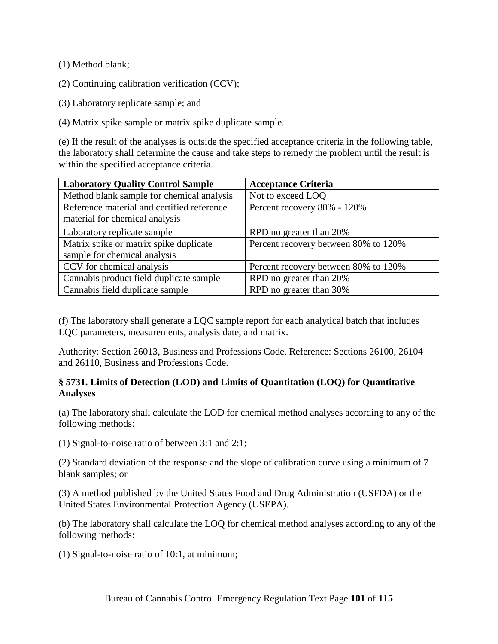(1) Method blank;

- (2) Continuing calibration verification (CCV);
- (3) Laboratory replicate sample; and

(4) Matrix spike sample or matrix spike duplicate sample.

(e) If the result of the analyses is outside the specified acceptance criteria in the following table, the laboratory shall determine the cause and take steps to remedy the problem until the result is within the specified acceptance criteria.

| <b>Laboratory Quality Control Sample</b>   | <b>Acceptance Criteria</b>           |
|--------------------------------------------|--------------------------------------|
| Method blank sample for chemical analysis  | Not to exceed LOO                    |
| Reference material and certified reference | Percent recovery 80% - 120%          |
| material for chemical analysis             |                                      |
| Laboratory replicate sample                | RPD no greater than 20%              |
| Matrix spike or matrix spike duplicate     | Percent recovery between 80% to 120% |
| sample for chemical analysis               |                                      |
| CCV for chemical analysis                  | Percent recovery between 80% to 120% |
| Cannabis product field duplicate sample    | RPD no greater than 20%              |
| Cannabis field duplicate sample            | RPD no greater than 30%              |

(f) The laboratory shall generate a LQC sample report for each analytical batch that includes LQC parameters, measurements, analysis date, and matrix.

Authority: Section 26013, Business and Professions Code. Reference: Sections 26100, 26104 and 26110, Business and Professions Code.

## **§ 5731. Limits of Detection (LOD) and Limits of Quantitation (LOQ) for Quantitative Analyses**

(a) The laboratory shall calculate the LOD for chemical method analyses according to any of the following methods:

(1) Signal-to-noise ratio of between 3:1 and 2:1;

(2) Standard deviation of the response and the slope of calibration curve using a minimum of 7 blank samples; or

(3) A method published by the United States Food and Drug Administration (USFDA) or the United States Environmental Protection Agency (USEPA).

(b) The laboratory shall calculate the LOQ for chemical method analyses according to any of the following methods:

(1) Signal-to-noise ratio of 10:1, at minimum;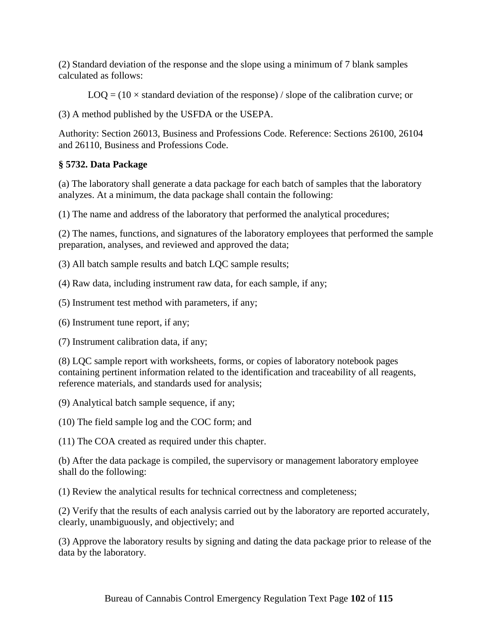(2) Standard deviation of the response and the slope using a minimum of 7 blank samples calculated as follows:

 $LOQ = (10 \times standard deviation of the response) / slope of the calibration curve; or$ 

(3) A method published by the USFDA or the USEPA.

Authority: Section 26013, Business and Professions Code. Reference: Sections 26100, 26104 and 26110, Business and Professions Code.

# **§ 5732. Data Package**

(a) The laboratory shall generate a data package for each batch of samples that the laboratory analyzes. At a minimum, the data package shall contain the following:

(1) The name and address of the laboratory that performed the analytical procedures;

(2) The names, functions, and signatures of the laboratory employees that performed the sample preparation, analyses, and reviewed and approved the data;

(3) All batch sample results and batch LQC sample results;

(4) Raw data, including instrument raw data, for each sample, if any;

(5) Instrument test method with parameters, if any;

(6) Instrument tune report, if any;

(7) Instrument calibration data, if any;

(8) LQC sample report with worksheets, forms, or copies of laboratory notebook pages containing pertinent information related to the identification and traceability of all reagents, reference materials, and standards used for analysis;

(9) Analytical batch sample sequence, if any;

(10) The field sample log and the COC form; and

(11) The COA created as required under this chapter.

(b) After the data package is compiled, the supervisory or management laboratory employee shall do the following:

(1) Review the analytical results for technical correctness and completeness;

(2) Verify that the results of each analysis carried out by the laboratory are reported accurately, clearly, unambiguously, and objectively; and

(3) Approve the laboratory results by signing and dating the data package prior to release of the data by the laboratory.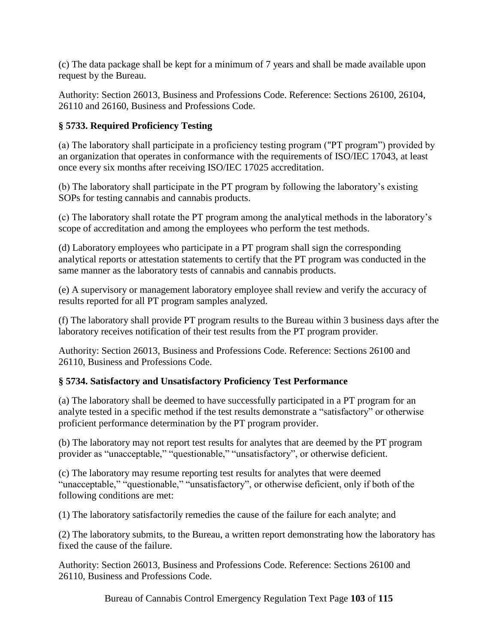(c) The data package shall be kept for a minimum of 7 years and shall be made available upon request by the Bureau.

Authority: Section 26013, Business and Professions Code. Reference: Sections 26100, 26104, 26110 and 26160, Business and Professions Code.

# **§ 5733. Required Proficiency Testing**

(a) The laboratory shall participate in a proficiency testing program ("PT program") provided by an organization that operates in conformance with the requirements of ISO/IEC 17043, at least once every six months after receiving ISO/IEC 17025 accreditation.

(b) The laboratory shall participate in the PT program by following the laboratory's existing SOPs for testing cannabis and cannabis products.

(c) The laboratory shall rotate the PT program among the analytical methods in the laboratory's scope of accreditation and among the employees who perform the test methods.

(d) Laboratory employees who participate in a PT program shall sign the corresponding analytical reports or attestation statements to certify that the PT program was conducted in the same manner as the laboratory tests of cannabis and cannabis products.

(e) A supervisory or management laboratory employee shall review and verify the accuracy of results reported for all PT program samples analyzed.

(f) The laboratory shall provide PT program results to the Bureau within 3 business days after the laboratory receives notification of their test results from the PT program provider.

Authority: Section 26013, Business and Professions Code. Reference: Sections 26100 and 26110, Business and Professions Code.

# **§ 5734. Satisfactory and Unsatisfactory Proficiency Test Performance**

(a) The laboratory shall be deemed to have successfully participated in a PT program for an analyte tested in a specific method if the test results demonstrate a "satisfactory" or otherwise proficient performance determination by the PT program provider.

(b) The laboratory may not report test results for analytes that are deemed by the PT program provider as "unacceptable," "questionable," "unsatisfactory", or otherwise deficient.

(c) The laboratory may resume reporting test results for analytes that were deemed "unacceptable," "questionable," "unsatisfactory", or otherwise deficient, only if both of the following conditions are met:

(1) The laboratory satisfactorily remedies the cause of the failure for each analyte; and

(2) The laboratory submits, to the Bureau, a written report demonstrating how the laboratory has fixed the cause of the failure.

Authority: Section 26013, Business and Professions Code. Reference: Sections 26100 and 26110, Business and Professions Code.

Bureau of Cannabis Control Emergency Regulation Text Page **103** of **115**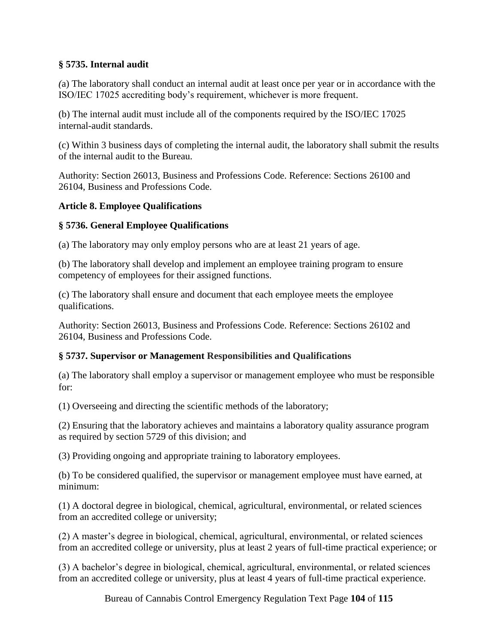#### **§ 5735. Internal audit**

*(*a) The laboratory shall conduct an internal audit at least once per year or in accordance with the ISO/IEC 17025 accrediting body's requirement, whichever is more frequent.

(b) The internal audit must include all of the components required by the ISO/IEC 17025 internal-audit standards.

(c) Within 3 business days of completing the internal audit, the laboratory shall submit the results of the internal audit to the Bureau.

Authority: Section 26013, Business and Professions Code. Reference: Sections 26100 and 26104, Business and Professions Code.

#### **Article 8. Employee Qualifications**

#### **§ 5736. General Employee Qualifications**

(a) The laboratory may only employ persons who are at least 21 years of age.

(b) The laboratory shall develop and implement an employee training program to ensure competency of employees for their assigned functions.

(c) The laboratory shall ensure and document that each employee meets the employee qualifications.

Authority: Section 26013, Business and Professions Code. Reference: Sections 26102 and 26104, Business and Professions Code.

## **§ 5737. Supervisor or Management Responsibilities and Qualifications**

(a) The laboratory shall employ a supervisor or management employee who must be responsible for:

(1) Overseeing and directing the scientific methods of the laboratory;

(2) Ensuring that the laboratory achieves and maintains a laboratory quality assurance program as required by section 5729 of this division; and

(3) Providing ongoing and appropriate training to laboratory employees.

(b) To be considered qualified, the supervisor or management employee must have earned, at minimum:

(1) A doctoral degree in biological, chemical, agricultural, environmental, or related sciences from an accredited college or university;

(2) A master's degree in biological, chemical, agricultural, environmental, or related sciences from an accredited college or university, plus at least 2 years of full-time practical experience; or

(3) A bachelor's degree in biological, chemical, agricultural, environmental, or related sciences from an accredited college or university, plus at least 4 years of full-time practical experience.

Bureau of Cannabis Control Emergency Regulation Text Page **104** of **115**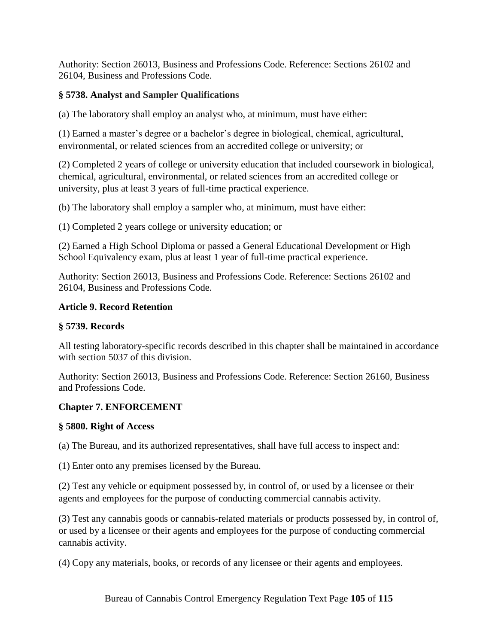## **§ 5738. Analyst and Sampler Qualifications**

(a) The laboratory shall employ an analyst who, at minimum, must have either:

(1) Earned a master's degree or a bachelor's degree in biological, chemical, agricultural, environmental, or related sciences from an accredited college or university; or

(2) Completed 2 years of college or university education that included coursework in biological, chemical, agricultural, environmental, or related sciences from an accredited college or university, plus at least 3 years of full-time practical experience.

(b) The laboratory shall employ a sampler who, at minimum, must have either:

(1) Completed 2 years college or university education; or

(2) Earned a High School Diploma or passed a General Educational Development or High School Equivalency exam, plus at least 1 year of full-time practical experience.

Authority: Section 26013, Business and Professions Code. Reference: Sections 26102 and 26104, Business and Professions Code.

# **Article 9. Record Retention**

## **§ 5739. Records**

All testing laboratory-specific records described in this chapter shall be maintained in accordance with section 5037 of this division.

Authority: Section 26013, Business and Professions Code. Reference: Section 26160, Business and Professions Code.

# **Chapter 7. ENFORCEMENT**

## **§ 5800. Right of Access**

(a) The Bureau, and its authorized representatives, shall have full access to inspect and:

(1) Enter onto any premises licensed by the Bureau.

(2) Test any vehicle or equipment possessed by, in control of, or used by a licensee or their agents and employees for the purpose of conducting commercial cannabis activity.

(3) Test any cannabis goods or cannabis-related materials or products possessed by, in control of, or used by a licensee or their agents and employees for the purpose of conducting commercial cannabis activity.

(4) Copy any materials, books, or records of any licensee or their agents and employees.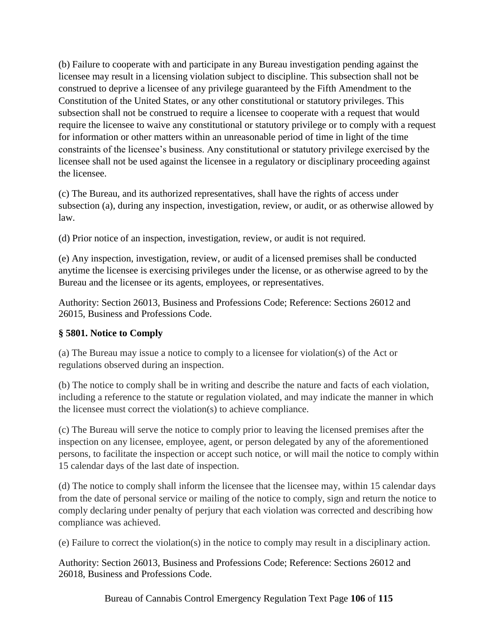(b) Failure to cooperate with and participate in any Bureau investigation pending against the licensee may result in a licensing violation subject to discipline. This subsection shall not be construed to deprive a licensee of any privilege guaranteed by the Fifth Amendment to the Constitution of the United States, or any other constitutional or statutory privileges. This subsection shall not be construed to require a licensee to cooperate with a request that would require the licensee to waive any constitutional or statutory privilege or to comply with a request for information or other matters within an unreasonable period of time in light of the time constraints of the licensee's business. Any constitutional or statutory privilege exercised by the licensee shall not be used against the licensee in a regulatory or disciplinary proceeding against the licensee.

(c) The Bureau, and its authorized representatives, shall have the rights of access under subsection (a), during any inspection, investigation, review, or audit, or as otherwise allowed by law.

(d) Prior notice of an inspection, investigation, review, or audit is not required.

(e) Any inspection, investigation, review, or audit of a licensed premises shall be conducted anytime the licensee is exercising privileges under the license, or as otherwise agreed to by the Bureau and the licensee or its agents, employees, or representatives.

Authority: Section 26013, Business and Professions Code; Reference: Sections 26012 and 26015, Business and Professions Code.

# **§ 5801. Notice to Comply**

(a) The Bureau may issue a notice to comply to a licensee for violation(s) of the Act or regulations observed during an inspection.

(b) The notice to comply shall be in writing and describe the nature and facts of each violation, including a reference to the statute or regulation violated, and may indicate the manner in which the licensee must correct the violation(s) to achieve compliance.

(c) The Bureau will serve the notice to comply prior to leaving the licensed premises after the inspection on any licensee, employee, agent, or person delegated by any of the aforementioned persons, to facilitate the inspection or accept such notice, or will mail the notice to comply within 15 calendar days of the last date of inspection.

(d) The notice to comply shall inform the licensee that the licensee may, within 15 calendar days from the date of personal service or mailing of the notice to comply, sign and return the notice to comply declaring under penalty of perjury that each violation was corrected and describing how compliance was achieved.

(e) Failure to correct the violation(s) in the notice to comply may result in a disciplinary action.

Authority: Section 26013, Business and Professions Code; Reference: Sections 26012 and 26018, Business and Professions Code.

Bureau of Cannabis Control Emergency Regulation Text Page **106** of **115**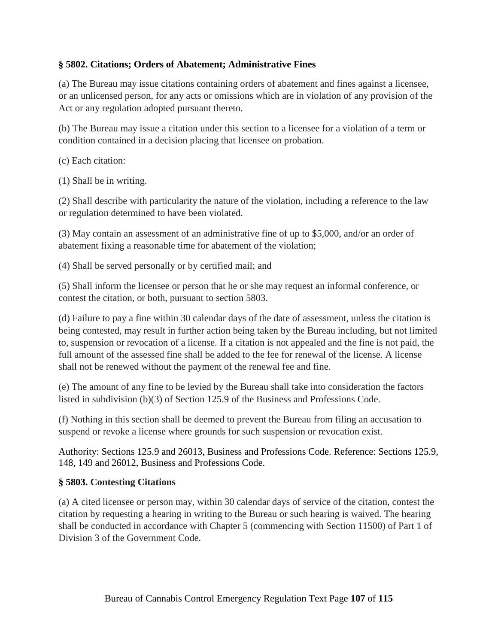# **§ 5802. Citations; Orders of Abatement; Administrative Fines**

(a) The Bureau may issue citations containing orders of abatement and fines against a licensee, or an unlicensed person, for any acts or omissions which are in violation of any provision of the Act or any regulation adopted pursuant thereto.

(b) The Bureau may issue a citation under this section to a licensee for a violation of a term or condition contained in a decision placing that licensee on probation.

(c) Each citation:

(1) Shall be in writing.

(2) Shall describe with particularity the nature of the violation, including a reference to the law or regulation determined to have been violated.

(3) May contain an assessment of an administrative fine of up to \$5,000, and/or an order of abatement fixing a reasonable time for abatement of the violation;

(4) Shall be served personally or by certified mail; and

(5) Shall inform the licensee or person that he or she may request an informal conference, or contest the citation, or both, pursuant to section 5803.

(d) Failure to pay a fine within 30 calendar days of the date of assessment, unless the citation is being contested, may result in further action being taken by the Bureau including, but not limited to, suspension or revocation of a license. If a citation is not appealed and the fine is not paid, the full amount of the assessed fine shall be added to the fee for renewal of the license. A license shall not be renewed without the payment of the renewal fee and fine.

(e) The amount of any fine to be levied by the Bureau shall take into consideration the factors listed in subdivision (b)(3) of Section 125.9 of the Business and Professions Code.

(f) Nothing in this section shall be deemed to prevent the Bureau from filing an accusation to suspend or revoke a license where grounds for such suspension or revocation exist.

Authority: Sections 125.9 and 26013, Business and Professions Code. Reference: Sections 125.9, 148, 149 and 26012, Business and Professions Code.

# **§ 5803. Contesting Citations**

(a) A cited licensee or person may, within 30 calendar days of service of the citation, contest the citation by requesting a hearing in writing to the Bureau or such hearing is waived. The hearing shall be conducted in accordance with Chapter 5 (commencing with Section 11500) of Part 1 of Division 3 of the Government Code.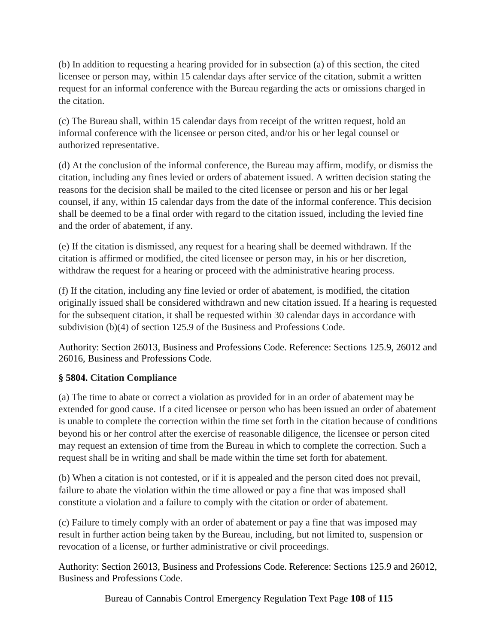(b) In addition to requesting a hearing provided for in subsection (a) of this section, the cited licensee or person may, within 15 calendar days after service of the citation, submit a written request for an informal conference with the Bureau regarding the acts or omissions charged in the citation.

(c) The Bureau shall, within 15 calendar days from receipt of the written request, hold an informal conference with the licensee or person cited, and/or his or her legal counsel or authorized representative.

(d) At the conclusion of the informal conference, the Bureau may affirm, modify, or dismiss the citation, including any fines levied or orders of abatement issued. A written decision stating the reasons for the decision shall be mailed to the cited licensee or person and his or her legal counsel, if any, within 15 calendar days from the date of the informal conference. This decision shall be deemed to be a final order with regard to the citation issued, including the levied fine and the order of abatement, if any.

(e) If the citation is dismissed, any request for a hearing shall be deemed withdrawn. If the citation is affirmed or modified, the cited licensee or person may, in his or her discretion, withdraw the request for a hearing or proceed with the administrative hearing process.

(f) If the citation, including any fine levied or order of abatement, is modified, the citation originally issued shall be considered withdrawn and new citation issued. If a hearing is requested for the subsequent citation, it shall be requested within 30 calendar days in accordance with subdivision (b)(4) of section 125.9 of the Business and Professions Code.

Authority: Section 26013, Business and Professions Code. Reference: Sections 125.9, 26012 and 26016, Business and Professions Code.

# **§ 5804. Citation Compliance**

(a) The time to abate or correct a violation as provided for in an order of abatement may be extended for good cause. If a cited licensee or person who has been issued an order of abatement is unable to complete the correction within the time set forth in the citation because of conditions beyond his or her control after the exercise of reasonable diligence, the licensee or person cited may request an extension of time from the Bureau in which to complete the correction. Such a request shall be in writing and shall be made within the time set forth for abatement.

(b) When a citation is not contested, or if it is appealed and the person cited does not prevail, failure to abate the violation within the time allowed or pay a fine that was imposed shall constitute a violation and a failure to comply with the citation or order of abatement.

(c) Failure to timely comply with an order of abatement or pay a fine that was imposed may result in further action being taken by the Bureau, including, but not limited to, suspension or revocation of a license, or further administrative or civil proceedings.

Authority: Section 26013, Business and Professions Code. Reference: Sections 125.9 and 26012, Business and Professions Code.

Bureau of Cannabis Control Emergency Regulation Text Page **108** of **115**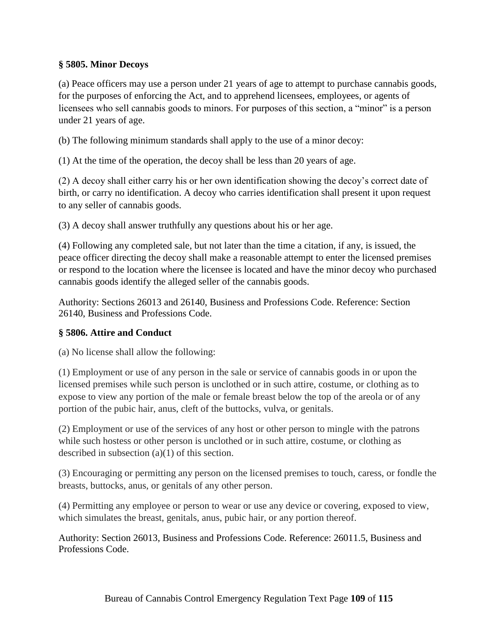### **§ 5805. Minor Decoys**

(a) Peace officers may use a person under 21 years of age to attempt to purchase cannabis goods, for the purposes of enforcing the Act, and to apprehend licensees, employees, or agents of licensees who sell cannabis goods to minors. For purposes of this section, a "minor" is a person under 21 years of age.

(b) The following minimum standards shall apply to the use of a minor decoy:

(1) At the time of the operation, the decoy shall be less than 20 years of age.

(2) A decoy shall either carry his or her own identification showing the decoy's correct date of birth, or carry no identification. A decoy who carries identification shall present it upon request to any seller of cannabis goods.

(3) A decoy shall answer truthfully any questions about his or her age.

(4) Following any completed sale, but not later than the time a citation, if any, is issued, the peace officer directing the decoy shall make a reasonable attempt to enter the licensed premises or respond to the location where the licensee is located and have the minor decoy who purchased cannabis goods identify the alleged seller of the cannabis goods.

Authority: Sections 26013 and 26140, Business and Professions Code. Reference: Section 26140, Business and Professions Code.

#### **§ 5806. Attire and Conduct**

(a) No license shall allow the following:

(1) Employment or use of any person in the sale or service of cannabis goods in or upon the licensed premises while such person is unclothed or in such attire, costume, or clothing as to expose to view any portion of the male or female breast below the top of the areola or of any portion of the pubic hair, anus, cleft of the buttocks, vulva, or genitals.

(2) Employment or use of the services of any host or other person to mingle with the patrons while such hostess or other person is unclothed or in such attire, costume, or clothing as described in subsection (a)(1) of this section.

(3) Encouraging or permitting any person on the licensed premises to touch, caress, or fondle the breasts, buttocks, anus, or genitals of any other person.

(4) Permitting any employee or person to wear or use any device or covering, exposed to view, which simulates the breast, genitals, anus, pubic hair, or any portion thereof.

Authority: Section 26013, Business and Professions Code. Reference: 26011.5, Business and Professions Code.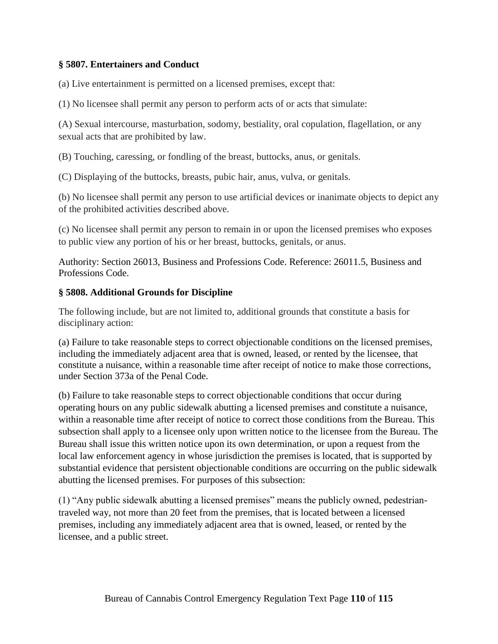### **§ 5807. Entertainers and Conduct**

(a) Live entertainment is permitted on a licensed premises, except that:

(1) No licensee shall permit any person to perform acts of or acts that simulate:

(A) Sexual intercourse, masturbation, sodomy, bestiality, oral copulation, flagellation, or any sexual acts that are prohibited by law.

(B) Touching, caressing, or fondling of the breast, buttocks, anus, or genitals.

(C) Displaying of the buttocks, breasts, pubic hair, anus, vulva, or genitals.

(b) No licensee shall permit any person to use artificial devices or inanimate objects to depict any of the prohibited activities described above.

(c) No licensee shall permit any person to remain in or upon the licensed premises who exposes to public view any portion of his or her breast, buttocks, genitals, or anus.

Authority: Section 26013, Business and Professions Code. Reference: 26011.5, Business and Professions Code.

#### **§ 5808. Additional Grounds for Discipline**

The following include, but are not limited to, additional grounds that constitute a basis for disciplinary action:

(a) Failure to take reasonable steps to correct objectionable conditions on the licensed premises, including the immediately adjacent area that is owned, leased, or rented by the licensee, that constitute a nuisance, within a reasonable time after receipt of notice to make those corrections, under Section 373a of the Penal Code.

(b) Failure to take reasonable steps to correct objectionable conditions that occur during operating hours on any public sidewalk abutting a licensed premises and constitute a nuisance, within a reasonable time after receipt of notice to correct those conditions from the Bureau. This subsection shall apply to a licensee only upon written notice to the licensee from the Bureau. The Bureau shall issue this written notice upon its own determination, or upon a request from the local law enforcement agency in whose jurisdiction the premises is located, that is supported by substantial evidence that persistent objectionable conditions are occurring on the public sidewalk abutting the licensed premises. For purposes of this subsection:

(1) "Any public sidewalk abutting a licensed premises" means the publicly owned, pedestriantraveled way, not more than 20 feet from the premises, that is located between a licensed premises, including any immediately adjacent area that is owned, leased, or rented by the licensee, and a public street.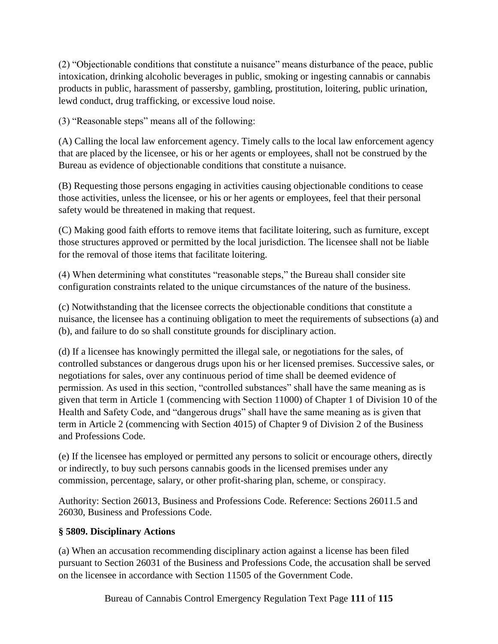(2) "Objectionable conditions that constitute a nuisance" means disturbance of the peace, public intoxication, drinking alcoholic beverages in public, smoking or ingesting cannabis or cannabis products in public, harassment of passersby, gambling, prostitution, loitering, public urination, lewd conduct, drug trafficking, or excessive loud noise.

(3) "Reasonable steps" means all of the following:

(A) Calling the local law enforcement agency. Timely calls to the local law enforcement agency that are placed by the licensee, or his or her agents or employees, shall not be construed by the Bureau as evidence of objectionable conditions that constitute a nuisance.

(B) Requesting those persons engaging in activities causing objectionable conditions to cease those activities, unless the licensee, or his or her agents or employees, feel that their personal safety would be threatened in making that request.

(C) Making good faith efforts to remove items that facilitate loitering, such as furniture, except those structures approved or permitted by the local jurisdiction. The licensee shall not be liable for the removal of those items that facilitate loitering.

(4) When determining what constitutes "reasonable steps," the Bureau shall consider site configuration constraints related to the unique circumstances of the nature of the business.

(c) Notwithstanding that the licensee corrects the objectionable conditions that constitute a nuisance, the licensee has a continuing obligation to meet the requirements of subsections (a) and (b), and failure to do so shall constitute grounds for disciplinary action.

(d) If a licensee has knowingly permitted the illegal sale, or negotiations for the sales, of controlled substances or dangerous drugs upon his or her licensed premises. Successive sales, or negotiations for sales, over any continuous period of time shall be deemed evidence of permission. As used in this section, "controlled substances" shall have the same meaning as is given that term in Article 1 (commencing with [Section 11000\)](https://1.next.westlaw.com/Link/Document/FullText?findType=L&pubNum=1000213&cite=CAHSS11000&originatingDoc=N3D36DB00780F11DCA61EE3CBF801C46A&refType=LQ&originationContext=document&transitionType=DocumentItem&contextData=(sc.Category)) of Chapter 1 of Division 10 of the Health and Safety Code, and "dangerous drugs" shall have the same meaning as is given that term in Article 2 (commencing with [Section 4015\)](https://1.next.westlaw.com/Link/Document/FullText?findType=L&pubNum=1000199&cite=CABPS4015&originatingDoc=N3D36DB00780F11DCA61EE3CBF801C46A&refType=LQ&originationContext=document&transitionType=DocumentItem&contextData=(sc.Category)) of Chapter 9 of Division 2 of the Business and Professions Code.

(e) If the licensee has employed or permitted any persons to solicit or encourage others, directly or indirectly, to buy such persons cannabis goods in the licensed premises under any commission, percentage, salary, or other profit-sharing plan, scheme, or conspiracy.

Authority: Section 26013, Business and Professions Code. Reference: Sections 26011.5 and 26030, Business and Professions Code.

### **§ 5809. Disciplinary Actions**

(a) When an accusation recommending disciplinary action against a license has been filed pursuant to Section 26031 of the Business and Professions Code, the accusation shall be served on the licensee in accordance with [Section 11505 of the Government Code.](https://1.next.westlaw.com/Link/Document/FullText?findType=L&pubNum=1000211&cite=CAGTS11505&originatingDoc=I929015B08ACA11E3A1909FA8497C9481&refType=LQ&originationContext=document&transitionType=DocumentItem&contextData=(sc.Search))

Bureau of Cannabis Control Emergency Regulation Text Page **111** of **115**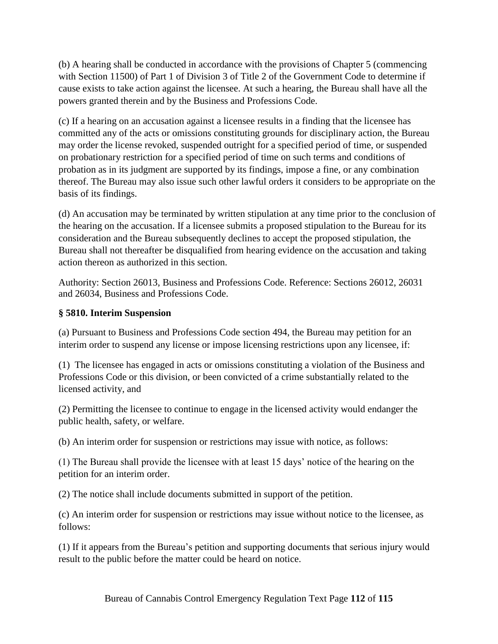(b) A hearing shall be conducted in accordance with the provisions of Chapter 5 (commencing with [Section 11500\) of Part 1 of Division 3 of Title 2 of the Government Code](https://1.next.westlaw.com/Link/Document/FullText?findType=L&pubNum=1000211&cite=CAGTS11500&originatingDoc=I929015B08ACA11E3A1909FA8497C9481&refType=LQ&originationContext=document&transitionType=DocumentItem&contextData=(sc.Search)) to determine if cause exists to take action against the licensee. At such a hearing, the Bureau shall have all the powers granted therein and by the Business and Professions Code.

(c) If a hearing on an accusation against a licensee results in a finding that the licensee has committed any of the acts or omissions constituting grounds for disciplinary action, the Bureau may order the license revoked, suspended outright for a specified period of time, or suspended on probationary restriction for a specified period of time on such terms and conditions of probation as in its judgment are supported by its findings, impose a fine, or any combination thereof. The Bureau may also issue such other lawful orders it considers to be appropriate on the basis of its findings.

(d) An accusation may be terminated by written stipulation at any time prior to the conclusion of the hearing on the accusation. If a licensee submits a proposed stipulation to the Bureau for its consideration and the Bureau subsequently declines to accept the proposed stipulation, the Bureau shall not thereafter be disqualified from hearing evidence on the accusation and taking action thereon as authorized in this section.

Authority: Section 26013, Business and Professions Code. Reference: Sections 26012, 26031 and 26034, Business and Professions Code.

### **§ 5810. Interim Suspension**

(a) Pursuant to Business and Professions Code section 494, the Bureau may petition for an interim order to suspend any license or impose licensing restrictions upon any licensee, if:

(1) The licensee has engaged in acts or omissions constituting a violation of the Business and Professions Code or this division, or been convicted of a crime substantially related to the licensed activity, and

(2) Permitting the licensee to continue to engage in the licensed activity would endanger the public health, safety, or welfare.

(b) An interim order for suspension or restrictions may issue with notice, as follows:

(1) The Bureau shall provide the licensee with at least 15 days' notice of the hearing on the petition for an interim order.

(2) The notice shall include documents submitted in support of the petition.

(c) An interim order for suspension or restrictions may issue without notice to the licensee, as follows:

(1) If it appears from the Bureau's petition and supporting documents that serious injury would result to the public before the matter could be heard on notice.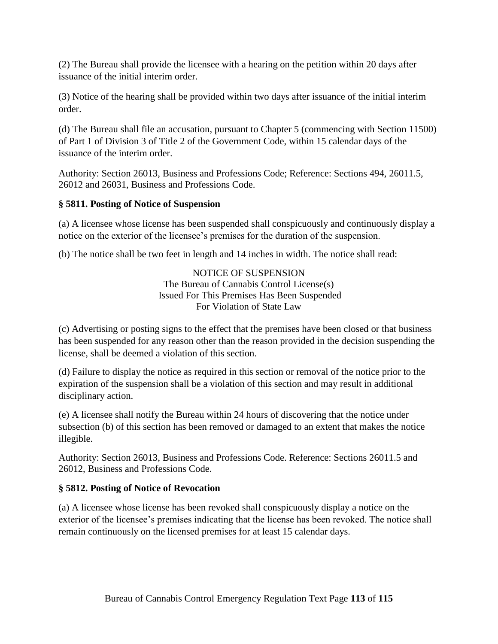(2) The Bureau shall provide the licensee with a hearing on the petition within 20 days after issuance of the initial interim order.

(3) Notice of the hearing shall be provided within two days after issuance of the initial interim order.

(d) The Bureau shall file an accusation, pursuant to Chapter 5 (commencing with [Section 11500\)](https://1.next.westlaw.com/Link/Document/FullText?findType=L&pubNum=1000211&cite=CAGTS11500&originatingDoc=I929015B08ACA11E3A1909FA8497C9481&refType=LQ&originationContext=document&transitionType=DocumentItem&contextData=(sc.Search))  [of Part 1 of Division 3 of Title 2 of the Government Code,](https://1.next.westlaw.com/Link/Document/FullText?findType=L&pubNum=1000211&cite=CAGTS11500&originatingDoc=I929015B08ACA11E3A1909FA8497C9481&refType=LQ&originationContext=document&transitionType=DocumentItem&contextData=(sc.Search)) within 15 calendar days of the issuance of the interim order.

Authority: Section 26013, Business and Professions Code; Reference: Sections 494, 26011.5, 26012 and 26031, Business and Professions Code.

## **§ 5811. Posting of Notice of Suspension**

(a) A licensee whose license has been suspended shall conspicuously and continuously display a notice on the exterior of the licensee's premises for the duration of the suspension.

(b) The notice shall be two feet in length and 14 inches in width. The notice shall read:

NOTICE OF SUSPENSION The Bureau of Cannabis Control License(s) Issued For This Premises Has Been Suspended For Violation of State Law

(c) Advertising or posting signs to the effect that the premises have been closed or that business has been suspended for any reason other than the reason provided in the decision suspending the license, shall be deemed a violation of this section.

(d) Failure to display the notice as required in this section or removal of the notice prior to the expiration of the suspension shall be a violation of this section and may result in additional disciplinary action.

(e) A licensee shall notify the Bureau within 24 hours of discovering that the notice under subsection (b) of this section has been removed or damaged to an extent that makes the notice illegible.

Authority: Section 26013, Business and Professions Code. Reference: Sections 26011.5 and 26012, Business and Professions Code.

### **§ 5812. Posting of Notice of Revocation**

(a) A licensee whose license has been revoked shall conspicuously display a notice on the exterior of the licensee's premises indicating that the license has been revoked. The notice shall remain continuously on the licensed premises for at least 15 calendar days.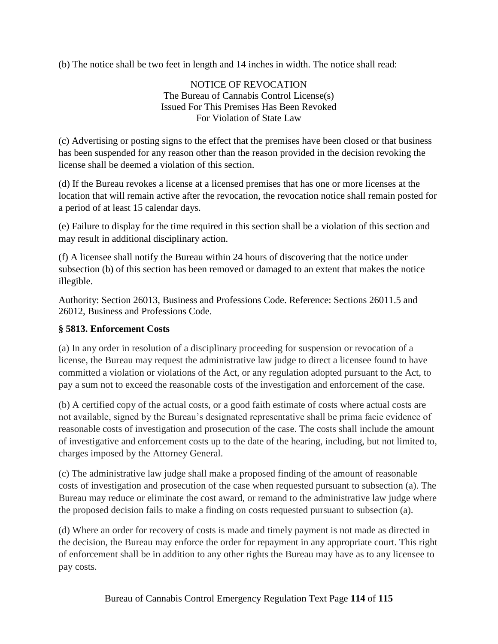(b) The notice shall be two feet in length and 14 inches in width. The notice shall read:

NOTICE OF REVOCATION The Bureau of Cannabis Control License(s) Issued For This Premises Has Been Revoked For Violation of State Law

(c) Advertising or posting signs to the effect that the premises have been closed or that business has been suspended for any reason other than the reason provided in the decision revoking the license shall be deemed a violation of this section.

(d) If the Bureau revokes a license at a licensed premises that has one or more licenses at the location that will remain active after the revocation, the revocation notice shall remain posted for a period of at least 15 calendar days.

(e) Failure to display for the time required in this section shall be a violation of this section and may result in additional disciplinary action.

(f) A licensee shall notify the Bureau within 24 hours of discovering that the notice under subsection (b) of this section has been removed or damaged to an extent that makes the notice illegible.

Authority: Section 26013, Business and Professions Code. Reference: Sections 26011.5 and 26012, Business and Professions Code.

# **§ 5813. Enforcement Costs**

(a) In any order in resolution of a disciplinary proceeding for suspension or revocation of a license, the Bureau may request the administrative law judge to direct a licensee found to have committed a violation or violations of the Act, or any regulation adopted pursuant to the Act, to pay a sum not to exceed the reasonable costs of the investigation and enforcement of the case.

(b) A certified copy of the actual costs, or a good faith estimate of costs where actual costs are not available, signed by the Bureau's designated representative shall be prima facie evidence of reasonable costs of investigation and prosecution of the case. The costs shall include the amount of investigative and enforcement costs up to the date of the hearing, including, but not limited to, charges imposed by the Attorney General.

(c) The administrative law judge shall make a proposed finding of the amount of reasonable costs of investigation and prosecution of the case when requested pursuant to subsection (a). The Bureau may reduce or eliminate the cost award, or remand to the administrative law judge where the proposed decision fails to make a finding on costs requested pursuant to subsection (a).

(d) Where an order for recovery of costs is made and timely payment is not made as directed in the decision, the Bureau may enforce the order for repayment in any appropriate court. This right of enforcement shall be in addition to any other rights the Bureau may have as to any licensee to pay costs.